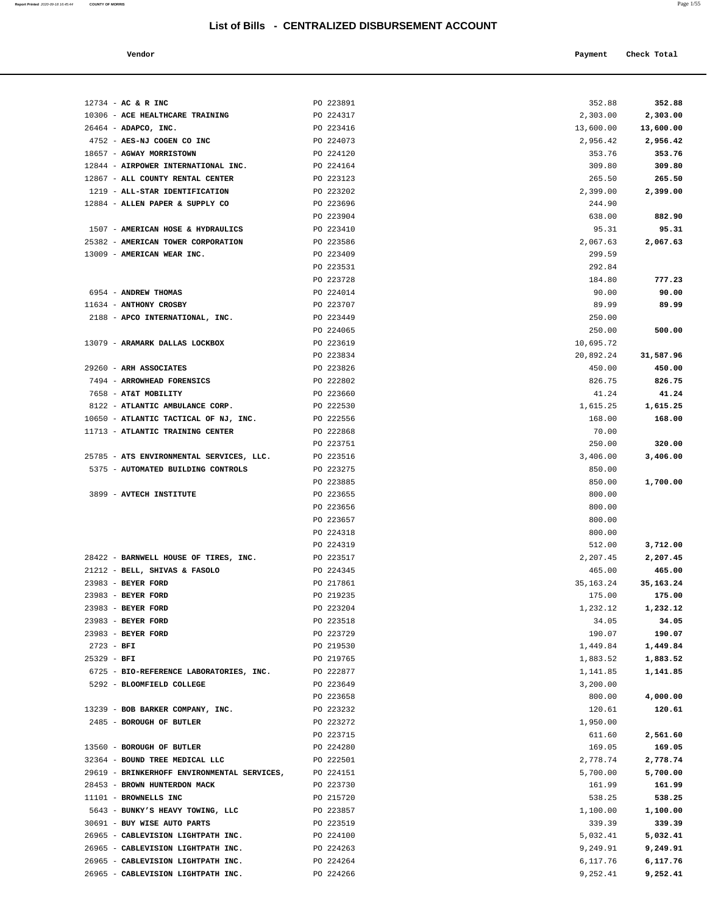**Report Printed** 2020-09-18 16:45:44 **COUNTY OF MORRIS** Page 1/55

| Vendor                                                                 |                        | Payment            | Check Total        |
|------------------------------------------------------------------------|------------------------|--------------------|--------------------|
|                                                                        |                        |                    |                    |
|                                                                        |                        |                    |                    |
| 12734 - AC & R INC                                                     | PO 223891              | 352.88             | 352.88             |
| 10306 - ACE HEALTHCARE TRAINING                                        | PO 224317              | 2,303.00           | 2,303.00           |
| 26464 - ADAPCO, INC.                                                   | PO 223416              | 13,600.00          | 13,600.00          |
| 4752 - AES-NJ COGEN CO INC                                             | PO 224073              | 2,956.42           | 2,956.42           |
| 18657 - AGWAY MORRISTOWN                                               | PO 224120              | 353.76             | 353.76             |
| 12844 - AIRPOWER INTERNATIONAL INC.                                    | PO 224164              | 309.80             | 309.80             |
| 12867 - ALL COUNTY RENTAL CENTER                                       | PO 223123              | 265.50             | 265.50             |
| 1219 - ALL-STAR IDENTIFICATION                                         | PO 223202              | 2,399.00           | 2,399.00           |
| 12884 - ALLEN PAPER & SUPPLY CO                                        | PO 223696              | 244.90             |                    |
|                                                                        | PO 223904              | 638.00             | 882.90             |
| 1507 - AMERICAN HOSE & HYDRAULICS                                      | PO 223410              | 95.31              | 95.31              |
| 25382 - AMERICAN TOWER CORPORATION                                     | PO 223586              | 2,067.63           | 2,067.63           |
| 13009 - AMERICAN WEAR INC.                                             | PO 223409              | 299.59             |                    |
|                                                                        | PO 223531              | 292.84             |                    |
| 6954 - ANDREW THOMAS                                                   | PO 223728<br>PO 224014 | 184.80             | 777.23             |
| 11634 - ANTHONY CROSBY                                                 | PO 223707              | 90.00<br>89.99     | 90.00<br>89.99     |
| 2188 - APCO INTERNATIONAL, INC.                                        | PO 223449              | 250.00             |                    |
|                                                                        | PO 224065              | 250.00             | 500.00             |
| 13079 - ARAMARK DALLAS LOCKBOX                                         | PO 223619              | 10,695.72          |                    |
|                                                                        | PO 223834              | 20,892.24          | 31,587.96          |
| 29260 - ARH ASSOCIATES                                                 | PO 223826              | 450.00             | 450.00             |
| 7494 - ARROWHEAD FORENSICS                                             | PO 222802              | 826.75             | 826.75             |
| 7658 - AT&T MOBILITY                                                   | PO 223660              | 41.24              | 41.24              |
| 8122 - ATLANTIC AMBULANCE CORP.                                        | PO 222530              | 1,615.25           | 1,615.25           |
| 10650 - ATLANTIC TACTICAL OF NJ, INC.                                  | PO 222556              | 168.00             | 168.00             |
| 11713 - ATLANTIC TRAINING CENTER                                       | PO 222868              | 70.00              |                    |
|                                                                        | PO 223751              | 250.00             | 320.00             |
| 25785 - ATS ENVIRONMENTAL SERVICES, LLC.                               | PO 223516              | 3,406.00           | 3,406.00           |
| 5375 - AUTOMATED BUILDING CONTROLS                                     | PO 223275              | 850.00             |                    |
|                                                                        | PO 223885              | 850.00             | 1,700.00           |
| 3899 - AVTECH INSTITUTE                                                | PO 223655              | 800.00             |                    |
|                                                                        | PO 223656              | 800.00             |                    |
|                                                                        | PO 223657              | 800.00             |                    |
|                                                                        | PO 224318              | 800.00             |                    |
|                                                                        | PO 224319<br>PO 223517 | 512.00<br>2,207.45 | 3,712.00           |
| 28422 - BARNWELL HOUSE OF TIRES, INC.<br>21212 - BELL, SHIVAS & FASOLO | PO 224345              | 465.00             | 2,207.45<br>465.00 |
| 23983 - BEYER FORD                                                     | PO 217861              | 35, 163. 24        | 35, 163. 24        |
| 23983 - BEYER FORD                                                     | PO 219235              | 175.00             | 175.00             |
| 23983 - BEYER FORD                                                     | PO 223204              | 1,232.12           | 1,232.12           |
| 23983 - BEYER FORD                                                     | PO 223518              | 34.05              | 34.05              |
| 23983 - BEYER FORD                                                     | PO 223729              | 190.07             | 190.07             |
| $2723 - BFI$                                                           | PO 219530              | 1,449.84           | 1,449.84           |
| $25329 - BFI$                                                          | PO 219765              | 1,883.52           | 1,883.52           |
| 6725 - BIO-REFERENCE LABORATORIES, INC.                                | PO 222877              | 1,141.85           | 1,141.85           |
| 5292 - BLOOMFIELD COLLEGE                                              | PO 223649              | 3,200.00           |                    |
|                                                                        | PO 223658              | 800.00             | 4,000.00           |
| 13239 - BOB BARKER COMPANY, INC.                                       | PO 223232              | 120.61             | 120.61             |
| 2485 - BOROUGH OF BUTLER                                               | PO 223272              | 1,950.00           |                    |
|                                                                        | PO 223715              | 611.60             | 2,561.60           |
| 13560 - BOROUGH OF BUTLER                                              | PO 224280              | 169.05             | 169.05             |
| 32364 - BOUND TREE MEDICAL LLC                                         | PO 222501              | 2,778.74           | 2,778.74           |
| 29619 - BRINKERHOFF ENVIRONMENTAL SERVICES,                            | PO 224151              | 5,700.00           | 5,700.00           |
| 28453 - BROWN HUNTERDON MACK                                           | PO 223730              | 161.99             | 161.99             |
| 11101 - BROWNELLS INC<br>5643 - BUNKY'S HEAVY TOWING, LLC              | PO 215720<br>PO 223857 | 538.25<br>1,100.00 | 538.25<br>1,100.00 |
| 30691 - BUY WISE AUTO PARTS                                            | PO 223519              | 339.39             | 339.39             |
| 26965 - CABLEVISION LIGHTPATH INC.                                     | PO 224100              | 5,032.41           | 5,032.41           |
| 26965 - CABLEVISION LIGHTPATH INC.                                     | PO 224263              | 9,249.91           | 9,249.91           |
| 26965 - CABLEVISION LIGHTPATH INC.                                     | PO 224264              | 6,117.76           | 6,117.76           |
|                                                                        |                        |                    |                    |

26965 - **CABLEVISION LIGHTPATH INC.** PO 224266 9,252.41 **9,252.41**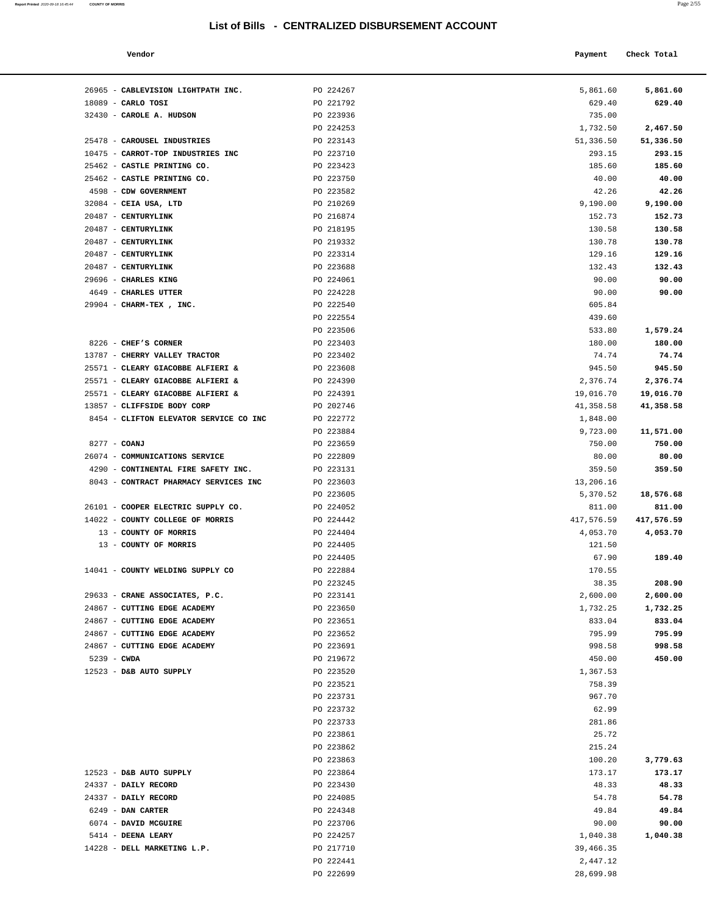**Report Printed** 2020-09-18 16:45:44 **COUNTY OF MORRIS** 

| a. | $\sim$<br>× |
|----|-------------|
|    |             |

| . u z m            |                    |
|--------------------|--------------------|
|                    |                    |
| 5,861.60<br>629.40 | 5,861.60<br>629.40 |
| 735.00             |                    |
| 1,732.50           | 2,467.50           |
| 51,336.50          | 51,336.50          |
| 293.15             | 293.15             |
| 185.60             | 185.60             |
| 40.00              | 40.00              |
| 42.26              | 42.26              |
| 9,190.00<br>152.73 | 9,190.00<br>152.73 |
| 130.58             | 130.58             |
| 130.78             | 130.78             |
| 129.16             | 129.16             |
| 132.43             | 132.43             |
| 90.00              | 90.00              |
| 90.00              | 90.00              |
| 605.84             |                    |
| 439.60             |                    |
| 533.80<br>180.00   | 1,579.24<br>180.00 |
| 74.74              | 74.74              |
| 945.50             | 945.50             |
| 2,376.74           | 2,376.74           |
| 19,016.70          | 19,016.70          |
| 41,358.58          | 41,358.58          |
| 1,848.00           |                    |
| 9,723.00           | 11,571.00          |
| 750.00             | 750.00             |
| 80.00<br>359.50    | 80.00<br>359.50    |
| 13,206.16          |                    |
| 5,370.52           | 18,576.68          |
| 811.00             | 811.00             |
| 417,576.59         | 417,576.59         |
| 4,053.70           | 4,053.70           |
| 121.50             |                    |
| 67.90              | 189.40             |
| 170.55<br>38.35    | 208.90             |
| 2,600.00           | 2,600.00           |
| 1,732.25           | 1,732.25           |
| 833.04             | 833.04             |
| 795.99             | 795.99             |
| 998.58             | 998.58             |
| 450.00             | 450.00             |
| 1,367.53           |                    |
| 758.39<br>967.70   |                    |
| 62.99              |                    |
| 281.86             |                    |
| 25.72              |                    |
| 215.24             |                    |
| 100.20             | 3,779.63           |
| 173.17             | 173.17             |
| 48.33              | 48.33              |
| 54.78              | 54.78              |
| 49.84<br>90.00     | 49.84<br>90.00     |
| 1,040.38           | 1,040.38           |
| 39,466.35          |                    |
|                    |                    |

| Vendor                                 |                        | Payment            | Check Total         |
|----------------------------------------|------------------------|--------------------|---------------------|
| 26965 - CABLEVISION LIGHTPATH INC.     | PO 224267              | 5,861.60           | 5,861.60            |
| $18089$ - CARLO TOSI                   | PO 221792              | 629.40             | 629.40              |
| 32430 - CAROLE A. HUDSON               | PO 223936              | 735.00             |                     |
|                                        | PO 224253              | 1,732.50           | 2,467.50            |
| 25478 - CAROUSEL INDUSTRIES            | PO 223143              | 51,336.50          | 51,336.50           |
| 10475 - CARROT-TOP INDUSTRIES INC      | PO 223710              | 293.15             | 293.15              |
| 25462 - CASTLE PRINTING CO.            | PO 223423              | 185.60             | 185.60              |
| 25462 - CASTLE PRINTING CO.            | PO 223750              | 40.00              | 40.00               |
| 4598 - CDW GOVERNMENT                  | PO 223582              | 42.26              | 42.26               |
| 32084 - CEIA USA, LTD                  | PO 210269              | 9,190.00           | 9,190.00            |
| 20487 - CENTURYLINK                    | PO 216874              | 152.73             | 152.73              |
| 20487 - CENTURYLINK                    | PO 218195              | 130.58             | 130.58              |
| 20487 - CENTURYLINK                    | PO 219332              | 130.78             | 130.78              |
| 20487 - CENTURYLINK                    | PO 223314              | 129.16             | 129.16              |
| 20487 - CENTURYLINK                    | PO 223688              | 132.43             | 132.43              |
| 29696 - CHARLES KING                   | PO 224061              | 90.00              | 90.00               |
| 4649 - CHARLES UTTER                   | PO 224228              | 90.00              | 90.00               |
| 29904 - CHARM-TEX, INC.                | PO 222540              | 605.84             |                     |
|                                        | PO 222554              | 439.60             |                     |
|                                        | PO 223506              | 533.80             | 1,579.24            |
| 8226 - CHEF'S CORNER                   | PO 223403              | 180.00             | 180.00              |
| 13787 - CHERRY VALLEY TRACTOR          | PO 223402              | 74.74              | 74.74               |
| 25571 - CLEARY GIACOBBE ALFIERI &      | PO 223608              | 945.50             | 945.50              |
| 25571 - CLEARY GIACOBBE ALFIERI &      | PO 224390              | 2,376.74           | 2,376.74            |
| 25571 - CLEARY GIACOBBE ALFIERI &      | PO 224391              | 19,016.70          | 19,016.70           |
| 13857 - CLIFFSIDE BODY CORP            | PO 202746              | 41,358.58          | 41,358.58           |
| 8454 - CLIFTON ELEVATOR SERVICE CO INC | PO 222772<br>PO 223884 | 1,848.00           |                     |
| 8277 - COANJ                           | PO 223659              | 9,723.00<br>750.00 | 11,571.00<br>750.00 |
| 26074 - COMMUNICATIONS SERVICE         | PO 222809              | 80.00              | 80.00               |
| 4290 - CONTINENTAL FIRE SAFETY INC.    | PO 223131              | 359.50             | 359.50              |
| 8043 - CONTRACT PHARMACY SERVICES INC  | PO 223603              | 13,206.16          |                     |
|                                        | PO 223605              | 5,370.52           | 18,576.68           |
| 26101 - COOPER ELECTRIC SUPPLY CO.     | PO 224052              | 811.00             | 811.00              |
| 14022 - COUNTY COLLEGE OF MORRIS       | PO 224442              | 417,576.59         | 417,576.59          |
| 13 - COUNTY OF MORRIS                  | PO 224404              | 4,053.70           | 4,053.70            |
| 13 - COUNTY OF MORRIS                  | PO 224405              | 121.50             |                     |
|                                        | PO 224405              | 67.90              | 189.40              |
| 14041 - COUNTY WELDING SUPPLY CO       | PO 222884              | 170.55             |                     |
|                                        | PO 223245              | 38.35              | 208.90              |
| 29633 - CRANE ASSOCIATES, P.C.         | PO 223141              | 2,600.00           | 2,600.00            |
| 24867 - CUTTING EDGE ACADEMY           | PO 223650              | 1,732.25           | 1,732.25            |
| 24867 - CUTTING EDGE ACADEMY           | PO 223651              | 833.04             | 833.04              |
| 24867 - CUTTING EDGE ACADEMY           | PO 223652              | 795.99             | 795.99              |
| 24867 - CUTTING EDGE ACADEMY           | PO 223691              | 998.58             | 998.58              |
| 5239 - CWDA                            | PO 219672              | 450.00             | 450.00              |
| 12523 - D&B AUTO SUPPLY                | PO 223520              | 1,367.53           |                     |
|                                        | PO 223521              | 758.39             |                     |
|                                        | PO 223731              | 967.70             |                     |
|                                        | PO 223732              | 62.99              |                     |
|                                        | PO 223733              | 281.86             |                     |
|                                        | PO 223861              | 25.72              |                     |
|                                        | PO 223862              | 215.24             |                     |
|                                        | PO 223863              | 100.20             | 3,779.63            |
| 12523 - D&B AUTO SUPPLY                | PO 223864              | 173.17             | 173.17              |
| 24337 - DAILY RECORD                   | PO 223430              | 48.33              | 48.33               |
| 24337 - DAILY RECORD                   | PO 224085              | 54.78              | 54.78               |
| 6249 - DAN CARTER                      | PO 224348              | 49.84              | 49.84               |
| 6074 - DAVID MCGUIRE                   | PO 223706              | 90.00              | 90.00               |
| 5414 - DEENA LEARY                     | PO 224257              | 1,040.38           | 1,040.38            |
| 14228 - DELL MARKETING L.P.            | PO 217710              | 39,466.35          |                     |
|                                        | PO 222441              | 2,447.12           |                     |
|                                        | PO 222699              | 28,699.98          |                     |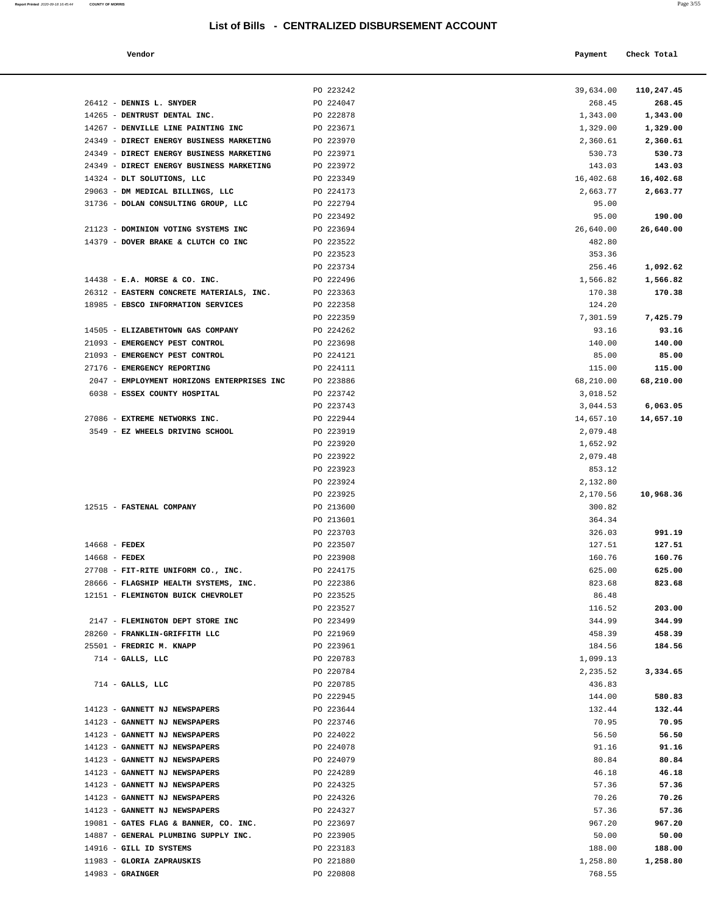| Report Printed 2020-09-18 16:45:44 | <b>COUNTY OF MORRIS</b> | Page 3/55 |  |
|------------------------------------|-------------------------|-----------|--|
|                                    |                         |           |  |

| Vendor | Payment Check Total |
|--------|---------------------|
|        |                     |

PO 223242 39,634.00 **110,247.45**

| 26412 - DENNIS L. SNYDER                   | PO 224047 | 268.45    | 268.45    |
|--------------------------------------------|-----------|-----------|-----------|
| 14265 - DENTRUST DENTAL INC.               | PO 222878 | 1,343.00  | 1,343.00  |
| 14267 - DENVILLE LINE PAINTING INC         | PO 223671 | 1,329.00  | 1,329.00  |
| 24349 - DIRECT ENERGY BUSINESS MARKETING   | PO 223970 | 2,360.61  | 2,360.61  |
| 24349 - DIRECT ENERGY BUSINESS MARKETING   | PO 223971 | 530.73    | 530.73    |
| 24349 - DIRECT ENERGY BUSINESS MARKETING   | PO 223972 | 143.03    | 143.03    |
| 14324 - DLT SOLUTIONS, LLC                 | PO 223349 | 16,402.68 | 16,402.68 |
| 29063 - DM MEDICAL BILLINGS, LLC           | PO 224173 | 2,663.77  | 2,663.77  |
| 31736 - DOLAN CONSULTING GROUP, LLC        | PO 222794 | 95.00     |           |
|                                            | PO 223492 | 95.00     | 190.00    |
| 21123 - DOMINION VOTING SYSTEMS INC        | PO 223694 | 26,640.00 | 26,640.00 |
| 14379 - DOVER BRAKE & CLUTCH CO INC        | PO 223522 | 482.80    |           |
|                                            | PO 223523 | 353.36    |           |
|                                            | PO 223734 | 256.46    | 1,092.62  |
| $14438$ - E.A. MORSE & CO. INC.            | PO 222496 | 1,566.82  | 1,566.82  |
| 26312 - EASTERN CONCRETE MATERIALS, INC.   | PO 223363 | 170.38    | 170.38    |
| 18985 - EBSCO INFORMATION SERVICES         | PO 222358 | 124.20    |           |
|                                            | PO 222359 | 7,301.59  | 7,425.79  |
| 14505 - ELIZABETHTOWN GAS COMPANY          | PO 224262 | 93.16     | 93.16     |
| 21093 - EMERGENCY PEST CONTROL             | PO 223698 | 140.00    | 140.00    |
| 21093 - EMERGENCY PEST CONTROL             | PO 224121 | 85.00     | 85.00     |
| 27176 - EMERGENCY REPORTING                | PO 224111 | 115.00    | 115.00    |
| 2047 - EMPLOYMENT HORIZONS ENTERPRISES INC | PO 223886 | 68,210.00 | 68,210.00 |
| 6038 - ESSEX COUNTY HOSPITAL               | PO 223742 | 3,018.52  |           |
|                                            | PO 223743 | 3,044.53  | 6,063.05  |
| 27086 - EXTREME NETWORKS INC.              | PO 222944 | 14,657.10 | 14,657.10 |
| 3549 - EZ WHEELS DRIVING SCHOOL            | PO 223919 | 2,079.48  |           |
|                                            | PO 223920 | 1,652.92  |           |
|                                            | PO 223922 | 2,079.48  |           |
|                                            | PO 223923 | 853.12    |           |
|                                            | PO 223924 | 2,132.80  |           |
|                                            |           |           |           |
|                                            | PO 223925 | 2,170.56  | 10,968.36 |
| 12515 - FASTENAL COMPANY                   | PO 213600 | 300.82    |           |
|                                            | PO 213601 | 364.34    |           |
|                                            | PO 223703 | 326.03    | 991.19    |
| $14668$ - FEDEX                            | PO 223507 | 127.51    | 127.51    |
| $14668$ - FEDEX                            | PO 223908 | 160.76    | 160.76    |
| 27708 - FIT-RITE UNIFORM CO., INC.         | PO 224175 | 625.00    | 625.00    |
| 28666 - FLAGSHIP HEALTH SYSTEMS, INC.      | PO 222386 | 823.68    | 823.68    |
| 12151 - FLEMINGTON BUICK CHEVROLET         | PO 223525 | 86.48     |           |
|                                            | PO 223527 | 116.52    | 203.00    |
| 2147 - FLEMINGTON DEPT STORE INC           | PO 223499 | 344.99    | 344.99    |
| 28260 - FRANKLIN-GRIFFITH LLC              | PO 221969 | 458.39    | 458.39    |
| 25501 - FREDRIC M. KNAPP                   | PO 223961 | 184.56    | 184.56    |
| $714$ - GALLS, LLC                         | PO 220783 | 1,099.13  |           |
|                                            | PO 220784 | 2,235.52  | 3,334.65  |
| $714$ - GALLS, LLC                         | PO 220785 | 436.83    |           |
|                                            | PO 222945 | 144.00    | 580.83    |
| 14123 - GANNETT NJ NEWSPAPERS              | PO 223644 | 132.44    | 132.44    |
| 14123 - GANNETT NJ NEWSPAPERS              | PO 223746 | 70.95     | 70.95     |
| 14123 - GANNETT NJ NEWSPAPERS              | PO 224022 | 56.50     | 56.50     |
| 14123 - GANNETT NJ NEWSPAPERS              | PO 224078 | 91.16     | 91.16     |
| 14123 - GANNETT NJ NEWSPAPERS              | PO 224079 | 80.84     | 80.84     |
| 14123 - GANNETT NJ NEWSPAPERS              | PO 224289 | 46.18     | 46.18     |
| 14123 - GANNETT NJ NEWSPAPERS              | PO 224325 | 57.36     | 57.36     |
| 14123 - GANNETT NJ NEWSPAPERS              | PO 224326 | 70.26     | 70.26     |
| 14123 - GANNETT NJ NEWSPAPERS              | PO 224327 | 57.36     | 57.36     |
| 19081 - GATES FLAG & BANNER, CO. INC.      | PO 223697 | 967.20    | 967.20    |
| 14887 - GENERAL PLUMBING SUPPLY INC.       | PO 223905 | 50.00     | 50.00     |
| 14916 - GILL ID SYSTEMS                    | PO 223183 | 188.00    | 188.00    |
| 11983 - GLORIA ZAPRAUSKIS                  | PO 221880 | 1,258.80  | 1,258.80  |
| $14983$ - GRAINGER                         | PO 220808 | 768.55    |           |
|                                            |           |           |           |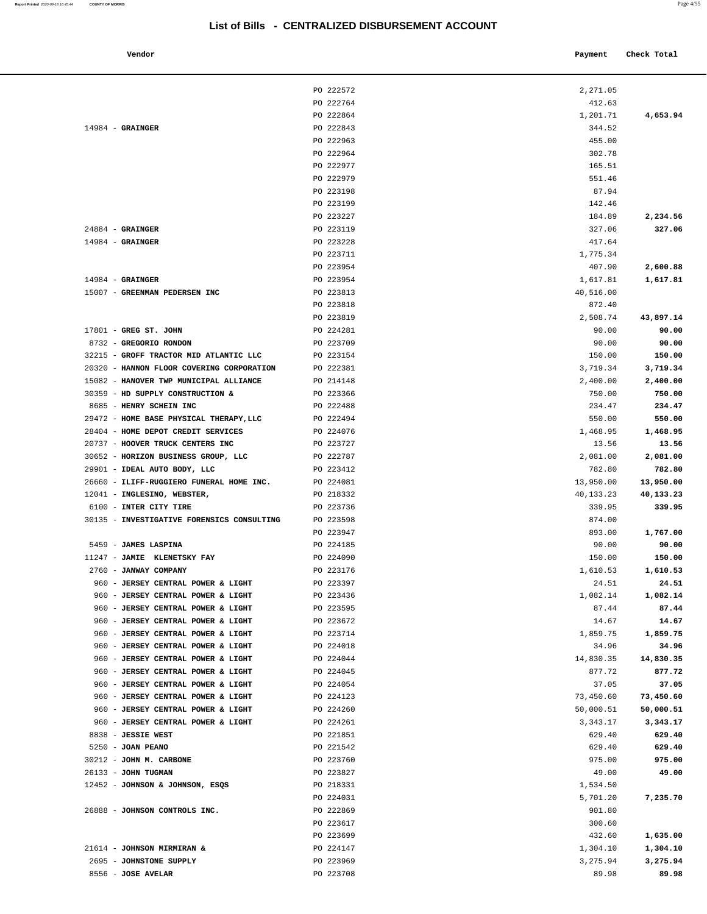| Vendor                                                                   |                        | Payment               | Check Total         |
|--------------------------------------------------------------------------|------------------------|-----------------------|---------------------|
|                                                                          | PO 222572              | 2,271.05              |                     |
|                                                                          | PO 222764              | 412.63                |                     |
|                                                                          | PO 222864              | 1,201.71              | 4,653.94            |
| $14984$ - GRAINGER                                                       | PO 222843              | 344.52                |                     |
|                                                                          | PO 222963              | 455.00                |                     |
|                                                                          | PO 222964              | 302.78                |                     |
|                                                                          | PO 222977              | 165.51                |                     |
|                                                                          | PO 222979              | 551.46                |                     |
|                                                                          | PO 223198              | 87.94                 |                     |
|                                                                          | PO 223199              | 142.46                |                     |
|                                                                          | PO 223227              | 184.89                | 2,234.56            |
| $24884$ - GRAINGER                                                       | PO 223119              | 327.06                | 327.06              |
| $14984$ - GRAINGER                                                       | PO 223228              | 417.64                |                     |
|                                                                          | PO 223711              | 1,775.34              |                     |
| $14984$ - GRAINGER                                                       | PO 223954<br>PO 223954 | 407.90                | 2,600.88            |
| 15007 - GREENMAN PEDERSEN INC                                            | PO 223813              | 1,617.81<br>40,516.00 | 1,617.81            |
|                                                                          | PO 223818              | 872.40                |                     |
|                                                                          | PO 223819              | 2,508.74              | 43,897.14           |
| $17801$ - GREG ST. JOHN                                                  | PO 224281              | 90.00                 | 90.00               |
| 8732 - GREGORIO RONDON                                                   | PO 223709              | 90.00                 | 90.00               |
| 32215 - GROFF TRACTOR MID ATLANTIC LLC                                   | PO 223154              | 150.00                | 150.00              |
| 20320 - HANNON FLOOR COVERING CORPORATION                                | PO 222381              | 3,719.34              | 3,719.34            |
| 15082 - HANOVER TWP MUNICIPAL ALLIANCE                                   | PO 214148              | 2,400.00              | 2,400.00            |
| 30359 - HD SUPPLY CONSTRUCTION &                                         | PO 223366              | 750.00                | 750.00              |
| 8685 - HENRY SCHEIN INC                                                  | PO 222488              | 234.47                | 234.47              |
| 29472 - HOME BASE PHYSICAL THERAPY, LLC                                  | PO 222494              | 550.00                | 550.00              |
| 28404 - HOME DEPOT CREDIT SERVICES                                       | PO 224076              | 1,468.95              | 1,468.95            |
| 20737 - HOOVER TRUCK CENTERS INC                                         | PO 223727              | 13.56                 | 13.56               |
| 30652 - HORIZON BUSINESS GROUP, LLC                                      | PO 222787              | 2,081.00              | 2,081.00            |
| 29901 - IDEAL AUTO BODY, LLC                                             | PO 223412              | 782.80                | 782.80              |
| 26660 - ILIFF-RUGGIERO FUNERAL HOME INC.                                 | PO 224081              | 13,950.00             | 13,950.00           |
| 12041 - INGLESINO, WEBSTER,                                              | PO 218332              | 40,133.23             | 40,133.23           |
| 6100 - INTER CITY TIRE                                                   | PO 223736              | 339.95                | 339.95              |
| 30135 - INVESTIGATIVE FORENSICS CONSULTING                               | PO 223598              | 874.00                |                     |
|                                                                          | PO 223947              | 893.00                | 1,767.00            |
| 5459 - JAMES LASPINA                                                     | PO 224185              | 90.00                 | 90.00               |
| 11247 - JAMIE KLENETSKY FAY                                              | PO 224090              | 150.00                | 150.00              |
| 2760 - JANWAY COMPANY                                                    | PO 223176              | 1,610.53              | 1,610.53            |
| 960 - JERSEY CENTRAL POWER & LIGHT                                       | PO 223397              | 24.51                 | 24.51               |
| 960 - JERSEY CENTRAL POWER & LIGHT                                       | PO 223436              | 1,082.14              | 1,082.14            |
| 960 - JERSEY CENTRAL POWER & LIGHT                                       | PO 223595              | 87.44                 | 87.44               |
| 960 - JERSEY CENTRAL POWER & LIGHT                                       | PO 223672              | 14.67                 | 14.67               |
| 960 - JERSEY CENTRAL POWER & LIGHT                                       | PO 223714              | 1,859.75              | 1,859.75            |
| 960 - JERSEY CENTRAL POWER & LIGHT                                       | PO 224018              | 34.96                 | 34.96               |
| 960 - JERSEY CENTRAL POWER & LIGHT<br>960 - JERSEY CENTRAL POWER & LIGHT | PO 224044<br>PO 224045 | 14,830.35<br>877.72   | 14,830.35<br>877.72 |
| 960 - JERSEY CENTRAL POWER & LIGHT                                       | PO 224054              | 37.05                 | 37.05               |
| 960 - JERSEY CENTRAL POWER & LIGHT                                       | PO 224123              | 73,450.60             | 73,450.60           |
| 960 - JERSEY CENTRAL POWER & LIGHT                                       | PO 224260              | 50,000.51             | 50,000.51           |
| 960 - JERSEY CENTRAL POWER & LIGHT                                       | PO 224261              | 3,343.17              | 3,343.17            |
| 8838 - JESSIE WEST                                                       | PO 221851              | 629.40                | 629.40              |
| 5250 - JOAN PEANO                                                        | PO 221542              | 629.40                | 629.40              |
| 30212 - JOHN M. CARBONE                                                  | PO 223760              | 975.00                | 975.00              |
| 26133 - JOHN TUGMAN                                                      | PO 223827              | 49.00                 | 49.00               |
| 12452 - JOHNSON & JOHNSON, ESQS                                          | PO 218331              | 1,534.50              |                     |
|                                                                          | PO 224031              | 5,701.20              | 7,235.70            |
| 26888 - JOHNSON CONTROLS INC.                                            | PO 222869              | 901.80                |                     |
|                                                                          | PO 223617              | 300.60                |                     |
|                                                                          | PO 223699              | 432.60                | 1,635.00            |
| 21614 - JOHNSON MIRMIRAN &                                               | PO 224147              | 1,304.10              | 1,304.10            |
| 2695 - JOHNSTONE SUPPLY                                                  | PO 223969              | 3,275.94              | 3,275.94            |
| 8556 - JOSE AVELAR                                                       | PO 223708              | 89.98                 | 89.98               |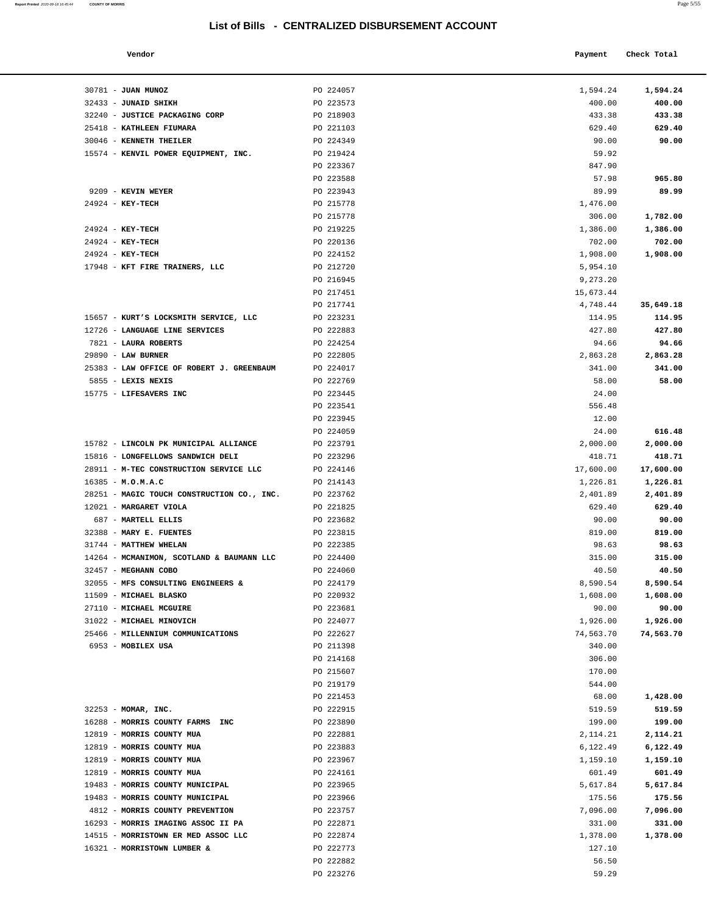| Report Printed 2020-09-18 16:45:44 | <b>COUNTY OF MORRIS</b> |  | Page 5/55 |
|------------------------------------|-------------------------|--|-----------|
|                                    |                         |  |           |

| Vendor |  | Payment Check Total |
|--------|--|---------------------|
|--------|--|---------------------|

| 30781 - JUAN MUNOZ                                     | PO 224057              | 1,594.24              | 1,594.24           |
|--------------------------------------------------------|------------------------|-----------------------|--------------------|
| 32433 - JUNAID SHIKH                                   | PO 223573              | 400.00                | 400.00             |
| 32240 - JUSTICE PACKAGING CORP                         | PO 218903              | 433.38                | 433.38             |
| 25418 - KATHLEEN FIUMARA                               | PO 221103              | 629.40                | 629.40             |
| 30046 - KENNETH THEILER                                | PO 224349              | 90.00                 | 90.00              |
| 15574 - KENVIL POWER EQUIPMENT, INC.                   | PO 219424              | 59.92                 |                    |
|                                                        | PO 223367              | 847.90                |                    |
|                                                        | PO 223588              | 57.98                 | 965.80             |
| 9209 - KEVIN WEYER                                     | PO 223943              | 89.99                 | 89.99              |
| $24924 - KEY-TECH$                                     | PO 215778              | 1,476.00              |                    |
|                                                        | PO 215778              | 306.00                | 1,782.00           |
| 24924 - KEY-TECH                                       | PO 219225              | 1,386.00              | 1,386.00           |
| 24924 - KEY-TECH                                       | PO 220136              | 702.00                | 702.00             |
| 24924 - KEY-TECH                                       | PO 224152              | 1,908.00              | 1,908.00           |
| 17948 - KFT FIRE TRAINERS, LLC                         | PO 212720              | 5,954.10              |                    |
|                                                        | PO 216945<br>PO 217451 | 9,273.20<br>15,673.44 |                    |
|                                                        | PO 217741              | 4,748.44              | 35,649.18          |
| 15657 - KURT'S LOCKSMITH SERVICE, LLC                  | PO 223231              | 114.95                | 114.95             |
| 12726 - LANGUAGE LINE SERVICES                         | PO 222883              | 427.80                | 427.80             |
| 7821 - LAURA ROBERTS                                   | PO 224254              | 94.66                 | 94.66              |
| 29890 - LAW BURNER                                     | PO 222805              | 2,863.28              | 2,863.28           |
| 25383 - LAW OFFICE OF ROBERT J. GREENBAUM              | PO 224017              | 341.00                | 341.00             |
| 5855 - LEXIS NEXIS                                     | PO 222769              | 58.00                 | 58.00              |
| 15775 - LIFESAVERS INC                                 | PO 223445              | 24.00                 |                    |
|                                                        | PO 223541              | 556.48                |                    |
|                                                        | PO 223945              | 12.00                 |                    |
|                                                        | PO 224059              | 24.00                 | 616.48             |
| 15782 - LINCOLN PK MUNICIPAL ALLIANCE                  | PO 223791              | 2,000.00              | 2,000.00           |
| 15816 - LONGFELLOWS SANDWICH DELI                      | PO 223296              | 418.71                | 418.71             |
| 28911 - M-TEC CONSTRUCTION SERVICE LLC                 | PO 224146              | 17,600.00             | 17,600.00          |
| $16385 - M.0.M.A.C$                                    | PO 214143              | 1,226.81              | 1,226.81           |
| 28251 - MAGIC TOUCH CONSTRUCTION CO., INC.             | PO 223762              | 2,401.89              | 2,401.89           |
| 12021 - MARGARET VIOLA                                 | PO 221825              | 629.40                | 629.40             |
| 687 - MARTELL ELLIS<br>32388 - MARY E. FUENTES         | PO 223682<br>PO 223815 | 90.00<br>819.00       | 90.00<br>819.00    |
| 31744 - MATTHEW WHELAN                                 | PO 222385              | 98.63                 | 98.63              |
| 14264 - MCMANIMON, SCOTLAND & BAUMANN LLC              | PO 224400              | 315.00                | 315.00             |
| 32457 - MEGHANN COBO                                   | PO 224060              | 40.50                 | 40.50              |
| 32055 - MFS CONSULTING ENGINEERS &                     | PO 224179              | 8,590.54              | 8,590.54           |
| 11509 - MICHAEL BLASKO                                 | PO 220932              | 1,608.00              | 1,608.00           |
| 27110 - MICHAEL MCGUIRE                                | PO 223681              | 90.00                 | 90.00              |
| 31022 - MICHAEL MINOVICH                               | PO 224077              | 1,926.00              | 1,926.00           |
| 25466 - MILLENNIUM COMMUNICATIONS                      | PO 222627              | 74,563.70             | 74,563.70          |
| 6953 - MOBILEX USA                                     | PO 211398              | 340.00                |                    |
|                                                        | PO 214168              | 306.00                |                    |
|                                                        | PO 215607              | 170.00                |                    |
|                                                        | PO 219179              | 544.00                |                    |
|                                                        | PO 221453              | 68.00                 | 1,428.00           |
| 32253 - MOMAR, INC.                                    | PO 222915              | 519.59                | 519.59             |
| 16288 - MORRIS COUNTY FARMS INC                        | PO 223890              | 199.00                | 199.00             |
| 12819 - MORRIS COUNTY MUA                              | PO 222881              | 2,114.21              | 2,114.21           |
| 12819 - MORRIS COUNTY MUA<br>12819 - MORRIS COUNTY MUA | PO 223883              | 6,122.49              | 6,122.49           |
| 12819 - MORRIS COUNTY MUA                              | PO 223967<br>PO 224161 | 1,159.10<br>601.49    | 1,159.10<br>601.49 |
| 19483 - MORRIS COUNTY MUNICIPAL                        | PO 223965              | 5,617.84              | 5,617.84           |
| 19483 - MORRIS COUNTY MUNICIPAL                        | PO 223966              | 175.56                | 175.56             |
| 4812 - MORRIS COUNTY PREVENTION                        | PO 223757              | 7,096.00              | 7,096.00           |
| 16293 - MORRIS IMAGING ASSOC II PA                     | PO 222871              | 331.00                | 331.00             |
| 14515 - MORRISTOWN ER MED ASSOC LLC                    | PO 222874              | 1,378.00              | 1,378.00           |
| 16321 - MORRISTOWN LUMBER &                            | PO 222773              | 127.10                |                    |
|                                                        | PO 222882              | 56.50                 |                    |
|                                                        | PO 223276              | 59.29                 |                    |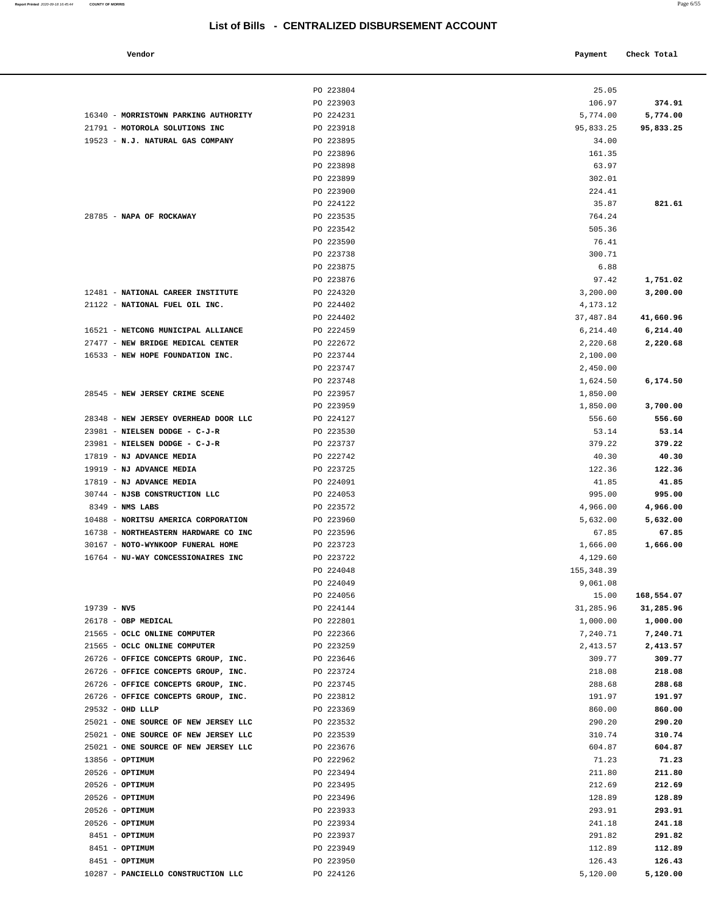#### **Vendor Check Total Payment Check Total**

|                                                                             | PO 223804              | 25.05             |                   |
|-----------------------------------------------------------------------------|------------------------|-------------------|-------------------|
|                                                                             | PO 223903              | 106.97            | 374.91            |
| 16340 - MORRISTOWN PARKING AUTHORITY                                        | PO 224231              | 5,774.00          | 5,774.00          |
| 21791 - MOTOROLA SOLUTIONS INC                                              | PO 223918              | 95,833.25         | 95,833.25         |
| 19523 - N.J. NATURAL GAS COMPANY                                            | PO 223895              | 34.00             |                   |
|                                                                             | PO 223896              | 161.35            |                   |
|                                                                             | PO 223898              | 63.97             |                   |
|                                                                             | PO 223899              | 302.01            |                   |
|                                                                             | PO 223900              | 224.41            |                   |
|                                                                             | PO 224122              | 35.87             | 821.61            |
| 28785 - NAPA OF ROCKAWAY                                                    | PO 223535              | 764.24            |                   |
|                                                                             | PO 223542              | 505.36            |                   |
|                                                                             | PO 223590              | 76.41             |                   |
|                                                                             | PO 223738              | 300.71            |                   |
|                                                                             | PO 223875              | 6.88              |                   |
|                                                                             | PO 223876              | 97.42             | 1,751.02          |
| 12481 - NATIONAL CAREER INSTITUTE                                           | PO 224320              | 3,200.00          | 3,200.00          |
| 21122 - NATIONAL FUEL OIL INC.                                              | PO 224402              | 4,173.12          |                   |
|                                                                             | PO 224402              | 37,487.84         | 41,660.96         |
| 16521 - NETCONG MUNICIPAL ALLIANCE                                          | PO 222459              | 6,214.40          | 6, 214.40         |
| 27477 - NEW BRIDGE MEDICAL CENTER                                           | PO 222672              | 2,220.68          | 2,220.68          |
| 16533 - NEW HOPE FOUNDATION INC.                                            | PO 223744              | 2,100.00          |                   |
|                                                                             | PO 223747              | 2,450.00          |                   |
|                                                                             | PO 223748              | 1,624.50          | 6,174.50          |
| 28545 - NEW JERSEY CRIME SCENE                                              | PO 223957              | 1,850.00          |                   |
|                                                                             | PO 223959              | 1,850.00          | 3,700.00          |
| 28348 - NEW JERSEY OVERHEAD DOOR LLC                                        | PO 224127              | 556.60            | 556.60            |
| 23981 - NIELSEN DODGE - C-J-R                                               | PO 223530              | 53.14             | 53.14             |
| 23981 - NIELSEN DODGE - C-J-R                                               | PO 223737              | 379.22            | 379.22            |
| 17819 - NJ ADVANCE MEDIA                                                    | PO 222742              | 40.30             | 40.30             |
| 19919 - NJ ADVANCE MEDIA                                                    | PO 223725              | 122.36            | 122.36            |
| 17819 - NJ ADVANCE MEDIA                                                    | PO 224091              | 41.85             | 41.85             |
| 30744 - NJSB CONSTRUCTION LLC                                               | PO 224053              | 995.00            | 995.00            |
| $8349$ - NMS LABS                                                           | PO 223572              | 4,966.00          | 4,966.00          |
| 10488 - NORITSU AMERICA CORPORATION<br>16738 - NORTHEASTERN HARDWARE CO INC | PO 223960<br>PO 223596 | 5,632.00<br>67.85 | 5,632.00<br>67.85 |
| 30167 - NOTO-WYNKOOP FUNERAL HOME                                           | PO 223723              | 1,666.00          | 1,666.00          |
| 16764 - NU-WAY CONCESSIONAIRES INC                                          | PO 223722              | 4,129.60          |                   |
|                                                                             | PO 224048              | 155, 348.39       |                   |
|                                                                             | PO 224049              | 9,061.08          |                   |
|                                                                             | PO 224056              |                   | 15.00 168,554.07  |
| $19739 - NV5$                                                               | PO 224144              | 31,285.96         | 31,285.96         |
| 26178 - OBP MEDICAL                                                         | PO 222801              | 1,000.00          | 1,000.00          |
| 21565 - OCLC ONLINE COMPUTER                                                | PO 222366              | 7,240.71          | 7,240.71          |
| 21565 - OCLC ONLINE COMPUTER                                                | PO 223259              | 2,413.57          | 2,413.57          |
| 26726 - OFFICE CONCEPTS GROUP, INC.                                         | PO 223646              | 309.77            | 309.77            |
| 26726 - OFFICE CONCEPTS GROUP, INC.                                         | PO 223724              | 218.08            | 218.08            |
| 26726 - OFFICE CONCEPTS GROUP, INC.                                         | PO 223745              | 288.68            | 288.68            |
| 26726 - OFFICE CONCEPTS GROUP, INC.                                         | PO 223812              | 191.97            | 191.97            |
| 29532 - OHD LLLP                                                            | PO 223369              | 860.00            | 860.00            |
| 25021 - ONE SOURCE OF NEW JERSEY LLC                                        | PO 223532              | 290.20            | 290.20            |
| 25021 - ONE SOURCE OF NEW JERSEY LLC                                        | PO 223539              | 310.74            | 310.74            |
| 25021 - ONE SOURCE OF NEW JERSEY LLC                                        | PO 223676              | 604.87            | 604.87            |
| $13856 - OPTIMUM$                                                           | PO 222962              | 71.23             | 71.23             |
| $20526$ - OPTIMUM                                                           | PO 223494              | 211.80            | 211.80            |
| $20526$ - OPTIMUM                                                           | PO 223495              | 212.69            | 212.69            |
| 20526 - OPTIMUM                                                             | PO 223496              | 128.89            | 128.89            |
| 20526 - OPTIMUM                                                             | PO 223933              | 293.91            | 293.91            |
| 20526 - OPTIMUM                                                             | PO 223934              | 241.18            | 241.18            |
| 8451 - OPTIMUM                                                              | PO 223937              | 291.82            | 291.82            |
| 8451 - OPTIMUM                                                              | PO 223949              | 112.89            | 112.89            |
| 8451 - OPTIMUM                                                              | PO 223950              | 126.43            | 126.43            |
| 10287 - PANCIELLO CONSTRUCTION LLC                                          | PO 224126              | 5,120.00          | 5,120.00          |

| 16340 - MORRISTOWN PARKING AUTHORITY | PO 224231 | 5,774.00                | 5,774.00   |
|--------------------------------------|-----------|-------------------------|------------|
| 21791 - MOTOROLA SOLUTIONS INC       | PO 223918 | 95,833.25               | 95,833.25  |
| 19523 - N.J. NATURAL GAS COMPANY     | PO 223895 | 34.00                   |            |
|                                      | PO 223896 | 161.35                  |            |
|                                      | PO 223898 | 63.97                   |            |
|                                      | PO 223899 | 302.01                  |            |
|                                      | PO 223900 | 224.41                  |            |
|                                      | PO 224122 | 35.87                   | 821.61     |
| 28785 - NAPA OF ROCKAWAY             | PO 223535 | 764.24                  |            |
|                                      | PO 223542 | 505.36                  |            |
|                                      | PO 223590 | 76.41                   |            |
|                                      | PO 223738 | 300.71                  |            |
|                                      | PO 223875 | 6.88                    |            |
|                                      | PO 223876 | 97.42                   | 1,751.02   |
| 12481 - NATIONAL CAREER INSTITUTE    | PO 224320 | 3,200.00                | 3,200.00   |
| 21122 - NATIONAL FUEL OIL INC.       | PO 224402 | 4,173.12                |            |
|                                      | PO 224402 | 37,487.84               | 41,660.96  |
| 16521 - NETCONG MUNICIPAL ALLIANCE   | PO 222459 | 6,214.40                | 6,214.40   |
|                                      |           |                         |            |
| 27477 - NEW BRIDGE MEDICAL CENTER    | PO 222672 | 2,220.68                | 2,220.68   |
| 16533 - NEW HOPE FOUNDATION INC.     | PO 223744 | 2,100.00                |            |
|                                      | PO 223747 | 2,450.00                |            |
|                                      | PO 223748 | 1,624.50                | 6,174.50   |
| 28545 - NEW JERSEY CRIME SCENE       | PO 223957 | 1,850.00                |            |
|                                      | PO 223959 | 1,850.00                | 3,700.00   |
| 28348 - NEW JERSEY OVERHEAD DOOR LLC | PO 224127 | 556.60                  | 556.60     |
| 23981 - NIELSEN DODGE - C-J-R        | PO 223530 | 53.14                   | 53.14      |
| 23981 - NIELSEN DODGE - C-J-R        | PO 223737 | 379.22                  | 379.22     |
| 17819 - NJ ADVANCE MEDIA             | PO 222742 | 40.30                   | 40.30      |
| 19919 - NJ ADVANCE MEDIA             | PO 223725 | 122.36                  | 122.36     |
| 17819 - NJ ADVANCE MEDIA             | PO 224091 | 41.85                   | 41.85      |
| 30744 - NJSB CONSTRUCTION LLC        | PO 224053 | 995.00                  | 995.00     |
| 8349 - NMS LABS                      | PO 223572 | 4,966.00                | 4,966.00   |
| 10488 - NORITSU AMERICA CORPORATION  | PO 223960 | 5,632.00                | 5,632.00   |
| 16738 - NORTHEASTERN HARDWARE CO INC | PO 223596 | 67.85                   | 67.85      |
| 30167 - NOTO-WYNKOOP FUNERAL HOME    | PO 223723 | 1,666.00                | 1,666.00   |
| 16764 - NU-WAY CONCESSIONAIRES INC   | PO 223722 |                         |            |
|                                      |           | 4,129.60<br>155, 348.39 |            |
|                                      | PO 224048 |                         |            |
|                                      | PO 224049 | 9,061.08                |            |
|                                      | PO 224056 | 15.00                   | 168,554.07 |
| $19739 - NV5$                        | PO 224144 | 31,285.96               | 31,285.96  |
| 26178 - OBP MEDICAL                  | PO 222801 | 1,000.00                | 1,000.00   |
| 21565 - OCLC ONLINE COMPUTER         | PO 222366 | 7,240.71                | 7,240.71   |
| 21565 - OCLC ONLINE COMPUTER         | PO 223259 | 2,413.57                | 2,413.57   |
| 26726 - OFFICE CONCEPTS GROUP, INC.  | PO 223646 | 309.77                  | 309.77     |
| 26726 - OFFICE CONCEPTS GROUP, INC.  | PO 223724 | 218.08                  | 218.08     |
| 26726 - OFFICE CONCEPTS GROUP, INC.  | PO 223745 | 288.68                  | 288.68     |
| 26726 - OFFICE CONCEPTS GROUP, INC.  | PO 223812 | 191.97                  | 191.97     |
| $29532 - OHD LLLP$                   | PO 223369 | 860.00                  | 860.00     |
| 25021 - ONE SOURCE OF NEW JERSEY LLC | PO 223532 | 290.20                  | 290.20     |
| 25021 - ONE SOURCE OF NEW JERSEY LLC | PO 223539 | 310.74                  | 310.74     |
| 25021 - ONE SOURCE OF NEW JERSEY LLC | PO 223676 | 604.87                  | 604.87     |
| $13856 - OPTIMUM$                    | PO 222962 | 71.23                   | 71.23      |
| 20526 - OPTIMUM                      | PO 223494 | 211.80                  | 211.80     |
| $20526$ - OPTIMUM                    | PO 223495 | 212.69                  | 212.69     |
|                                      |           |                         |            |
| $20526$ - OPTIMUM                    | PO 223496 | 128.89                  | 128.89     |
| 20526 - OPTIMUM                      | PO 223933 | 293.91                  | 293.91     |
| 20526 - OPTIMUM                      | PO 223934 | 241.18                  | 241.18     |
| 8451 - OPTIMUM                       | PO 223937 | 291.82                  | 291.82     |
| 8451 - OPTIMUM                       | PO 223949 | 112.89                  | 112.89     |
| 8451 - OPTIMUM                       | PO 223950 | 126.43                  | 126.43     |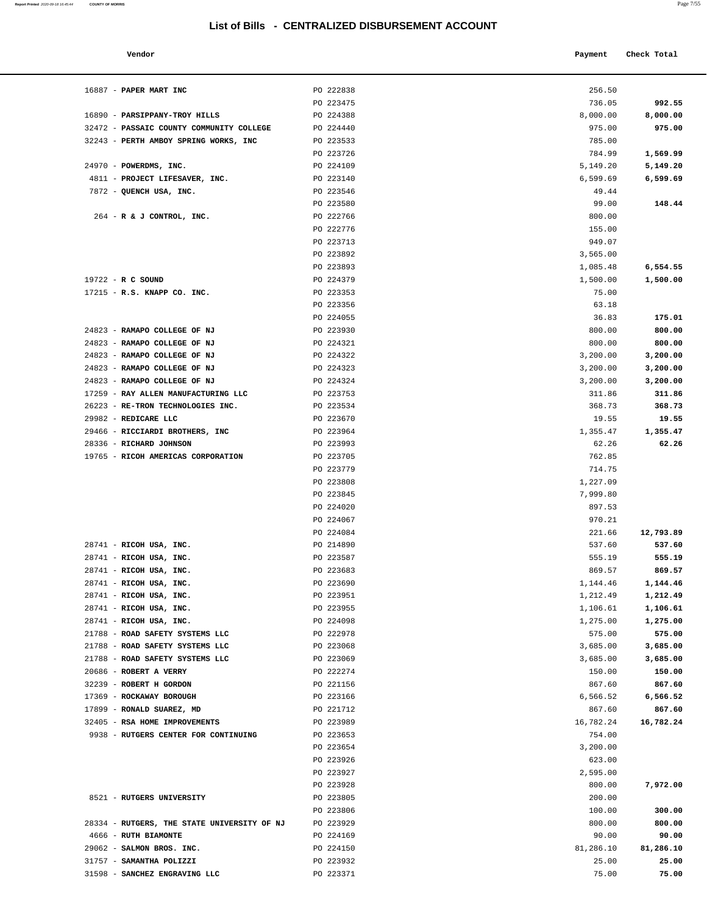PO 223580

PO 222776 PO 223713

#### **Vendor Payment** Check Total **Payment** Check Total **Payment**

16887 - **PAPER MART INC PO 222838** 

16890 - **PARSIPPANY-TROY HILLS** PO 224388 32472 - **PASSAIC COUNTY COMMUNITY COLLEGE** PO 224440 32243 - **PERTH AMBOY SPRING WORKS, INC** PO 223533

24970 - **POWERDMS, INC. PO 224109** 4811 - **PROJECT LIFESAVER, INC.** PO 223140 7872 - QUENCH USA, INC. **PO 223546** 

264 - **R & J CONTROL, INC.** PO 222766

19722 - **R C SOUND PO 224379** 17215 - **R.S. KNAPP CO. INC.** PO 223353

24823 - **RAMAPO COLLEGE OF NJ PO 223930** 24823 - **RAMAPO COLLEGE OF NJ PO 224321** 24823 - **RAMAPO COLLEGE OF NJ PO 224322** 24823 - **RAMAPO COLLEGE OF NJ PO 224323** 24823 - **RAMAPO COLLEGE OF NJ PO 224324** 17259 - **RAY ALLEN MANUFACTURING LLC** PO 223753 26223 - **RE-TRON TECHNOLOGIES INC.** PO 223534 29982 - **REDICARE LLC** PO 223670 29466 - **RICCIARDI BROTHERS, INC** PO 223964 28336 - **RICHARD JOHNSON PO 223993** 19765 - **RICOH AMERICAS CORPORATION** PO 223705

28741 - **RICOH USA, INC.** PO 214890 28741 - **RICOH USA, INC. PO 223587** 28741 - **RICOH USA, INC. PO 223683** 28741 - **RICOH USA, INC. PO 223690** 28741 - **RICOH USA, INC. PO 223951** 28741 - **RICOH USA, INC. PO 223955** 28741 - **RICOH USA, INC. PO 224098** 21788 - **ROAD SAFETY SYSTEMS LLC** PO 222978 21788 - **ROAD SAFETY SYSTEMS LLC PO 223068** 21788 - **ROAD SAFETY SYSTEMS LLC** PO 223069 20686 - **ROBERT A VERRY** PO 222274 150.00 **150.00** 32239 - **ROBERT H GORDON PO 221156** 17369 - **ROCKAWAY BOROUGH PO 223166** 17899 - **RONALD SUAREZ, MD PO 221712** 32405 - **RSA HOME IMPROVEMENTS** PO 223989 9938 - **RUTGERS CENTER FOR CONTINUING** PO 223653

8521 - **RUTGERS UNIVERSITY** PO 223805

28334 - **RUTGERS, THE STATE UNIVERSITY OF NJ** PO 223929 4666 - **RUTH BIAMONTE** PO 224169 90.00 **90.00** 29062 - **SALMON BROS. INC. PO 224150**  31757 - **SAMANTHA POLIZZI** PO 223932 25.00 **25.00** 31598 - **SANCHEZ ENGRAVING LLC** PO 223371

**Report Printed** 2020-09-18 16:45:44 **COUNTY OF MORRIS** Page 7/55

| a.<br>u. | . .<br>۰<br>٠ |
|----------|---------------|
|          |               |

| PO 222838 | 256.50    |           |
|-----------|-----------|-----------|
| PO 223475 | 736.05    | 992.55    |
| PO 224388 | 8,000.00  | 8,000.00  |
| PO 224440 | 975.00    | 975.00    |
| PO 223533 | 785.00    |           |
| PO 223726 | 784.99    | 1,569.99  |
| PO 224109 | 5,149.20  | 5,149.20  |
| PO 223140 | 6,599.69  | 6,599.69  |
| PO 223546 | 49.44     |           |
| PO 223580 | 99.00     | 148.44    |
| PO 222766 | 800.00    |           |
| PO 222776 | 155.00    |           |
| PO 223713 | 949.07    |           |
| PO 223892 | 3,565.00  |           |
| PO 223893 | 1,085.48  | 6,554.55  |
| PO 224379 | 1,500.00  | 1,500.00  |
| PO 223353 | 75.00     |           |
| PO 223356 | 63.18     |           |
| PO 224055 | 36.83     | 175.01    |
| PO 223930 | 800.00    | 800.00    |
| PO 224321 | 800.00    | 800.00    |
| PO 224322 | 3,200.00  | 3,200.00  |
| PO 224323 | 3,200.00  | 3,200.00  |
| PO 224324 | 3,200.00  | 3,200.00  |
| PO 223753 | 311.86    | 311.86    |
| PO 223534 | 368.73    | 368.73    |
| PO 223670 | 19.55     | 19.55     |
| PO 223964 | 1,355.47  | 1,355.47  |
| PO 223993 | 62.26     | 62.26     |
| PO 223705 | 762.85    |           |
| PO 223779 | 714.75    |           |
| PO 223808 | 1,227.09  |           |
| PO 223845 | 7,999.80  |           |
| PO 224020 | 897.53    |           |
| PO 224067 | 970.21    |           |
| PO 224084 | 221.66    | 12,793.89 |
| PO 214890 | 537.60    | 537.60    |
| PO 223587 | 555.19    | 555.19    |
| PO 223683 | 869.57    | 869.57    |
| PO 223690 | 1,144.46  | 1,144.46  |
| PO 223951 | 1,212.49  | 1,212.49  |
| PO 223955 | 1,106.61  | 1,106.61  |
| PO 224098 | 1,275.00  | 1,275.00  |
| PO 222978 | 575.00    | 575.00    |
| PO 223068 | 3,685.00  | 3,685.00  |
| PO 223069 | 3,685.00  | 3,685.00  |
| PO 222274 | 150.00    | 150.00    |
| PO 221156 | 867.60    | 867.60    |
| PO 223166 | 6,566.52  | 6,566.52  |
| PO 221712 | 867.60    | 867.60    |
| PO 223989 | 16,782.24 | 16,782.24 |
| PO 223653 | 754.00    |           |
| PO 223654 | 3,200.00  |           |
| PO 223926 | 623.00    |           |
| PO 223927 | 2,595.00  |           |
| PO 223928 | 800.00    | 7,972.00  |
| PO 223805 | 200.00    |           |
| PO 223806 | 100.00    | 300.00    |
| PO 223929 | 800.00    | 800.00    |
| PO 224169 | 90.00     | 90.00     |
| PO 224150 | 81,286.10 | 81,286.10 |
| PO 223932 | 25.00     | 25.00     |
| PO 223371 | 75.00     | 75.00     |
|           |           |           |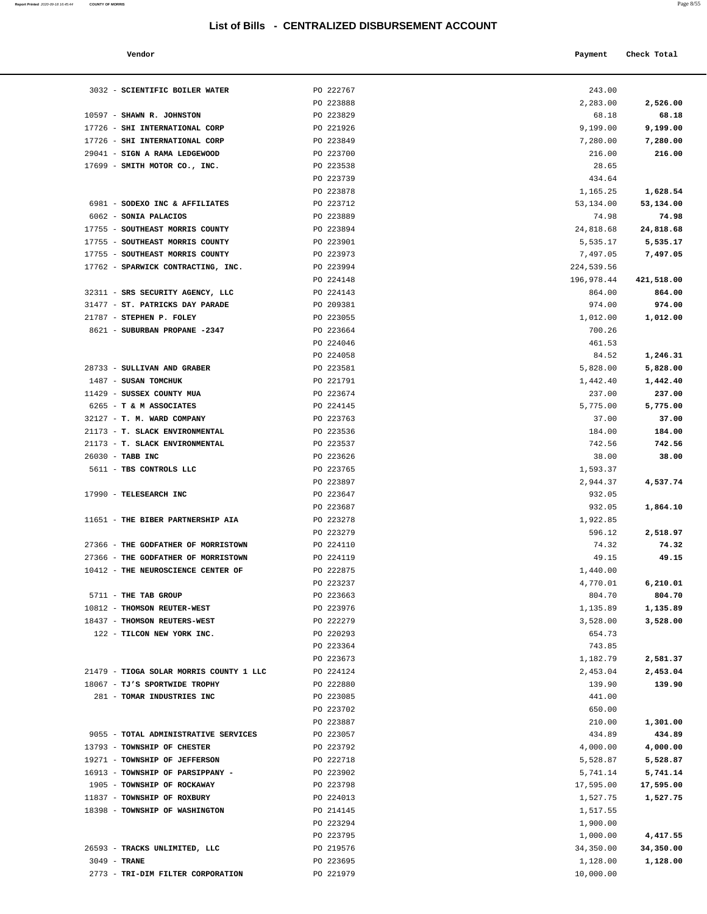**Report Printed 2020-09-18 16:45:44** COUNTY OF MORRIS

|                                |                                                  |            | $1 \text{ age}$ $0.55$ |
|--------------------------------|--------------------------------------------------|------------|------------------------|
|                                | List of Bills - CENTRALIZED DISBURSEMENT ACCOUNT |            |                        |
| Vendor                         |                                                  | Payment    | Check Total            |
| SCIENTIFIC BOILER WATER        | PO 222767                                        | 243.00     |                        |
|                                | PO 223888                                        | 2,283.00   | 2,526.00               |
| <b>SHAWN R. JOHNSTON</b>       | PO 223829                                        | 68.18      | 68.18                  |
| SHI INTERNATIONAL CORP         | PO 221926                                        | 9,199.00   | 9,199.00               |
| <b>SHI INTERNATIONAL CORP</b>  | PO 223849                                        | 7,280.00   | 7,280.00               |
| <b>SIGN A RAMA LEDGEWOOD</b>   | PO 223700                                        | 216.00     | 216.00                 |
| SMITH MOTOR CO., INC.          | PO 223538                                        | 28.65      |                        |
|                                | PO 223739                                        | 434.64     |                        |
|                                | PO 223878                                        | 1,165.25   | 1,628.54               |
| SODEXO INC & AFFILIATES        | PO 223712                                        | 53,134.00  | 53,134.00              |
| <b>SONIA PALACIOS</b>          | PO 223889                                        | 74.98      | 74.98                  |
| SOUTHEAST MORRIS COUNTY        | PO 223894                                        | 24,818.68  | 24,818.68              |
| SOUTHEAST MORRIS COUNTY        | PO 223901                                        | 5,535.17   | 5,535.17               |
| SOUTHEAST MORRIS COUNTY        | PO 223973                                        | 7,497.05   | 7,497.05               |
| SPARWICK CONTRACTING, INC.     | PO 223994                                        | 224,539.56 |                        |
|                                | PO 224148                                        | 196,978.44 | 421,518.00             |
| SRS SECURITY AGENCY, LLC       | PO 224143                                        | 864.00     | 864.00                 |
| <b>ST. PATRICKS DAY PARADE</b> | PO 209381                                        | 974.00     | 974.00                 |
| STEPHEN P. FOLEY               | PO 223055                                        | 1,012.00   | 1,012.00               |
| <b>SUBURBAN PROPANE -2347</b>  | PO 223664                                        | 700.26     |                        |
|                                | PO 224046                                        | 461.53     |                        |
|                                | PO 224058                                        | 84.52      | 1,246.31               |
| SULLIVAN AND GRABER            | PO 223581                                        | 5,828.00   | 5,828.00               |
| SUSAN TOMCHUK                  | PO 221791                                        | 1,442.40   | 1,442.40               |
| SUSSEX COUNTY MUA              | PO 223674                                        | 237.00     | 237.00                 |
| <b>T &amp; M ASSOCIATES</b>    | PO 224145                                        | 5,775.00   | 5,775.00               |
| T. M. WARD COMPANY             | PO 223763                                        | 37.00      | 37.00                  |
| <b>T. SLACK ENVIRONMENTAL</b>  | PO 223536                                        | 184.00     | 184.00                 |
| T. SLACK ENVIRONMENTAL         | PO 223537                                        | 742.56     | 742.56                 |
| TABB INC                       | PO 223626                                        | 38.00      | 38.00                  |
| TBS CONTROLS LLC               | PO 223765                                        | 1,593.37   |                        |
|                                | PO 223897                                        | 2,944.37   | 4,537.74               |
| TELESEARCH INC                 | PO 223647                                        | 932.05     |                        |
|                                | PO 223687                                        | 932.05     | 1,864.10               |
| THE BIBER PARTNERSHIP AIA      | PO 223278                                        | 1,922.85   |                        |
|                                | PO 223279                                        | 596.12     | 2,518.97               |
| THE GODFATHER OF MORRISTOWN    | PO 224110                                        | 74.32      | 74.32                  |
| THE GODFATHER OF MORRISTOWN    | PO 224119                                        | 49.15      | 49.15                  |
| THE NEUROSCIENCE CENTER OF     | PO 222875                                        | 1,440.00   |                        |
|                                | PO 223237                                        | 4,770.01   | 6,210.01               |
| THE TAB GROUP                  | PO 223663                                        | 804.70     | 804.70                 |
| <b>THOMSON REUTER-WEST</b>     | PO 223976                                        | 1,135.89   | 1,135.89               |
| THOMSON REUTERS-WEST           | PO 222279                                        | 3,528.00   | 3,528.00               |
| TILCON NEW YORK INC.           | PO 220293                                        | 654.73     |                        |
|                                | PO 223364                                        | 743.85     |                        |

| 3032 - SCIENTIFIC BOILER WATER          | PO 222767 | 243.00     |            |
|-----------------------------------------|-----------|------------|------------|
|                                         | PO 223888 | 2,283.00   | 2,526.00   |
| 10597 - SHAWN R. JOHNSTON               | PO 223829 | 68.18      | 68.18      |
| 17726 - SHI INTERNATIONAL CORP          | PO 221926 | 9,199.00   | 9,199.00   |
| 17726 - SHI INTERNATIONAL CORP          | PO 223849 | 7,280.00   | 7,280.00   |
| 29041 - SIGN A RAMA LEDGEWOOD           | PO 223700 | 216.00     | 216.00     |
| 17699 - SMITH MOTOR CO., INC.           | PO 223538 | 28.65      |            |
|                                         | PO 223739 | 434.64     |            |
|                                         | PO 223878 | 1,165.25   | 1,628.54   |
| 6981 - SODEXO INC & AFFILIATES          | PO 223712 | 53,134.00  | 53,134.00  |
| 6062 - SONIA PALACIOS                   | PO 223889 | 74.98      | 74.98      |
| 17755 - SOUTHEAST MORRIS COUNTY         | PO 223894 | 24,818.68  | 24,818.68  |
| 17755 - SOUTHEAST MORRIS COUNTY         | PO 223901 | 5,535.17   | 5,535.17   |
| 17755 - SOUTHEAST MORRIS COUNTY         | PO 223973 | 7,497.05   | 7,497.05   |
| 17762 - SPARWICK CONTRACTING, INC.      | PO 223994 | 224,539.56 |            |
|                                         | PO 224148 | 196,978.44 | 421,518.00 |
| 32311 - SRS SECURITY AGENCY, LLC        | PO 224143 | 864.00     | 864.00     |
| 31477 - ST. PATRICKS DAY PARADE         | PO 209381 | 974.00     | 974.00     |
| 21787 - STEPHEN P. FOLEY                | PO 223055 | 1,012.00   | 1,012.00   |
| 8621 - SUBURBAN PROPANE -2347           | PO 223664 | 700.26     |            |
|                                         | PO 224046 | 461.53     |            |
|                                         | PO 224058 | 84.52      |            |
|                                         |           |            | 1,246.31   |
| 28733 - SULLIVAN AND GRABER             | PO 223581 | 5,828.00   | 5,828.00   |
| 1487 - SUSAN TOMCHUK                    | PO 221791 | 1,442.40   | 1,442.40   |
| 11429 - SUSSEX COUNTY MUA               | PO 223674 | 237.00     | 237.00     |
| 6265 - T & M ASSOCIATES                 | PO 224145 | 5,775.00   | 5,775.00   |
| 32127 - T. M. WARD COMPANY              | PO 223763 | 37.00      | 37.00      |
| 21173 - T. SLACK ENVIRONMENTAL          | PO 223536 | 184.00     | 184.00     |
| 21173 - T. SLACK ENVIRONMENTAL          | PO 223537 | 742.56     | 742.56     |
| 26030 - TABB INC                        | PO 223626 | 38.00      | 38.00      |
| 5611 - TBS CONTROLS LLC                 | PO 223765 | 1,593.37   |            |
|                                         | PO 223897 | 2,944.37   | 4,537.74   |
| 17990 - TELESEARCH INC                  | PO 223647 | 932.05     |            |
|                                         | PO 223687 | 932.05     | 1,864.10   |
| 11651 - THE BIBER PARTNERSHIP AIA       | PO 223278 | 1,922.85   |            |
|                                         | PO 223279 | 596.12     | 2,518.97   |
| 27366 - THE GODFATHER OF MORRISTOWN     | PO 224110 | 74.32      | 74.32      |
| 27366 - THE GODFATHER OF MORRISTOWN     | PO 224119 | 49.15      | 49.15      |
| 10412 - THE NEUROSCIENCE CENTER OF      | PO 222875 | 1,440.00   |            |
|                                         | PO 223237 | 4,770.01   | 6,210.01   |
| 5711 - THE TAB GROUP                    | PO 223663 | 804.70     | 804.70     |
| 10812 - THOMSON REUTER-WEST             | PO 223976 | 1,135.89   | 1,135.89   |
| 18437 - THOMSON REUTERS-WEST            | PO 222279 | 3,528.00   | 3,528.00   |
| 122 - TILCON NEW YORK INC.              | PO 220293 |            |            |
|                                         |           | 654.73     |            |
|                                         | PO 223364 | 743.85     |            |
|                                         | PO 223673 | 1,182.79   | 2,581.37   |
| 21479 - TIOGA SOLAR MORRIS COUNTY 1 LLC | PO 224124 | 2,453.04   | 2,453.04   |
| 18067 - TJ'S SPORTWIDE TROPHY           | PO 222880 | 139.90     | 139.90     |
| 281 - TOMAR INDUSTRIES INC              | PO 223085 | 441.00     |            |
|                                         | PO 223702 | 650.00     |            |
|                                         | PO 223887 | 210.00     | 1,301.00   |
| 9055 - TOTAL ADMINISTRATIVE SERVICES    | PO 223057 | 434.89     | 434.89     |
| 13793 - TOWNSHIP OF CHESTER             | PO 223792 | 4,000.00   | 4,000.00   |
| 19271 - TOWNSHIP OF JEFFERSON           | PO 222718 | 5,528.87   | 5,528.87   |
| 16913 - TOWNSHIP OF PARSIPPANY -        | PO 223902 | 5,741.14   | 5,741.14   |
| 1905 - TOWNSHIP OF ROCKAWAY             | PO 223798 | 17,595.00  | 17,595.00  |
| 11837 - TOWNSHIP OF ROXBURY             | PO 224013 | 1,527.75   | 1,527.75   |
| 18398 - TOWNSHIP OF WASHINGTON          | PO 214145 | 1,517.55   |            |
|                                         | PO 223294 | 1,900.00   |            |
|                                         | PO 223795 | 1,000.00   | 4,417.55   |
| 26593 - TRACKS UNLIMITED, LLC           | PO 219576 | 34,350.00  | 34,350.00  |
|                                         |           |            |            |

3049 - **TRANE** PO 223695 1,128.00 **1,128.00**

2773 - **TRI-DIM FILTER CORPORATION PO 221979 10,000.00**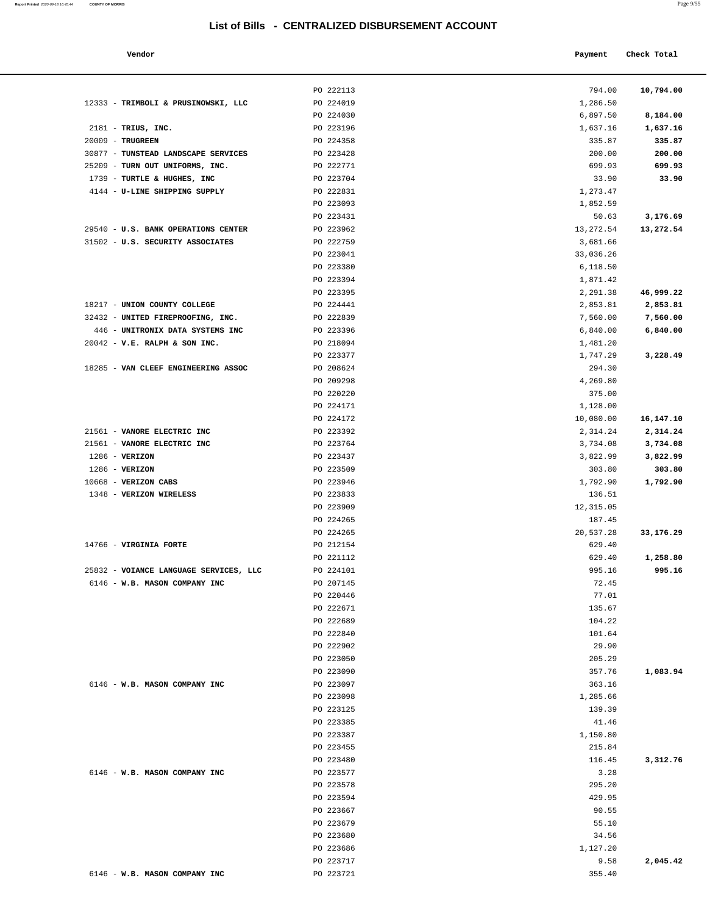#### **Vendor Payment Check Total**

2181 - **TRIUS, INC.** 20009 - **TRUGREEN** PO 224358 335.87 **335.87**

12333 - TRIMBOLI & PRUSINOWSKI, LLC

30877 - **TUNSTEAD LANDSCAPE SERVICES**  25209 - **TURN OUT UNIFORMS, INC.** PO 222771 699.93 **699.93** 1739 - **TURTLE & HUGHES, INC** 4144 - **U-LINE SHIPPING SUPPLY** 

29540 - **U.S. BANK OPERATIONS CENTER** 31502 - **U.S. SECURITY ASSOCIATES** 

18285 - **VAN CLEEF ENGINEERING ASSOC** 

18217 - **UNION COUNTY COLLEGE** 32432 - **UNITED FIREPROOFING, INC.**  446 - **UNITRONIX DATA SYSTEMS INC** PO 223396 6,840.00 **6,840.00** 20042 - **V.E. RALPH & SON INC.** 

 21561 - **VANORE ELECTRIC INC** PO 223392 2,314.24 **2,314.24** 21561 - **VANORE ELECTRIC INC** PO 223764 3,734.08 **3,734.08**

1286 - **VERIZON**  1286 - **VERIZON** PO 223509 303.80 **303.80** 10668 - **VERIZON CABS** 1348 - **VERIZON WIRELESS** 

14766 - **VIRGINIA FORTE** 

25832 - **VOIANCE LANGUAGE SERVICES, LLC** 6146 - **W.B. MASON COMPANY INC** 

6146 - **W.B. MASON COMPANY INC** 

6146 - **W.B. MASON COMPANY INC** 

6146 - **W.B. MASON COMPANY INC** 

**Report Printed** 2020-09-18 16:45:44 **COUNTY OF MORRIS** 

| a.<br>I | . .<br>٧<br>٠ |
|---------|---------------|
|         |               |

| PO 222113 | 794.00     | 10,794.00 |
|-----------|------------|-----------|
| PO 224019 | 1,286.50   |           |
| PO 224030 | 6,897.50   | 8,184.00  |
| PO 223196 | 1,637.16   | 1,637.16  |
| PO 224358 | 335.87     | 335.87    |
| PO 223428 | 200.00     | 200.00    |
| PO 222771 | 699.93     | 699.93    |
| PO 223704 | 33.90      | 33.90     |
| PO 222831 | 1,273.47   |           |
| PO 223093 | 1,852.59   |           |
| PO 223431 | 50.63      | 3,176.69  |
| PO 223962 | 13, 272.54 | 13,272.54 |
| PO 222759 | 3,681.66   |           |
| PO 223041 | 33,036.26  |           |
| PO 223380 | 6,118.50   |           |
| PO 223394 | 1,871.42   |           |
| PO 223395 | 2,291.38   | 46,999.22 |
| PO 224441 | 2,853.81   | 2,853.81  |
| PO 222839 | 7,560.00   | 7,560.00  |
| PO 223396 | 6,840.00   | 6,840.00  |
| PO 218094 | 1,481.20   |           |
| PO 223377 | 1,747.29   | 3,228.49  |
| PO 208624 | 294.30     |           |
| PO 209298 | 4,269.80   |           |
| PO 220220 | 375.00     |           |
| PO 224171 | 1,128.00   |           |
| PO 224172 | 10,080.00  | 16,147.10 |
| PO 223392 | 2,314.24   | 2,314.24  |
| PO 223764 | 3,734.08   | 3,734.08  |
| PO 223437 | 3,822.99   | 3,822.99  |
| PO 223509 | 303.80     | 303.80    |
| PO 223946 | 1,792.90   | 1,792.90  |
| PO 223833 | 136.51     |           |
| PO 223909 | 12,315.05  |           |
| PO 224265 | 187.45     |           |
| PO 224265 | 20,537.28  | 33,176.29 |
| PO 212154 | 629.40     |           |
| PO 221112 | 629.40     | 1,258.80  |
| PO 224101 | 995.16     | 995.16    |
| PO 207145 | 72.45      |           |
| PO 220446 | 77.01      |           |
| PO 222671 | 135.67     |           |
| PO 222689 | 104.22     |           |
| PO 222840 | 101.64     |           |
| PO 222902 | 29.90      |           |
| PO 223050 | 205.29     |           |
| PO 223090 | 357.76     | 1,083.94  |
| PO 223097 | 363.16     |           |
| PO 223098 | 1,285.66   |           |
| PO 223125 | 139.39     |           |
| PO 223385 | 41.46      |           |
| PO 223387 | 1,150.80   |           |
| PO 223455 | 215.84     |           |
| PO 223480 | 116.45     | 3,312.76  |
|           |            |           |
| PO 223577 | 3.28       |           |
| PO 223578 | 295.20     |           |
| PO 223594 | 429.95     |           |
| PO 223667 | 90.55      |           |
| PO 223679 | 55.10      |           |
| PO 223680 | 34.56      |           |
| PO 223686 | 1,127.20   |           |
| PO 223717 | 9.58       | 2,045.42  |
| PO 223721 | 355.40     |           |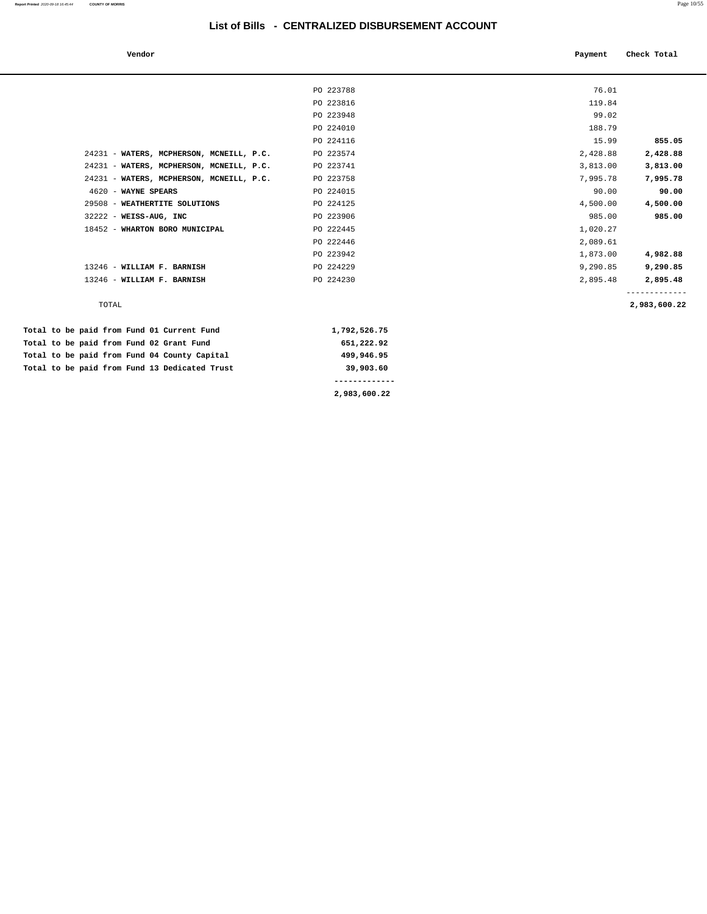| Vendor                                   |           | Payment  | Check Total  |
|------------------------------------------|-----------|----------|--------------|
|                                          | PO 223788 | 76.01    |              |
|                                          | PO 223816 | 119.84   |              |
|                                          | PO 223948 | 99.02    |              |
|                                          | PO 224010 | 188.79   |              |
|                                          | PO 224116 | 15.99    | 855.05       |
| 24231 - WATERS, MCPHERSON, MCNEILL, P.C. | PO 223574 | 2,428.88 | 2,428.88     |
| 24231 - WATERS, MCPHERSON, MCNEILL, P.C. | PO 223741 | 3,813.00 | 3,813.00     |
| 24231 - WATERS, MCPHERSON, MCNEILL, P.C. | PO 223758 | 7,995.78 | 7,995.78     |
| 4620 - WAYNE SPEARS                      | PO 224015 | 90.00    | 90.00        |
| 29508 - WEATHERTITE SOLUTIONS            | PO 224125 | 4,500.00 | 4,500.00     |
| $32222 - W E I S S - A U G$ , INC        | PO 223906 | 985.00   | 985.00       |
| 18452 - WHARTON BORO MUNICIPAL           | PO 222445 | 1,020.27 |              |
|                                          | PO 222446 | 2,089.61 |              |
|                                          | PO 223942 | 1,873.00 | 4,982.88     |
| 13246 - WILLIAM F. BARNISH               | PO 224229 | 9,290.85 | 9,290.85     |
| 13246 - WILLIAM F. BARNISH               | PO 224230 | 2,895.48 | 2,895.48     |
| TOTAL                                    |           |          | 2,983,600.22 |

|  |  |  |  |                                               | 2,983,600.22 |
|--|--|--|--|-----------------------------------------------|--------------|
|  |  |  |  | Total to be paid from Fund 13 Dedicated Trust | 39,903.60    |
|  |  |  |  | Total to be paid from Fund 04 County Capital  | 499,946,95   |
|  |  |  |  | Total to be paid from Fund 02 Grant Fund      | 651,222.92   |
|  |  |  |  | Total to be paid from Fund 01 Current Fund    | 1,792,526.75 |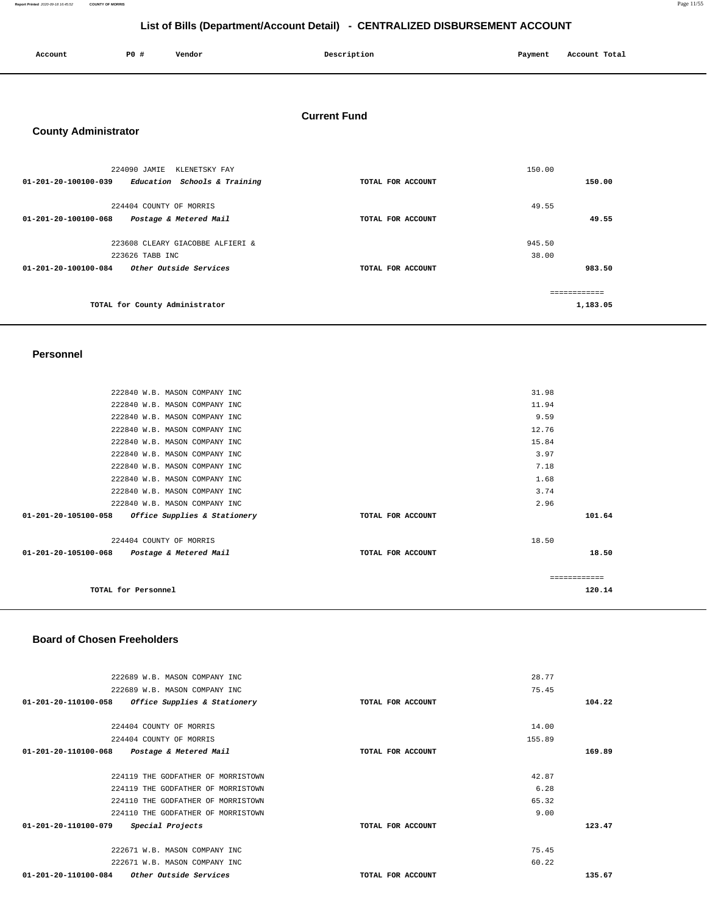**Report Printed** 2020-09-18 16:45:52 **COUNTY OF MORRIS** Page 11/55

# **List of Bills (Department/Account Detail) - CENTRALIZED DISBURSEMENT ACCOUNT**

| Account | $PO+$ | Vendor | Description | Payment | Account Total |
|---------|-------|--------|-------------|---------|---------------|
|         |       |        |             |         |               |

# **Current Fund**

# **County Administrator**

| 224090 JAMIE<br>KLENETSKY FAY                            |                   | 150.00       |
|----------------------------------------------------------|-------------------|--------------|
| 01-201-20-100100-039<br>Education Schools & Training     | TOTAL FOR ACCOUNT | 150.00       |
| 224404 COUNTY OF MORRIS                                  |                   | 49.55        |
| 01-201-20-100100-068<br>Postage & Metered Mail           | TOTAL FOR ACCOUNT | 49.55        |
| 223608 CLEARY GIACOBBE ALFIERI &                         |                   | 945.50       |
| 223626 TABB INC                                          |                   | 38.00        |
| Other Outside Services<br>$01 - 201 - 20 - 100100 - 084$ | TOTAL FOR ACCOUNT | 983.50       |
|                                                          |                   | ------------ |
| TOTAL for County Administrator                           |                   | 1,183.05     |

#### **Personnel**

| 222840 W.B. MASON COMPANY INC                        |                   | 31.98         |
|------------------------------------------------------|-------------------|---------------|
|                                                      |                   |               |
| 222840 W.B. MASON COMPANY INC                        |                   | 11.94         |
| 222840 W.B. MASON COMPANY INC                        |                   | 9.59          |
| 222840 W.B. MASON COMPANY INC                        |                   | 12.76         |
| 222840 W.B. MASON COMPANY INC                        |                   | 15.84         |
| 222840 W.B. MASON COMPANY INC                        |                   | 3.97          |
| 222840 W.B. MASON COMPANY INC                        |                   | 7.18          |
| 222840 W.B. MASON COMPANY INC                        |                   | 1.68          |
| 222840 W.B. MASON COMPANY INC                        |                   | 3.74          |
| 222840 W.B. MASON COMPANY INC                        |                   | 2.96          |
| 01-201-20-105100-058<br>Office Supplies & Stationery | TOTAL FOR ACCOUNT | 101.64        |
| 224404 COUNTY OF MORRIS                              |                   | 18.50         |
|                                                      |                   |               |
| 01-201-20-105100-068 Postage & Metered Mail          | TOTAL FOR ACCOUNT | 18.50         |
|                                                      |                   |               |
|                                                      |                   | ------------- |
| TOTAL for Personnel                                  |                   | 120.14        |
|                                                      |                   |               |

#### **Board of Chosen Freeholders**

| 222689 W.B. MASON COMPANY INC                                  |                   | 28.77  |        |
|----------------------------------------------------------------|-------------------|--------|--------|
| 222689 W.B. MASON COMPANY INC                                  |                   | 75.45  |        |
| $01 - 201 - 20 - 110100 - 058$<br>Office Supplies & Stationery | TOTAL FOR ACCOUNT |        | 104.22 |
|                                                                |                   |        |        |
| 224404 COUNTY OF MORRIS                                        |                   | 14.00  |        |
| 224404 COUNTY OF MORRIS                                        |                   | 155.89 |        |
| 01-201-20-110100-068<br>Postage & Metered Mail                 | TOTAL FOR ACCOUNT |        | 169.89 |
|                                                                |                   |        |        |
| 224119 THE GODFATHER OF MORRISTOWN                             |                   | 42.87  |        |
| 224119 THE GODFATHER OF MORRISTOWN                             |                   | 6.28   |        |
| 224110 THE GODFATHER OF MORRISTOWN                             |                   | 65.32  |        |
| 224110 THE GODFATHER OF MORRISTOWN                             |                   | 9.00   |        |
| 01-201-20-110100-079<br>Special Projects                       | TOTAL FOR ACCOUNT |        | 123.47 |
| 222671 W.B. MASON COMPANY INC                                  |                   | 75.45  |        |
|                                                                |                   |        |        |
| 222671 W.B. MASON COMPANY INC                                  |                   | 60.22  |        |
| 01-201-20-110100-084<br>Other Outside Services                 | TOTAL FOR ACCOUNT |        | 135.67 |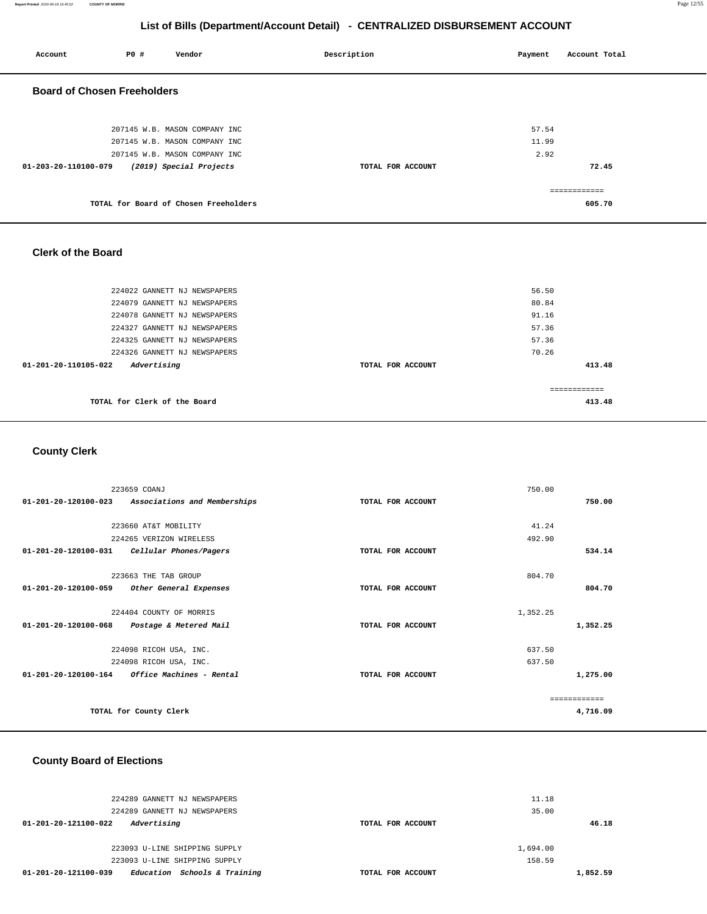**Report Printed** 2020-09-18 16:45:52 **COUNTY OF MORRIS** Page 12/55

# **List of Bills (Department/Account Detail) - CENTRALIZED DISBURSEMENT ACCOUNT**

| Account                            | <b>PO #</b> | Vendor                                                         | Description       | Payment        | Account Total |
|------------------------------------|-------------|----------------------------------------------------------------|-------------------|----------------|---------------|
| <b>Board of Chosen Freeholders</b> |             |                                                                |                   |                |               |
|                                    |             | 207145 W.B. MASON COMPANY INC<br>207145 W.B. MASON COMPANY INC |                   | 57.54<br>11.99 |               |
|                                    |             | 207145 W.B. MASON COMPANY INC                                  |                   | 2.92           |               |
| 01-203-20-110100-079               |             | (2019) Special Projects                                        | TOTAL FOR ACCOUNT |                | 72.45         |
|                                    |             |                                                                |                   |                | ============  |
|                                    |             | TOTAL for Board of Chosen Freeholders                          |                   |                | 605.70        |
|                                    |             |                                                                |                   |                |               |

#### **Clerk of the Board**

| 224022 GANNETT NJ NEWSPAPERS        |                   | 56.50         |
|-------------------------------------|-------------------|---------------|
| 224079 GANNETT NJ NEWSPAPERS        |                   | 80.84         |
| 224078 GANNETT NJ NEWSPAPERS        |                   | 91.16         |
| 224327 GANNETT NJ NEWSPAPERS        |                   | 57.36         |
| 224325 GANNETT NJ NEWSPAPERS        |                   | 57.36         |
| 224326 GANNETT NJ NEWSPAPERS        |                   | 70.26         |
| Advertising<br>01-201-20-110105-022 | TOTAL FOR ACCOUNT | 413.48        |
|                                     |                   |               |
|                                     |                   | ------------- |
| TOTAL for Clerk of the Board        |                   | 413.48        |
|                                     |                   |               |

# **County Clerk**

|                                | 223659 COANJ                 |                   | 750.00   |              |
|--------------------------------|------------------------------|-------------------|----------|--------------|
| 01-201-20-120100-023           | Associations and Memberships | TOTAL FOR ACCOUNT |          | 750.00       |
|                                |                              |                   |          |              |
|                                | 223660 AT&T MOBILITY         |                   | 41.24    |              |
|                                | 224265 VERIZON WIRELESS      |                   | 492.90   |              |
| 01-201-20-120100-031           | Cellular Phones/Pagers       | TOTAL FOR ACCOUNT |          | 534.14       |
|                                |                              |                   |          |              |
|                                | 223663 THE TAB GROUP         |                   | 804.70   |              |
| 01-201-20-120100-059           | Other General Expenses       | TOTAL FOR ACCOUNT |          | 804.70       |
|                                |                              |                   |          |              |
|                                | 224404 COUNTY OF MORRIS      |                   | 1,352.25 |              |
| 01-201-20-120100-068           | Postage & Metered Mail       | TOTAL FOR ACCOUNT |          | 1,352.25     |
|                                |                              |                   |          |              |
|                                | 224098 RICOH USA, INC.       |                   | 637.50   |              |
|                                | 224098 RICOH USA, INC.       |                   | 637.50   |              |
| $01 - 201 - 20 - 120100 - 164$ | Office Machines - Rental     | TOTAL FOR ACCOUNT |          | 1,275.00     |
|                                |                              |                   |          |              |
|                                |                              |                   |          | ------------ |
|                                | TOTAL for County Clerk       |                   |          | 4,716.09     |
|                                |                              |                   |          |              |

# **County Board of Elections**

| 224289 GANNETT NJ NEWSPAPERS<br>224289 GANNETT NJ NEWSPAPERS | 11.18<br>35.00    |          |
|--------------------------------------------------------------|-------------------|----------|
| Advertising<br>01-201-20-121100-022                          | TOTAL FOR ACCOUNT | 46.18    |
| 223093 U-LINE SHIPPING SUPPLY                                | 1,694.00          |          |
| 223093 U-LINE SHIPPING SUPPLY                                | 158.59            |          |
| Schools & Training<br>01-201-20-121100-039<br>Education      | TOTAL FOR ACCOUNT | 1,852.59 |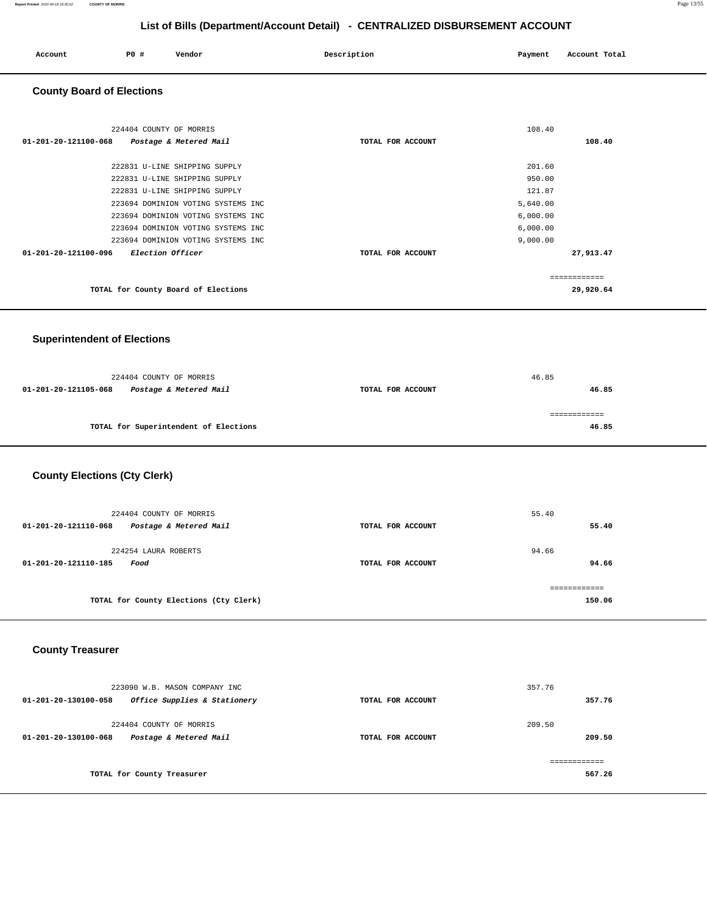| Account | <b>PO #</b> | Vendor | Description | Payment | Account Total |
|---------|-------------|--------|-------------|---------|---------------|
| .       |             |        |             |         | .             |
|         |             |        |             |         |               |
|         |             |        |             |         |               |

## **County Board of Elections**

| 224404 COUNTY OF MORRIS                         |                   | 108.40        |
|-------------------------------------------------|-------------------|---------------|
| 01-201-20-121100-068<br>Postage & Metered Mail  | TOTAL FOR ACCOUNT | 108.40        |
|                                                 |                   |               |
| 222831 U-LINE SHIPPING SUPPLY                   |                   | 201.60        |
| 222831 U-LINE SHIPPING SUPPLY                   |                   | 950.00        |
| 222831 U-LINE SHIPPING SUPPLY                   |                   | 121.87        |
| 223694 DOMINION VOTING SYSTEMS INC              |                   | 5,640.00      |
| 223694 DOMINION VOTING SYSTEMS INC              |                   | 6,000.00      |
| 223694 DOMINION VOTING SYSTEMS INC              |                   | 6,000.00      |
| 223694 DOMINION VOTING SYSTEMS INC              |                   | 9,000.00      |
| 01-201-20-121100-096<br><i>Election Officer</i> | TOTAL FOR ACCOUNT | 27,913.47     |
|                                                 |                   | ------------- |
| TOTAL for County Board of Elections             |                   | 29,920.64     |

## **Superintendent of Elections**

| 224404 COUNTY OF MORRIS                        |                   | 46.85        |
|------------------------------------------------|-------------------|--------------|
| Postage & Metered Mail<br>01-201-20-121105-068 | TOTAL FOR ACCOUNT | 46.85        |
|                                                |                   |              |
|                                                |                   | ============ |
| TOTAL for Superintendent of Elections          |                   | 46.85        |
|                                                |                   |              |

# **County Elections (Cty Clerk)**

| 224404 COUNTY OF MORRIS<br>Postage & Metered Mail<br>01-201-20-121110-068 | TOTAL FOR ACCOUNT | 55.40<br>55.40          |
|---------------------------------------------------------------------------|-------------------|-------------------------|
| 224254 LAURA ROBERTS<br>01-201-20-121110-185<br>Food                      | TOTAL FOR ACCOUNT | 94.66<br>94.66          |
| TOTAL for County Elections (Cty Clerk)                                    |                   | -------------<br>150.06 |

## **County Treasurer**

| 223090 W.B. MASON COMPANY INC                                             |                   | 357.76           |
|---------------------------------------------------------------------------|-------------------|------------------|
| Office Supplies & Stationery<br>01-201-20-130100-058                      | TOTAL FOR ACCOUNT | 357.76           |
| 224404 COUNTY OF MORRIS<br>Postage & Metered Mail<br>01-201-20-130100-068 | TOTAL FOR ACCOUNT | 209.50<br>209.50 |
|                                                                           |                   |                  |
| TOTAL for County Treasurer                                                |                   | 567.26           |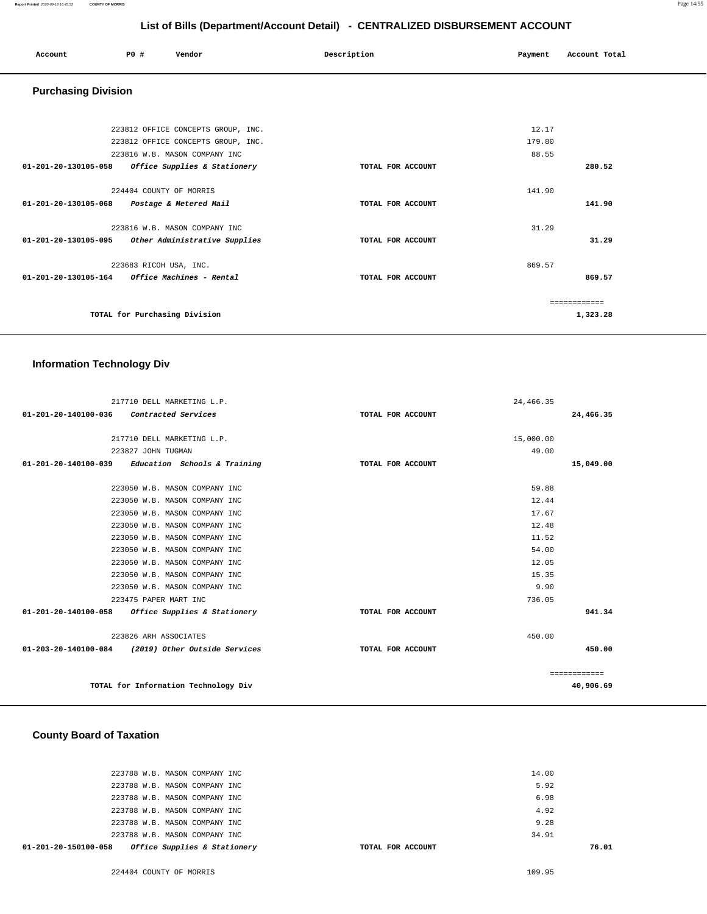| Account | P0 # | Vendor<br>. | Description | Payment | Account Total |
|---------|------|-------------|-------------|---------|---------------|
|         |      |             |             |         |               |

## **Purchasing Division**

|                                | 223812 OFFICE CONCEPTS GROUP, INC.     |                   | 12.17  |          |
|--------------------------------|----------------------------------------|-------------------|--------|----------|
|                                | 223812 OFFICE CONCEPTS GROUP, INC.     |                   | 179.80 |          |
|                                | 223816 W.B. MASON COMPANY INC          |                   | 88.55  |          |
| $01 - 201 - 20 - 130105 - 058$ | Office Supplies & Stationery           | TOTAL FOR ACCOUNT |        | 280.52   |
|                                | 224404 COUNTY OF MORRIS                |                   | 141.90 |          |
| 01-201-20-130105-068           | Postage & Metered Mail                 | TOTAL FOR ACCOUNT |        | 141.90   |
|                                | 223816 W.B. MASON COMPANY INC          |                   | 31.29  |          |
| 01-201-20-130105-095           | Other Administrative Supplies          | TOTAL FOR ACCOUNT |        | 31.29    |
|                                | 223683 RICOH USA, INC.                 |                   | 869.57 |          |
| 01-201-20-130105-164           | <i><b>Office Machines - Rental</b></i> | TOTAL FOR ACCOUNT |        | 869.57   |
|                                |                                        |                   |        |          |
|                                | TOTAL for Purchasing Division          |                   |        | 1,323.28 |

## **Information Technology Div**

| 223050 W.B. MASON COMPANY INC<br>223050 W.B. MASON COMPANY INC<br>223050 W.B. MASON COMPANY INC<br>223050 W.B. MASON COMPANY INC<br>223050 W.B. MASON COMPANY INC<br>223050 W.B. MASON COMPANY INC<br>223050 W.B. MASON COMPANY INC<br>223050 W.B. MASON COMPANY INC<br>223050 W.B. MASON COMPANY INC<br>223475 PAPER MART INC<br>01-201-20-140100-058<br>Office Supplies & Stationery<br>TOTAL FOR ACCOUNT | 59.88<br>12.44<br>17.67<br>12.48<br>11.52<br>54.00<br>12.05<br>15.35<br>9.90<br>736.05 | 941.34    |
|-------------------------------------------------------------------------------------------------------------------------------------------------------------------------------------------------------------------------------------------------------------------------------------------------------------------------------------------------------------------------------------------------------------|----------------------------------------------------------------------------------------|-----------|
|                                                                                                                                                                                                                                                                                                                                                                                                             |                                                                                        |           |
|                                                                                                                                                                                                                                                                                                                                                                                                             |                                                                                        |           |
|                                                                                                                                                                                                                                                                                                                                                                                                             |                                                                                        |           |
|                                                                                                                                                                                                                                                                                                                                                                                                             |                                                                                        |           |
|                                                                                                                                                                                                                                                                                                                                                                                                             |                                                                                        |           |
|                                                                                                                                                                                                                                                                                                                                                                                                             |                                                                                        |           |
|                                                                                                                                                                                                                                                                                                                                                                                                             |                                                                                        |           |
|                                                                                                                                                                                                                                                                                                                                                                                                             |                                                                                        |           |
|                                                                                                                                                                                                                                                                                                                                                                                                             |                                                                                        |           |
|                                                                                                                                                                                                                                                                                                                                                                                                             |                                                                                        |           |
|                                                                                                                                                                                                                                                                                                                                                                                                             |                                                                                        |           |
|                                                                                                                                                                                                                                                                                                                                                                                                             |                                                                                        |           |
| Education Schools & Training<br>01-201-20-140100-039<br>TOTAL FOR ACCOUNT                                                                                                                                                                                                                                                                                                                                   |                                                                                        | 15,049.00 |
| 223827 JOHN TUGMAN                                                                                                                                                                                                                                                                                                                                                                                          | 49.00                                                                                  |           |
| 217710 DELL MARKETING L.P.                                                                                                                                                                                                                                                                                                                                                                                  | 15,000.00                                                                              |           |
|                                                                                                                                                                                                                                                                                                                                                                                                             |                                                                                        | 24,466.35 |
|                                                                                                                                                                                                                                                                                                                                                                                                             |                                                                                        |           |
| 217710 DELL MARKETING L.P.<br>01-201-20-140100-036<br>Contracted Services<br>TOTAL FOR ACCOUNT                                                                                                                                                                                                                                                                                                              | 24, 466.35                                                                             |           |

## **County Board of Taxation**

| Office Supplies & Stationery<br>01-201-20-150100-058 | TOTAL FOR ACCOUNT | 76.01 |
|------------------------------------------------------|-------------------|-------|
| 223788 W.B. MASON COMPANY INC                        | 34.91             |       |
| 223788 W.B. MASON COMPANY INC                        | 9.28              |       |
| 223788 W.B. MASON COMPANY INC                        | 4.92              |       |
| 223788 W.B. MASON COMPANY INC                        | 6.98              |       |
| 223788 W.B. MASON COMPANY INC                        | 5.92              |       |
| 223788 W.B. MASON COMPANY INC                        | 14.00             |       |
|                                                      |                   |       |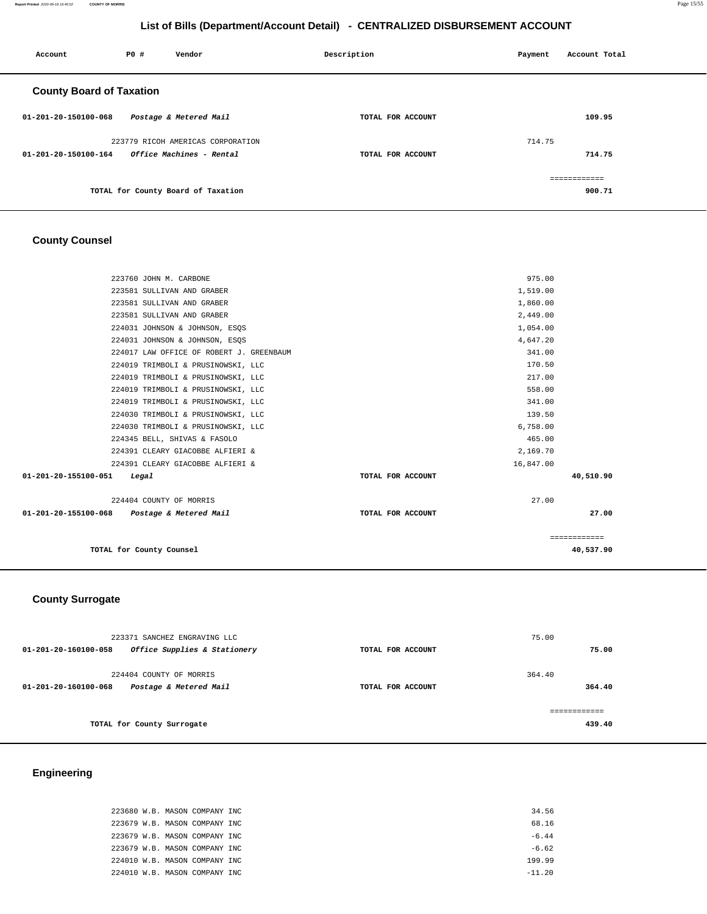**Report Printed** 2020-09-18 16:45:52 **COUNTY OF MORRIS** Page 15/55

# **List of Bills (Department/Account Detail) - CENTRALIZED DISBURSEMENT ACCOUNT**

| Account                         | P0 # | Vendor                                 | Description       | Payment | Account Total          |
|---------------------------------|------|----------------------------------------|-------------------|---------|------------------------|
| <b>County Board of Taxation</b> |      |                                        |                   |         |                        |
| 01-201-20-150100-068            |      | Postage & Metered Mail                 | TOTAL FOR ACCOUNT |         | 109.95                 |
|                                 |      | 223779 RICOH AMERICAS CORPORATION      |                   | 714.75  |                        |
| 01-201-20-150100-164            |      | <i><b>Office Machines - Rental</b></i> | TOTAL FOR ACCOUNT |         | 714.75                 |
|                                 |      | TOTAL for County Board of Taxation     |                   |         | ============<br>900.71 |

# **County Counsel**

| TOTAL for County Counsel                                 |                   |           | 40,537.90    |
|----------------------------------------------------------|-------------------|-----------|--------------|
|                                                          |                   |           | ============ |
| 01-201-20-155100-068    Postage & Metered Mail           | TOTAL FOR ACCOUNT |           | 27.00        |
| 224404 COUNTY OF MORRIS                                  |                   | 27.00     |              |
| Legal                                                    | TOTAL FOR ACCOUNT |           |              |
| 224391 CLEARY GIACOBBE ALFIERI &<br>01-201-20-155100-051 |                   | 16,847.00 | 40,510.90    |
| 224391 CLEARY GIACOBBE ALFIERI &                         |                   | 2,169.70  |              |
| 224345 BELL, SHIVAS & FASOLO                             |                   | 465.00    |              |
| 224030 TRIMBOLI & PRUSINOWSKI, LLC                       |                   | 6,758.00  |              |
| 224030 TRIMBOLI & PRUSINOWSKI, LLC                       |                   | 139.50    |              |
| 224019 TRIMBOLI & PRUSINOWSKI, LLC                       |                   | 341.00    |              |
| 224019 TRIMBOLI & PRUSINOWSKI, LLC                       |                   | 558.00    |              |
| 224019 TRIMBOLI & PRUSINOWSKI, LLC                       |                   | 217.00    |              |
| 224019 TRIMBOLI & PRUSINOWSKI, LLC                       |                   | 170.50    |              |
| 224017 LAW OFFICE OF ROBERT J. GREENBAUM                 |                   | 341.00    |              |
| 224031 JOHNSON & JOHNSON, ESOS                           |                   | 4,647.20  |              |
| 224031 JOHNSON & JOHNSON, ESQS                           |                   | 1,054.00  |              |
| 223581 SULLIVAN AND GRABER                               |                   | 2,449.00  |              |
| 223581 SULLIVAN AND GRABER                               |                   | 1,860.00  |              |
| 223581 SULLIVAN AND GRABER                               |                   | 1,519.00  |              |
| 223760 JOHN M. CARBONE                                   |                   | 975.00    |              |

# **County Surrogate**

| 223371 SANCHEZ ENGRAVING LLC                                              |                   | 75.00            |
|---------------------------------------------------------------------------|-------------------|------------------|
| Office Supplies & Stationery<br>01-201-20-160100-058                      | TOTAL FOR ACCOUNT | 75.00            |
| 224404 COUNTY OF MORRIS<br>Postage & Metered Mail<br>01-201-20-160100-068 | TOTAL FOR ACCOUNT | 364.40<br>364.40 |
| TOTAL for County Surrogate                                                |                   | 439.40           |
|                                                                           |                   |                  |

# **Engineering**

|  |  | 223680 W.B. MASON COMPANY INC | 34.56    |
|--|--|-------------------------------|----------|
|  |  | 223679 W.B. MASON COMPANY INC | 68.16    |
|  |  | 223679 W.B. MASON COMPANY INC | $-6.44$  |
|  |  | 223679 W.B. MASON COMPANY INC | $-6.62$  |
|  |  | 224010 W.B. MASON COMPANY INC | 199.99   |
|  |  | 224010 W.B. MASON COMPANY INC | $-11.20$ |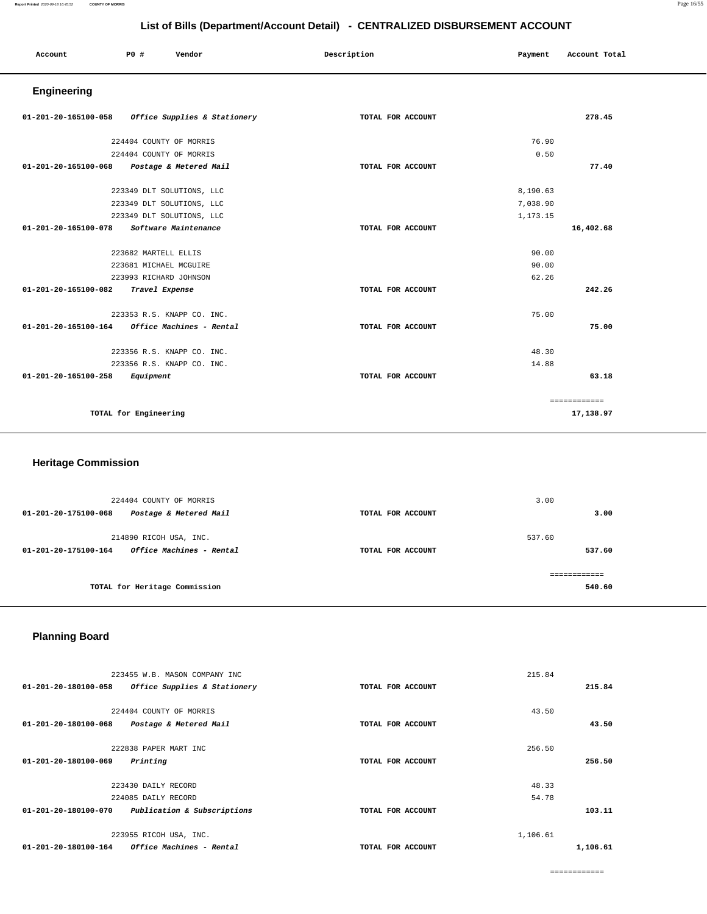| Account                             | P0 #<br>Vendor                                    | Description       | Payment  | Account Total |  |
|-------------------------------------|---------------------------------------------------|-------------------|----------|---------------|--|
| Engineering                         |                                                   |                   |          |               |  |
|                                     | 01-201-20-165100-058 Office Supplies & Stationery | TOTAL FOR ACCOUNT |          | 278.45        |  |
|                                     | 224404 COUNTY OF MORRIS                           |                   | 76.90    |               |  |
|                                     | 224404 COUNTY OF MORRIS                           |                   | 0.50     |               |  |
|                                     | 01-201-20-165100-068 Postage & Metered Mail       | TOTAL FOR ACCOUNT |          | 77.40         |  |
|                                     | 223349 DLT SOLUTIONS, LLC                         |                   | 8,190.63 |               |  |
|                                     | 223349 DLT SOLUTIONS, LLC                         |                   | 7,038.90 |               |  |
|                                     | 223349 DLT SOLUTIONS, LLC                         |                   | 1,173.15 |               |  |
|                                     | 01-201-20-165100-078 Software Maintenance         | TOTAL FOR ACCOUNT |          | 16,402.68     |  |
|                                     | 223682 MARTELL ELLIS                              |                   | 90.00    |               |  |
|                                     | 223681 MICHAEL MCGUIRE                            |                   | 90.00    |               |  |
|                                     | 223993 RICHARD JOHNSON                            |                   | 62.26    |               |  |
| 01-201-20-165100-082 Travel Expense |                                                   | TOTAL FOR ACCOUNT |          | 242.26        |  |
|                                     | 223353 R.S. KNAPP CO. INC.                        |                   | 75.00    |               |  |
| 01-201-20-165100-164                | Office Machines - Rental                          | TOTAL FOR ACCOUNT |          | 75.00         |  |
|                                     | 223356 R.S. KNAPP CO. INC.                        |                   | 48.30    |               |  |
|                                     | 223356 R.S. KNAPP CO. INC.                        |                   | 14.88    |               |  |
| 01-201-20-165100-258 Equipment      |                                                   | TOTAL FOR ACCOUNT |          | 63.18         |  |
|                                     |                                                   |                   |          | ============  |  |
|                                     | TOTAL for Engineering                             |                   |          | 17,138.97     |  |

# **Heritage Commission**

| 224404 COUNTY OF MORRIS<br>01-201-20-175100-068<br>Postage & Metered Mail                          | TOTAL FOR ACCOUNT | 3.00<br>3.00     |
|----------------------------------------------------------------------------------------------------|-------------------|------------------|
| 214890 RICOH USA, INC.<br><i><b>Office Machines - Rental</b></i><br>$01 - 201 - 20 - 175100 - 164$ | TOTAL FOR ACCOUNT | 537.60<br>537.60 |
| TOTAL for Heritage Commission                                                                      |                   | 540.60           |

# **Planning Board**

| 223455 W.B. MASON COMPANY INC                                  |                   | 215.84   |       |
|----------------------------------------------------------------|-------------------|----------|-------|
| Office Supplies & Stationery<br>01-201-20-180100-058           | TOTAL FOR ACCOUNT | 215.84   |       |
| 224404 COUNTY OF MORRIS                                        |                   | 43.50    |       |
| 01-201-20-180100-068<br>Postage & Metered Mail                 | TOTAL FOR ACCOUNT |          | 43.50 |
| 222838 PAPER MART INC                                          |                   | 256.50   |       |
| 01-201-20-180100-069<br>Printing                               | TOTAL FOR ACCOUNT | 256.50   |       |
|                                                                |                   |          |       |
| 223430 DAILY RECORD                                            |                   | 48.33    |       |
| 224085 DAILY RECORD                                            |                   | 54.78    |       |
| 01-201-20-180100-070<br>Publication & Subscriptions            | TOTAL FOR ACCOUNT | 103.11   |       |
| 223955 RICOH USA, INC.                                         |                   | 1,106.61 |       |
| <i><b>Office Machines - Rental</b></i><br>01-201-20-180100-164 | TOTAL FOR ACCOUNT | 1,106.61 |       |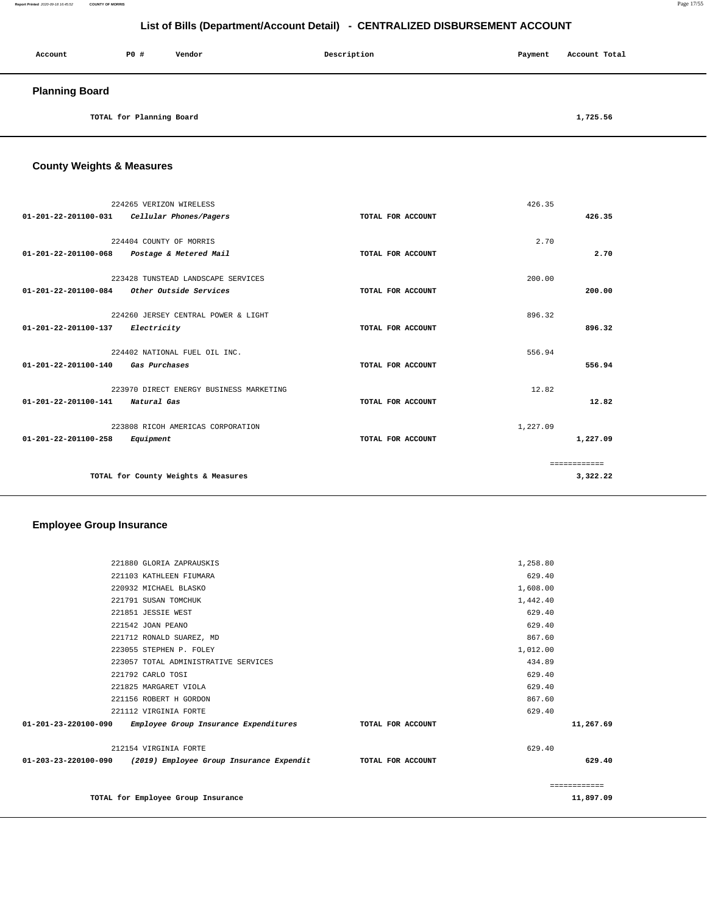| Account               | PO#                      | Vendor | Description | Payment | Account Total |
|-----------------------|--------------------------|--------|-------------|---------|---------------|
| <b>Planning Board</b> |                          |        |             |         |               |
|                       | TOTAL for Planning Board |        |             |         | 1,725.56      |

**County Weights & Measures**

|                      | 224265 VERIZON WIRELESS                            |                   | 426.35   |              |
|----------------------|----------------------------------------------------|-------------------|----------|--------------|
|                      | 01-201-22-201100-031    Cellular Phones/Pagers     | TOTAL FOR ACCOUNT |          | 426.35       |
|                      | 224404 COUNTY OF MORRIS                            |                   | 2.70     |              |
|                      | 01-201-22-201100-068 Postage & Metered Mail        | TOTAL FOR ACCOUNT |          | 2.70         |
|                      | 223428 TUNSTEAD LANDSCAPE SERVICES                 |                   | 200.00   |              |
|                      | $01-201-22-201100-084$ Other Outside Services      | TOTAL FOR ACCOUNT |          | 200.00       |
|                      |                                                    |                   |          |              |
| 01-201-22-201100-137 | 224260 JERSEY CENTRAL POWER & LIGHT<br>Electricity | TOTAL FOR ACCOUNT | 896.32   | 896.32       |
|                      |                                                    |                   |          |              |
|                      | 224402 NATIONAL FUEL OIL INC.                      |                   | 556.94   |              |
| 01-201-22-201100-140 | Gas Purchases                                      | TOTAL FOR ACCOUNT |          | 556.94       |
|                      | 223970 DIRECT ENERGY BUSINESS MARKETING            |                   | 12.82    |              |
| 01-201-22-201100-141 | Natural Gas                                        | TOTAL FOR ACCOUNT |          | 12.82        |
|                      | 223808 RICOH AMERICAS CORPORATION                  |                   | 1,227.09 |              |
| 01-201-22-201100-258 | Equipment                                          | TOTAL FOR ACCOUNT |          | 1,227.09     |
|                      |                                                    |                   |          | ============ |
|                      | TOTAL for County Weights & Measures                |                   |          | 3,322.22     |

## **Employee Group Insurance**

|                      | 221880 GLORIA ZAPRAUSKIS                 |                   | 1,258.80 |           |
|----------------------|------------------------------------------|-------------------|----------|-----------|
|                      | 221103 KATHLEEN FIUMARA                  |                   | 629.40   |           |
|                      | 220932 MICHAEL BLASKO                    |                   | 1,608.00 |           |
|                      | 221791 SUSAN TOMCHUK                     |                   | 1,442.40 |           |
|                      | 221851 JESSIE WEST                       |                   | 629.40   |           |
|                      | 221542 JOAN PEANO                        |                   | 629.40   |           |
|                      | 221712 RONALD SUAREZ, MD                 |                   | 867.60   |           |
|                      | 223055 STEPHEN P. FOLEY                  |                   | 1,012.00 |           |
|                      | 223057 TOTAL ADMINISTRATIVE SERVICES     |                   | 434.89   |           |
|                      | 221792 CARLO TOSI                        |                   | 629.40   |           |
|                      | 221825 MARGARET VIOLA                    |                   | 629.40   |           |
|                      | 221156 ROBERT H GORDON                   |                   | 867.60   |           |
|                      | 221112 VIRGINIA FORTE                    |                   | 629.40   |           |
| 01-201-23-220100-090 | Employee Group Insurance Expenditures    | TOTAL FOR ACCOUNT |          | 11,267.69 |
|                      | 212154 VIRGINIA FORTE                    |                   | 629.40   |           |
| 01-203-23-220100-090 | (2019) Employee Group Insurance Expendit | TOTAL FOR ACCOUNT |          | 629.40    |
|                      |                                          |                   |          |           |
|                      | TOTAL for Employee Group Insurance       |                   |          | 11,897.09 |

**Report Printed** 2020-09-18 16:45:52 **COUNTY OF MORRIS** Page 17/55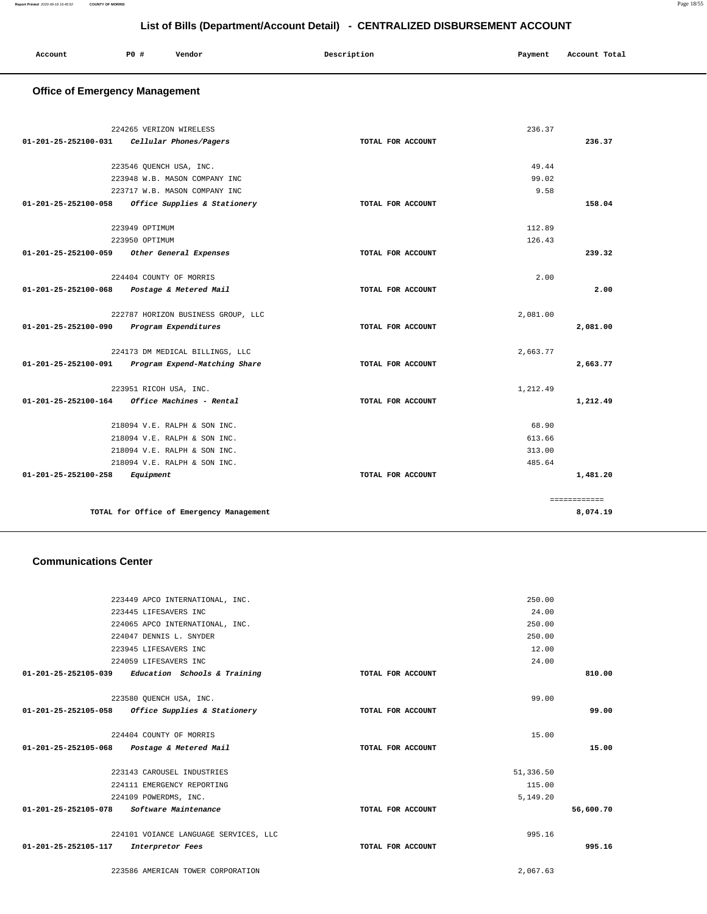| Account | PO# | Vendor | Description | Payment | Account Total |
|---------|-----|--------|-------------|---------|---------------|
|         |     |        |             |         |               |
|         |     |        |             |         |               |

# **Office of Emergency Management**

|                                | 224265 VERIZON WIRELESS                     | 236.37            |              |
|--------------------------------|---------------------------------------------|-------------------|--------------|
| 01-201-25-252100-031           | Cellular Phones/Pagers                      | TOTAL FOR ACCOUNT | 236.37       |
|                                |                                             | 49.44             |              |
|                                | 223546 QUENCH USA, INC.                     | 99.02             |              |
|                                | 223948 W.B. MASON COMPANY INC               | 9.58              |              |
|                                | 223717 W.B. MASON COMPANY INC               |                   |              |
| 01-201-25-252100-058           | Office Supplies & Stationery                | TOTAL FOR ACCOUNT | 158.04       |
|                                | 223949 OPTIMUM                              | 112.89            |              |
|                                | 223950 OPTIMUM                              | 126.43            |              |
|                                | 01-201-25-252100-059 Other General Expenses | TOTAL FOR ACCOUNT | 239.32       |
|                                | 224404 COUNTY OF MORRIS                     | 2.00              |              |
| 01-201-25-252100-068           | Postage & Metered Mail                      | TOTAL FOR ACCOUNT | 2.00         |
|                                |                                             |                   |              |
|                                | 222787 HORIZON BUSINESS GROUP, LLC          | 2,081.00          |              |
| $01 - 201 - 25 - 252100 - 090$ | Program Expenditures                        | TOTAL FOR ACCOUNT | 2,081.00     |
|                                | 224173 DM MEDICAL BILLINGS, LLC             | 2,663.77          |              |
| 01-201-25-252100-091           | Program Expend-Matching Share               | TOTAL FOR ACCOUNT | 2,663.77     |
|                                | 223951 RICOH USA, INC.                      | 1,212.49          |              |
| 01-201-25-252100-164           | Office Machines - Rental                    | TOTAL FOR ACCOUNT | 1,212.49     |
|                                |                                             |                   |              |
|                                | 218094 V.E. RALPH & SON INC.                | 68.90             |              |
|                                | 218094 V.E. RALPH & SON INC.                | 613.66            |              |
|                                | 218094 V.E. RALPH & SON INC.                | 313.00            |              |
|                                | 218094 V.E. RALPH & SON INC.                | 485.64            |              |
| 01-201-25-252100-258           | Equipment                                   | TOTAL FOR ACCOUNT | 1,481.20     |
|                                |                                             |                   | ============ |
|                                | TOTAL for Office of Emergency Management    |                   | 8,074.19     |

#### **Communications Center**

|                                                     | 223449 APCO INTERNATIONAL, INC.       |                   | 250.00    |           |
|-----------------------------------------------------|---------------------------------------|-------------------|-----------|-----------|
|                                                     | 223445 LIFESAVERS INC                 |                   | 24.00     |           |
|                                                     | 224065 APCO INTERNATIONAL, INC.       |                   | 250.00    |           |
|                                                     | 224047 DENNIS L. SNYDER               |                   | 250.00    |           |
|                                                     | 223945 LIFESAVERS INC                 |                   | 12.00     |           |
|                                                     | 224059 LIFESAVERS INC                 |                   | 24.00     |           |
| 01-201-25-252105-039                                | Education Schools & Training          | TOTAL FOR ACCOUNT |           | 810.00    |
|                                                     |                                       |                   |           |           |
|                                                     | 223580 OUENCH USA, INC.               |                   | 99.00     |           |
| $01-201-25-252105-058$ Office Supplies & Stationery |                                       | TOTAL FOR ACCOUNT |           | 99.00     |
|                                                     |                                       |                   |           |           |
|                                                     | 224404 COUNTY OF MORRIS               |                   | 15.00     |           |
| 01-201-25-252105-068 Postage & Metered Mail         |                                       | TOTAL FOR ACCOUNT |           | 15.00     |
|                                                     |                                       |                   |           |           |
|                                                     | 223143 CAROUSEL INDUSTRIES            |                   | 51,336.50 |           |
|                                                     | 224111 EMERGENCY REPORTING            |                   | 115.00    |           |
|                                                     | 224109 POWERDMS, INC.                 |                   | 5,149.20  |           |
| 01-201-25-252105-078                                | Software Maintenance                  | TOTAL FOR ACCOUNT |           | 56,600.70 |
|                                                     |                                       |                   |           |           |
|                                                     | 224101 VOIANCE LANGUAGE SERVICES, LLC |                   | 995.16    |           |
| 01-201-25-252105-117                                | Interpretor Fees                      | TOTAL FOR ACCOUNT |           | 995.16    |
|                                                     |                                       |                   |           |           |
|                                                     | 223586 AMERICAN TOWER CORPORATION     |                   | 2,067.63  |           |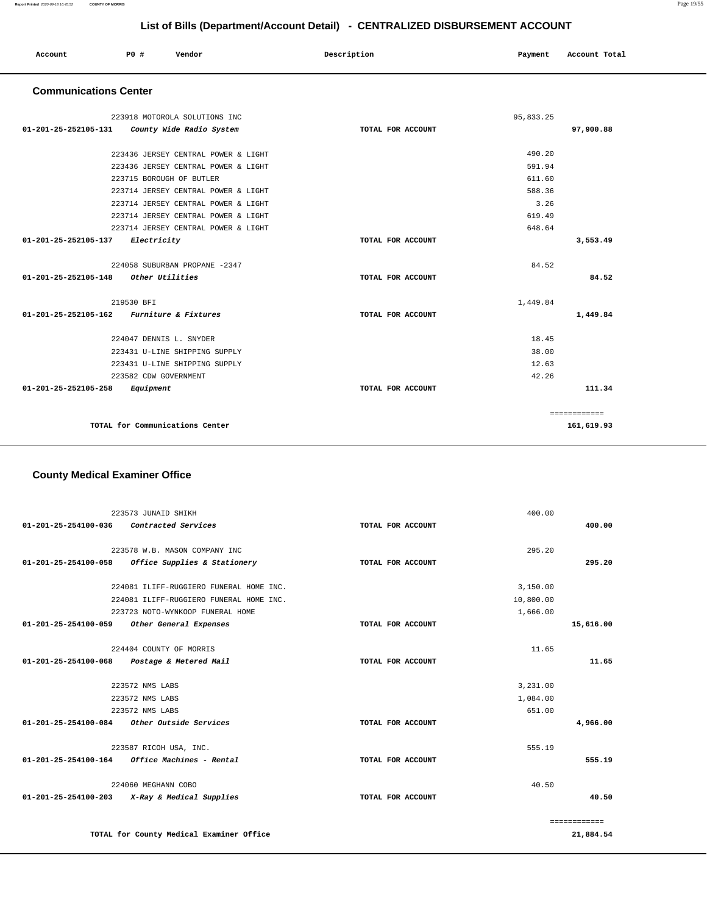| Account<br>. | P0 # | Vendor | Description | Payment | Account Total |
|--------------|------|--------|-------------|---------|---------------|
|              |      |        |             |         |               |

#### **Communications Center**

| 223918 MOTOROLA SOLUTIONS INC                    |                   | 95,833.25 |              |
|--------------------------------------------------|-------------------|-----------|--------------|
| 01-201-25-252105-131<br>County Wide Radio System | TOTAL FOR ACCOUNT |           | 97,900.88    |
|                                                  |                   |           |              |
| 223436 JERSEY CENTRAL POWER & LIGHT              |                   | 490.20    |              |
| 223436 JERSEY CENTRAL POWER & LIGHT              |                   | 591.94    |              |
| 223715 BOROUGH OF BUTLER                         |                   | 611.60    |              |
| 223714 JERSEY CENTRAL POWER & LIGHT              |                   | 588.36    |              |
| 223714 JERSEY CENTRAL POWER & LIGHT              |                   | 3.26      |              |
| 223714 JERSEY CENTRAL POWER & LIGHT              |                   | 619.49    |              |
| 223714 JERSEY CENTRAL POWER & LIGHT              |                   | 648.64    |              |
| 01-201-25-252105-137<br>Electricity              | TOTAL FOR ACCOUNT |           | 3,553.49     |
|                                                  |                   |           |              |
| 224058 SUBURBAN PROPANE -2347                    |                   | 84.52     |              |
| 01-201-25-252105-148 Other Utilities             | TOTAL FOR ACCOUNT |           | 84.52        |
|                                                  |                   |           |              |
| 219530 BFI                                       |                   | 1,449.84  |              |
| 01-201-25-252105-162 Furniture & Fixtures        | TOTAL FOR ACCOUNT |           | 1,449.84     |
| 224047 DENNIS L. SNYDER                          |                   | 18.45     |              |
| 223431 U-LINE SHIPPING SUPPLY                    |                   | 38.00     |              |
| 223431 U-LINE SHIPPING SUPPLY                    |                   | 12.63     |              |
| 223582 CDW GOVERNMENT                            |                   | 42.26     |              |
| 01-201-25-252105-258<br>Equipment                | TOTAL FOR ACCOUNT |           | 111.34       |
|                                                  |                   |           |              |
|                                                  |                   |           | ============ |
| TOTAL for Communications Center                  |                   |           | 161,619.93   |
|                                                  |                   |           |              |

# **County Medical Examiner Office**

|                                | 223573 JUNAID SHIKH                           |                   | 400.00    |              |
|--------------------------------|-----------------------------------------------|-------------------|-----------|--------------|
| $01 - 201 - 25 - 254100 - 036$ | Contracted Services                           | TOTAL FOR ACCOUNT |           | 400.00       |
|                                |                                               |                   |           |              |
|                                | 223578 W.B. MASON COMPANY INC                 |                   | 295.20    |              |
| 01-201-25-254100-058           | Office Supplies & Stationery                  | TOTAL FOR ACCOUNT |           | 295.20       |
|                                | 224081 ILIFF-RUGGIERO FUNERAL HOME INC.       |                   | 3,150.00  |              |
|                                | 224081 ILIFF-RUGGIERO FUNERAL HOME INC.       |                   | 10,800.00 |              |
|                                | 223723 NOTO-WYNKOOP FUNERAL HOME              |                   | 1,666.00  |              |
| 01-201-25-254100-059           | Other General Expenses                        | TOTAL FOR ACCOUNT |           | 15,616.00    |
|                                | 224404 COUNTY OF MORRIS                       |                   | 11.65     |              |
|                                | 01-201-25-254100-068 Postage & Metered Mail   | TOTAL FOR ACCOUNT |           | 11.65        |
|                                |                                               |                   |           |              |
|                                | 223572 NMS LABS                               |                   | 3,231.00  |              |
|                                | 223572 NMS LABS                               |                   | 1,084.00  |              |
|                                | 223572 NMS LABS                               |                   | 651.00    |              |
| 01-201-25-254100-084           | Other Outside Services                        | TOTAL FOR ACCOUNT |           | 4,966.00     |
|                                | 223587 RICOH USA, INC.                        |                   | 555.19    |              |
| 01-201-25-254100-164           | Office Machines - Rental                      | TOTAL FOR ACCOUNT |           | 555.19       |
|                                | 224060 MEGHANN COBO                           |                   | 40.50     |              |
|                                | 01-201-25-254100-203 X-Ray & Medical Supplies | TOTAL FOR ACCOUNT |           | 40.50        |
|                                |                                               |                   |           | ============ |
|                                | TOTAL for County Medical Examiner Office      |                   |           | 21,884.54    |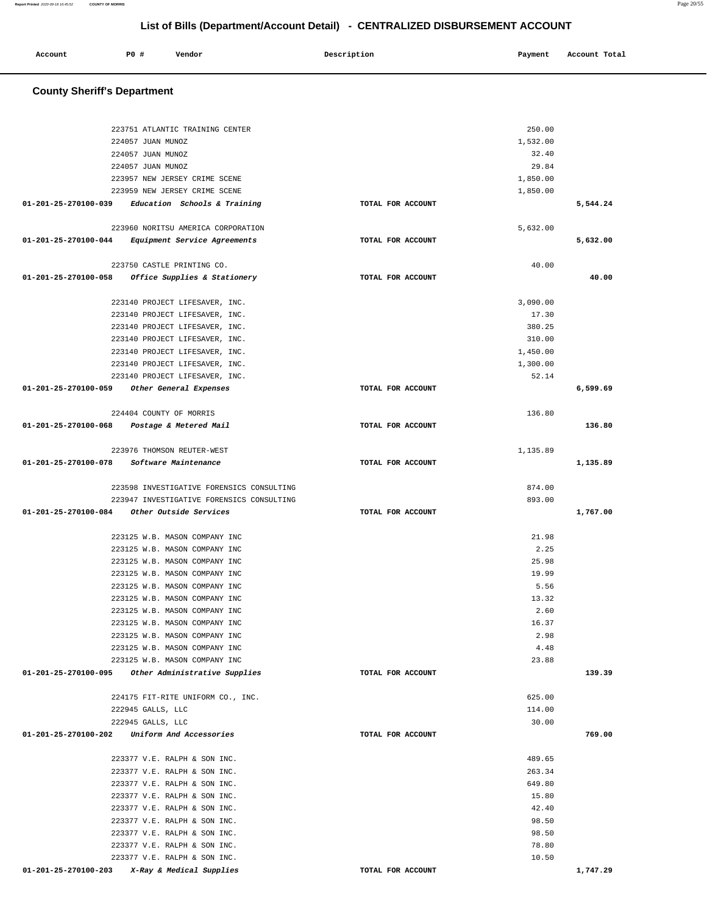| Account | P0 # | Vendor | Description | Payment | Account Total |
|---------|------|--------|-------------|---------|---------------|
|         |      |        |             |         |               |

# **County Sheriff's Department**

| 223751 ATLANTIC TRAINING CENTER                                  |                   | 250.00               |          |
|------------------------------------------------------------------|-------------------|----------------------|----------|
| 224057 JUAN MUNOZ                                                |                   | 1,532.00             |          |
| 224057 JUAN MUNOZ                                                |                   | 32.40                |          |
| 224057 JUAN MUNOZ                                                |                   | 29.84                |          |
| 223957 NEW JERSEY CRIME SCENE<br>223959 NEW JERSEY CRIME SCENE   |                   | 1,850.00<br>1,850.00 |          |
| $01-201-25-270100-039$ Education Schools & Training              | TOTAL FOR ACCOUNT |                      | 5,544.24 |
|                                                                  |                   |                      |          |
| 223960 NORITSU AMERICA CORPORATION                               |                   | 5,632.00             |          |
| 01-201-25-270100-044 Equipment Service Agreements                | TOTAL FOR ACCOUNT |                      | 5,632.00 |
|                                                                  |                   |                      |          |
| 223750 CASTLE PRINTING CO.                                       |                   | 40.00                |          |
| 01-201-25-270100-058 Office Supplies & Stationery                | TOTAL FOR ACCOUNT |                      | 40.00    |
|                                                                  |                   |                      |          |
| 223140 PROJECT LIFESAVER, INC.                                   |                   | 3,090.00             |          |
| 223140 PROJECT LIFESAVER, INC.                                   |                   | 17.30                |          |
| 223140 PROJECT LIFESAVER, INC.                                   |                   | 380.25               |          |
| 223140 PROJECT LIFESAVER, INC.                                   |                   | 310.00               |          |
| 223140 PROJECT LIFESAVER, INC.<br>223140 PROJECT LIFESAVER, INC. |                   | 1,450.00<br>1,300.00 |          |
| 223140 PROJECT LIFESAVER, INC.                                   |                   | 52.14                |          |
| 01-201-25-270100-059<br>Other General Expenses                   | TOTAL FOR ACCOUNT |                      | 6,599.69 |
|                                                                  |                   |                      |          |
| 224404 COUNTY OF MORRIS                                          |                   | 136.80               |          |
| 01-201-25-270100-068<br>Postage & Metered Mail                   | TOTAL FOR ACCOUNT |                      | 136.80   |
|                                                                  |                   |                      |          |
| 223976 THOMSON REUTER-WEST                                       |                   | 1,135.89             |          |
| 01-201-25-270100-078<br>Software Maintenance                     | TOTAL FOR ACCOUNT |                      | 1,135.89 |
|                                                                  |                   |                      |          |
| 223598 INVESTIGATIVE FORENSICS CONSULTING                        |                   | 874.00               |          |
| 223947 INVESTIGATIVE FORENSICS CONSULTING                        |                   | 893.00               |          |
| 01-201-25-270100-084<br>Other Outside Services                   | TOTAL FOR ACCOUNT |                      | 1,767.00 |
| 223125 W.B. MASON COMPANY INC                                    |                   | 21.98                |          |
| 223125 W.B. MASON COMPANY INC                                    |                   | 2.25                 |          |
| 223125 W.B. MASON COMPANY INC                                    |                   | 25.98                |          |
| 223125 W.B. MASON COMPANY INC                                    |                   | 19.99                |          |
| 223125 W.B. MASON COMPANY INC                                    |                   | 5.56                 |          |
| 223125 W.B. MASON COMPANY INC                                    |                   | 13.32                |          |
| 223125 W.B. MASON COMPANY INC                                    |                   | 2.60                 |          |
| 223125 W.B. MASON COMPANY INC.                                   |                   | 16.37                |          |
| 223125 W.B. MASON COMPANY INC                                    |                   | 2.98                 |          |
| 223125 W.B. MASON COMPANY INC                                    |                   | 4.48                 |          |
| 223125 W.B. MASON COMPANY INC                                    |                   | 23.88                |          |
| 01-201-25-270100-095<br>Other Administrative Supplies            | TOTAL FOR ACCOUNT |                      | 139.39   |
| 224175 FIT-RITE UNIFORM CO., INC.                                |                   | 625.00               |          |
| 222945 GALLS, LLC                                                |                   | 114.00               |          |
| 222945 GALLS, LLC                                                |                   | 30.00                |          |
| 01-201-25-270100-202<br>Uniform And Accessories                  | TOTAL FOR ACCOUNT |                      | 769.00   |
|                                                                  |                   |                      |          |
| 223377 V.E. RALPH & SON INC.                                     |                   | 489.65               |          |
| 223377 V.E. RALPH & SON INC.                                     |                   | 263.34               |          |
| 223377 V.E. RALPH & SON INC.                                     |                   | 649.80               |          |
| 223377 V.E. RALPH & SON INC.                                     |                   | 15.80                |          |
| 223377 V.E. RALPH & SON INC.                                     |                   | 42.40                |          |
| 223377 V.E. RALPH & SON INC.                                     |                   | 98.50                |          |
| 223377 V.E. RALPH & SON INC.                                     |                   | 98.50                |          |
| 223377 V.E. RALPH & SON INC.                                     |                   | 78.80                |          |
| 223377 V.E. RALPH & SON INC.                                     |                   | 10.50                |          |
| 01-201-25-270100-203<br>X-Ray & Medical Supplies                 | TOTAL FOR ACCOUNT |                      | 1,747.29 |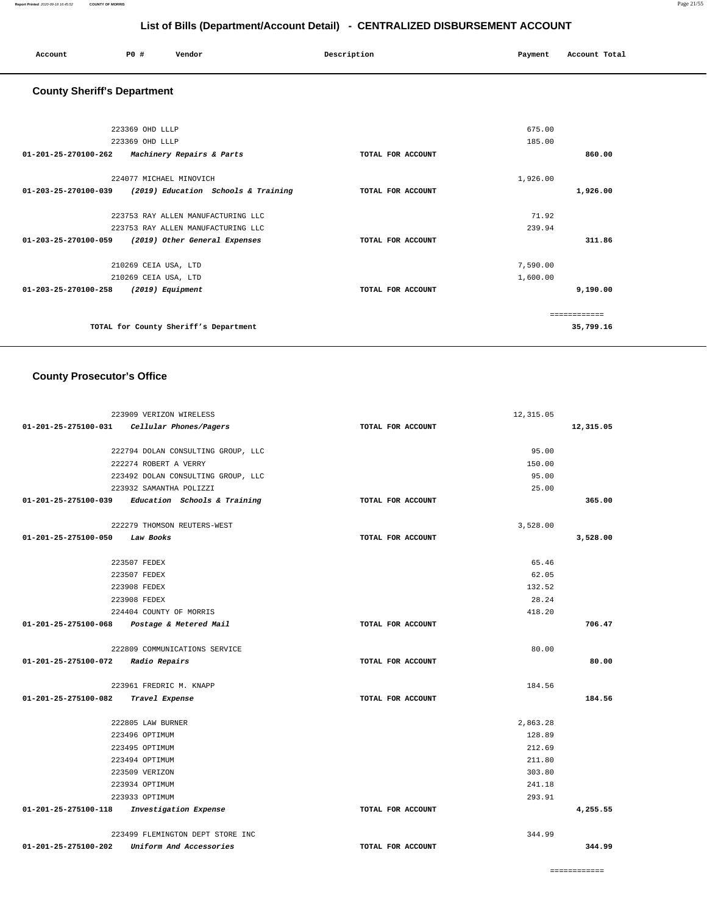| Account | P <sub>0</sub> | Vendor | Description | Payment | Account Total |
|---------|----------------|--------|-------------|---------|---------------|
|         |                |        |             |         |               |

# **County Sheriff's Department**

| 223369 OHD LLLP                                                 |                   | 675.00       |
|-----------------------------------------------------------------|-------------------|--------------|
| 223369 OHD LLLP                                                 |                   | 185.00       |
| 01-201-25-270100-262<br>Machinery Repairs & Parts               | TOTAL FOR ACCOUNT | 860.00       |
| 224077 MICHAEL MINOVICH                                         |                   | 1,926.00     |
| 01-203-25-270100-039<br>(2019) Education Schools & Training     | TOTAL FOR ACCOUNT | 1,926.00     |
|                                                                 |                   |              |
| 223753 RAY ALLEN MANUFACTURING LLC                              |                   | 71.92        |
| 223753 RAY ALLEN MANUFACTURING LLC                              |                   | 239.94       |
| $01 - 203 - 25 - 270100 - 059$<br>(2019) Other General Expenses | TOTAL FOR ACCOUNT | 311.86       |
| 210269 CEIA USA, LTD                                            |                   | 7,590.00     |
| 210269 CEIA USA, LTD                                            |                   | 1,600.00     |
| 01-203-25-270100-258<br>$(2019)$ Equipment                      | TOTAL FOR ACCOUNT | 9,190.00     |
|                                                                 |                   | ------------ |
| TOTAL for County Sheriff's Department                           |                   | 35,799.16    |
|                                                                 |                   |              |

# **County Prosecutor's Office**

| 223909 VERIZON WIRELESS                           | 12, 315.05        |           |
|---------------------------------------------------|-------------------|-----------|
| 01-201-25-275100-031    Cellular Phones/Pagers    | TOTAL FOR ACCOUNT | 12,315.05 |
|                                                   |                   |           |
| 222794 DOLAN CONSULTING GROUP, LLC                | 95.00             |           |
| 222274 ROBERT A VERRY                             | 150.00            |           |
| 223492 DOLAN CONSULTING GROUP, LLC                | 95.00             |           |
| 223932 SAMANTHA POLIZZI                           | 25.00             |           |
| 01-201-25-275100-039 Education Schools & Training | TOTAL FOR ACCOUNT | 365.00    |
|                                                   |                   |           |
| 222279 THOMSON REUTERS-WEST                       | 3,528.00          |           |
| 01-201-25-275100-050<br>Law Books                 | TOTAL FOR ACCOUNT | 3,528.00  |
|                                                   |                   |           |
| 223507 FEDEX                                      | 65.46             |           |
| 223507 FEDEX                                      | 62.05             |           |
| 223908 FEDEX                                      | 132.52            |           |
| 223908 FEDEX                                      | 28.24             |           |
| 224404 COUNTY OF MORRIS                           | 418.20            |           |
| 01-201-25-275100-068 Postage & Metered Mail       | TOTAL FOR ACCOUNT | 706.47    |
| 222809 COMMUNICATIONS SERVICE                     | 80.00             |           |
| 01-201-25-275100-072 Radio Repairs                | TOTAL FOR ACCOUNT | 80.00     |
|                                                   |                   |           |
| 223961 FREDRIC M. KNAPP                           | 184.56            |           |
| 01-201-25-275100-082 Travel Expense               | TOTAL FOR ACCOUNT | 184.56    |
|                                                   |                   |           |
| 222805 LAW BURNER                                 | 2,863.28          |           |
| 223496 OPTIMUM                                    | 128.89            |           |
| 223495 OPTIMUM                                    | 212.69            |           |
| 223494 OPTIMUM                                    | 211.80            |           |
| 223509 VERIZON                                    | 303.80            |           |
| 223934 OPTIMUM                                    | 241.18            |           |
| 223933 OPTIMUM                                    | 293.91            |           |
| 01-201-25-275100-118 Investigation Expense        | TOTAL FOR ACCOUNT | 4,255.55  |
| 223499 FLEMINGTON DEPT STORE INC                  | 344.99            |           |
| 01-201-25-275100-202<br>Uniform And Accessories   | TOTAL FOR ACCOUNT | 344.99    |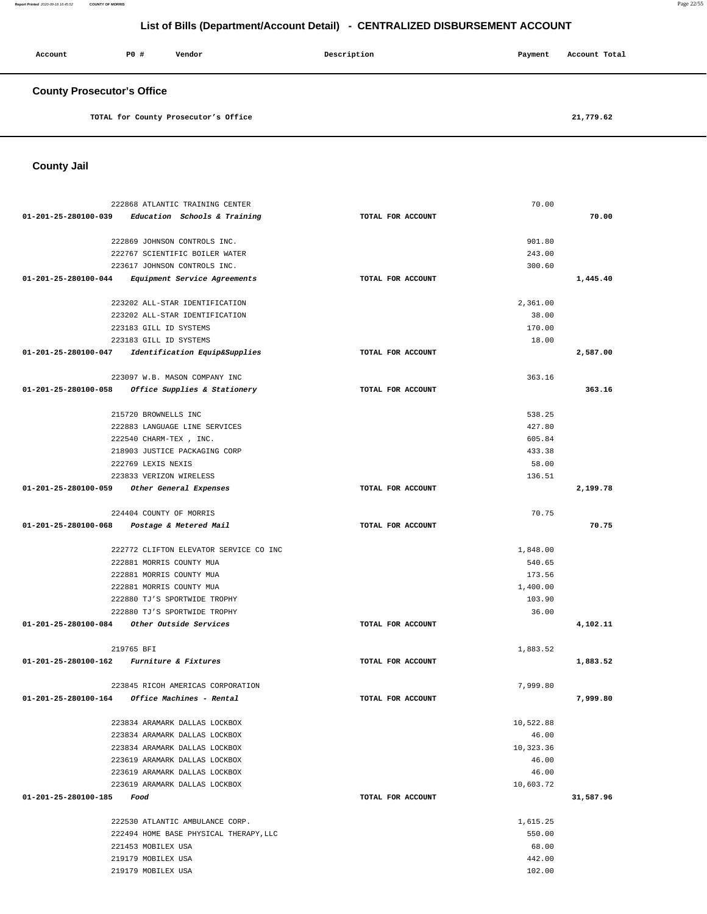**Report Printed** 2020-09-18 16:45:52 **COUNTY OF MORRIS** Page 22/55

# **List of Bills (Department/Account Detail) - CENTRALIZED DISBURSEMENT ACCOUNT**

| Account                           | PO# | Vendor | Description | Payment | Account Total |
|-----------------------------------|-----|--------|-------------|---------|---------------|
| <b>County Prosecutor's Office</b> |     |        |             |         |               |

**TOTAL for County Prosecutor's Office [21,779.62](https://21,779.62)** 

**County Jail** 

| 222868 ATLANTIC TRAINING CENTER                                                    |                   | 70.00              |           |
|------------------------------------------------------------------------------------|-------------------|--------------------|-----------|
| 01-201-25-280100-039 Education Schools & Training                                  | TOTAL FOR ACCOUNT |                    | 70.00     |
|                                                                                    |                   |                    |           |
| 222869 JOHNSON CONTROLS INC.                                                       |                   | 901.80             |           |
| 222767 SCIENTIFIC BOILER WATER                                                     |                   | 243.00             |           |
| 223617 JOHNSON CONTROLS INC.                                                       |                   | 300.60             |           |
| 01-201-25-280100-044 Equipment Service Agreements                                  | TOTAL FOR ACCOUNT |                    | 1,445.40  |
| 223202 ALL-STAR IDENTIFICATION                                                     |                   | 2,361.00           |           |
| 223202 ALL-STAR IDENTIFICATION                                                     |                   | 38.00              |           |
| 223183 GILL ID SYSTEMS                                                             |                   | 170.00             |           |
| 223183 GILL ID SYSTEMS                                                             |                   | 18.00              |           |
| 01-201-25-280100-047<br>Identification Equip&Supplies                              | TOTAL FOR ACCOUNT |                    | 2,587.00  |
|                                                                                    |                   |                    |           |
| 223097 W.B. MASON COMPANY INC                                                      |                   | 363.16             |           |
| 01-201-25-280100-058 Office Supplies & Stationery                                  | TOTAL FOR ACCOUNT |                    | 363.16    |
|                                                                                    |                   |                    |           |
| 215720 BROWNELLS INC                                                               |                   | 538.25             |           |
| 222883 LANGUAGE LINE SERVICES                                                      |                   | 427.80<br>605.84   |           |
| 222540 CHARM-TEX, INC.<br>218903 JUSTICE PACKAGING CORP                            |                   | 433.38             |           |
| 222769 LEXIS NEXIS                                                                 |                   | 58.00              |           |
| 223833 VERIZON WIRELESS                                                            |                   | 136.51             |           |
| 01-201-25-280100-059 Other General Expenses                                        | TOTAL FOR ACCOUNT |                    | 2,199.78  |
|                                                                                    |                   |                    |           |
| 224404 COUNTY OF MORRIS                                                            |                   | 70.75              |           |
| 01-201-25-280100-068 Postage & Metered Mail                                        | TOTAL FOR ACCOUNT |                    | 70.75     |
|                                                                                    |                   |                    |           |
| 222772 CLIFTON ELEVATOR SERVICE CO INC                                             |                   | 1,848.00           |           |
| 222881 MORRIS COUNTY MUA                                                           |                   | 540.65             |           |
| 222881 MORRIS COUNTY MUA                                                           |                   | 173.56             |           |
| 222881 MORRIS COUNTY MUA<br>222880 TJ'S SPORTWIDE TROPHY                           |                   | 1,400.00<br>103.90 |           |
| 222880 TJ'S SPORTWIDE TROPHY                                                       |                   | 36.00              |           |
| 01-201-25-280100-084 Other Outside Services                                        | TOTAL FOR ACCOUNT |                    | 4,102.11  |
|                                                                                    |                   |                    |           |
| 219765 BFI                                                                         |                   | 1,883.52           |           |
| 01-201-25-280100-162 Furniture & Fixtures                                          | TOTAL FOR ACCOUNT |                    | 1,883.52  |
|                                                                                    |                   |                    |           |
| 223845 RICOH AMERICAS CORPORATION<br>01-201-25-280100-164 Office Machines - Rental | TOTAL FOR ACCOUNT | 7,999.80           | 7,999.80  |
|                                                                                    |                   |                    |           |
| 223834 ARAMARK DALLAS LOCKBOX                                                      |                   | 10,522.88          |           |
| 223834 ARAMARK DALLAS LOCKBOX                                                      |                   | 46.00              |           |
| 223834 ARAMARK DALLAS LOCKBOX                                                      |                   | 10,323.36          |           |
| 223619 ARAMARK DALLAS LOCKBOX                                                      |                   | 46.00              |           |
| 223619 ARAMARK DALLAS LOCKBOX                                                      |                   | 46.00              |           |
| 223619 ARAMARK DALLAS LOCKBOX                                                      |                   | 10,603.72          |           |
| 01-201-25-280100-185<br>Food                                                       | TOTAL FOR ACCOUNT |                    | 31,587.96 |
|                                                                                    |                   |                    |           |
| 222530 ATLANTIC AMBULANCE CORP.                                                    |                   | 1,615.25<br>550.00 |           |
| 222494 HOME BASE PHYSICAL THERAPY, LLC<br>221453 MOBILEX USA                       |                   | 68.00              |           |
| 219179 MOBILEX USA                                                                 |                   | 442.00             |           |
| 219179 MOBILEX USA                                                                 |                   | 102.00             |           |
|                                                                                    |                   |                    |           |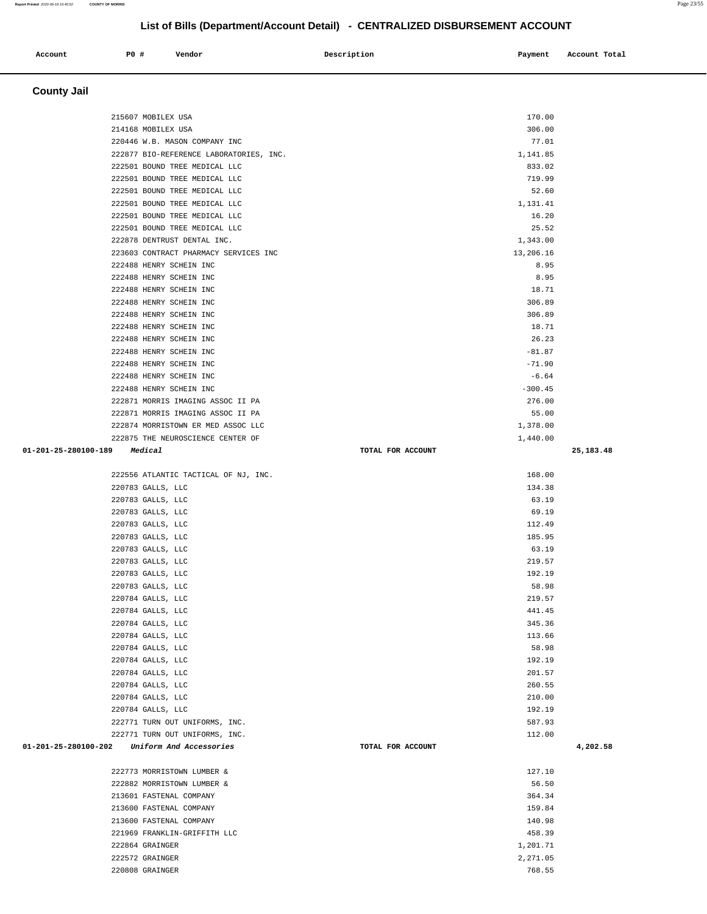### 222501 BOUND TREE MEDICAL LLC 52.60 222501 BOUND TREE MEDICAL LLC 1,131.41 222501 BOUND TREE MEDICAL LLC 16.20 222501 BOUND TREE MEDICAL LLC 25.52 222878 DENTRUST DENTAL INC. 1,343.00 223603 CONTRACT PHARMACY SERVICES INC 13,206.16 222488 HENRY SCHEIN INC 8.95 222488 HENRY SCHEIN INC 8.95 222488 HENRY SCHEIN INC 18.71 222488 HENRY SCHEIN INC 306.89 222488 HENRY SCHEIN INC 306.89 222488 HENRY SCHEIN INC 18.71 222488 HENRY SCHEIN INC 26.23  $222488$  HENRY SCHEIN INC  $-81.87$ 222488 HENRY SCHEIN INC -71.90 222488 HENRY SCHEIN INC -6.64 222488 HENRY SCHEIN INC -300.45 222871 MORRIS IMAGING ASSOC II PA 276.00 222871 MORRIS IMAGING ASSOC II PA 55.00 222874 MORRISTOWN ER MED ASSOC LLC 1,378.00 222875 THE NEUROSCIENCE CENTER OF  $1,440.00$  **01-201-25-280100-189 Medical TOTAL FOR ACCOUNT 25,183.48** 222556 ATLANTIC TACTICAL OF NJ, INC. 168.00 220783 GALLS, LLC 134.38 220783 GALLS, LLC 63.19 220783 GALLS, LLC 69.19 220783 GALLS, LLC 112.49 220783 GALLS, LLC 185.95 220783 GALLS, LLC 63.19 220783 GALLS, LLC 219.57 220783 GALLS, LLC 192.19 220783 GALLS, LLC 58.98 220784 GALLS, LLC 219.57 220784 GALLS, LLC 441.45 220784 GALLS, LLC 345.36 220784 GALLS, LLC 113.66 220784 GALLS, LLC 58.98 220784 GALLS, LLC 192.19 220784 GALLS, LLC 201.57 220784 GALLS, LLC 260.55 220784 GALLS, LLC 210.00 220784 GALLS, LLC 192.19 222771 TURN OUT UNIFORMS, INC. 587.93 222771 TURN OUT UNIFORMS, INC. 112.00  **01-201-25-280100-202 Uniform And Accessories TOTAL FOR ACCOUNT 4,202.58**  $222773$  MORRISTOWN LUMBER & 127.10 222882 MORRISTOWN LUMBER & 56.50 213601 FASTENAL COMPANY 364.34 213600 FASTENAL COMPANY 159.84 213600 FASTENAL COMPANY 140.98 221969 FRANKLIN-GRIFFITH LLC 458.39 222864 GRAINGER 1,201.71 222572 GRAINGER 2,271.05 220808 GRAINGER 768.55

# **List of Bills (Department/Account Detail) - CENTRALIZED DISBURSEMENT ACCOUNT**

 **Account P0 # Vendor Description Payment Account Total**

215607 MOBILEX USA 170.00 214168 MOBILEX USA 306.00 220446 W.B. MASON COMPANY INC  $77.01$ 222877 BIO-REFERENCE LABORATORIES, INC. 1,141.85 222501 BOUND TREE MEDICAL LLC 833.02 222501 BOUND TREE MEDICAL LLC 719.99

 **County Jail**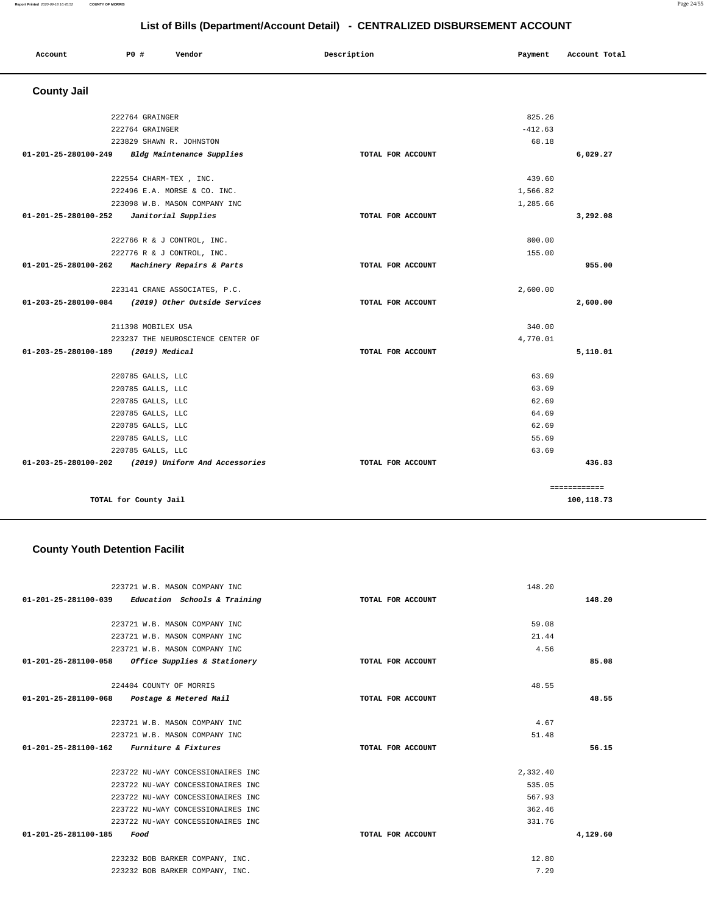#### **Report Printed** 2020-09-18 16:45:52 **COUNTY OF MORRIS** Page 24/55

|                      |                        |                                   | List of Bills (Department/Account Detail) - CENTRALIZED DISBURSEMENT ACCOUNT |           |               |
|----------------------|------------------------|-----------------------------------|------------------------------------------------------------------------------|-----------|---------------|
| Account              | P0 #                   | Vendor                            | Description                                                                  | Payment   | Account Total |
| <b>County Jail</b>   |                        |                                   |                                                                              |           |               |
|                      | 222764 GRAINGER        |                                   |                                                                              | 825.26    |               |
|                      | 222764 GRAINGER        |                                   |                                                                              | $-412.63$ |               |
|                      |                        | 223829 SHAWN R. JOHNSTON          |                                                                              | 68.18     |               |
| 01-201-25-280100-249 |                        | Bldg Maintenance Supplies         | TOTAL FOR ACCOUNT                                                            |           | 6,029.27      |
|                      | 222554 CHARM-TEX, INC. |                                   |                                                                              | 439.60    |               |
|                      |                        | 222496 E.A. MORSE & CO. INC.      |                                                                              | 1,566.82  |               |
|                      |                        | 223098 W.B. MASON COMPANY INC     |                                                                              | 1,285.66  |               |
| 01-201-25-280100-252 |                        | Janitorial Supplies               | TOTAL FOR ACCOUNT                                                            |           | 3,292.08      |
|                      |                        | 222766 R & J CONTROL, INC.        |                                                                              | 800.00    |               |
|                      |                        | 222776 R & J CONTROL, INC.        |                                                                              | 155.00    |               |
| 01-201-25-280100-262 |                        | Machinery Repairs & Parts         | TOTAL FOR ACCOUNT                                                            |           | 955.00        |
|                      |                        | 223141 CRANE ASSOCIATES, P.C.     |                                                                              | 2,600.00  |               |
| 01-203-25-280100-084 |                        | (2019) Other Outside Services     | TOTAL FOR ACCOUNT                                                            |           | 2,600.00      |
|                      | 211398 MOBILEX USA     |                                   |                                                                              | 340.00    |               |
|                      |                        | 223237 THE NEUROSCIENCE CENTER OF |                                                                              | 4,770.01  |               |
| 01-203-25-280100-189 | (2019) Medical         |                                   | TOTAL FOR ACCOUNT                                                            |           | 5,110.01      |
|                      | 220785 GALLS, LLC      |                                   |                                                                              | 63.69     |               |
|                      | 220785 GALLS, LLC      |                                   |                                                                              | 63.69     |               |
|                      | 220785 GALLS, LLC      |                                   |                                                                              | 62.69     |               |
|                      | 220785 GALLS, LLC      |                                   |                                                                              | 64.69     |               |
|                      | 220785 GALLS, LLC      |                                   |                                                                              | 62.69     |               |
|                      | 220785 GALLS, LLC      |                                   |                                                                              | 55.69     |               |
|                      | 220785 GALLS, LLC      |                                   |                                                                              | 63.69     |               |
| 01-203-25-280100-202 |                        | (2019) Uniform And Accessories    | TOTAL FOR ACCOUNT                                                            |           | 436.83        |
|                      |                        |                                   |                                                                              |           | ============  |
|                      | TOTAL for County Jail  |                                   |                                                                              |           | 100,118.73    |

# **County Youth Detention Facilit**

| 223721 W.B. MASON COMPANY INC                       |                   | 148.20   |          |
|-----------------------------------------------------|-------------------|----------|----------|
| $01-201-25-281100-039$ Education Schools & Training | TOTAL FOR ACCOUNT |          | 148.20   |
| 223721 W.B. MASON COMPANY INC                       |                   | 59.08    |          |
| 223721 W.B. MASON COMPANY INC                       |                   | 21.44    |          |
|                                                     |                   | 4.56     |          |
| 223721 W.B. MASON COMPANY INC                       |                   |          |          |
| 01-201-25-281100-058 Office Supplies & Stationery   | TOTAL FOR ACCOUNT |          | 85.08    |
| 224404 COUNTY OF MORRIS                             |                   | 48.55    |          |
|                                                     | TOTAL FOR ACCOUNT |          | 48.55    |
| 01-201-25-281100-068 Postage & Metered Mail         |                   |          |          |
| 223721 W.B. MASON COMPANY INC                       |                   | 4.67     |          |
| 223721 W.B. MASON COMPANY INC                       |                   | 51.48    |          |
| $01-201-25-281100-162$ Furniture & Fixtures         | TOTAL FOR ACCOUNT |          | 56.15    |
|                                                     |                   |          |          |
| 223722 NU-WAY CONCESSIONAIRES INC                   |                   | 2,332.40 |          |
| 223722 NU-WAY CONCESSIONAIRES INC                   |                   | 535.05   |          |
| 223722 NU-WAY CONCESSIONAIRES INC                   |                   | 567.93   |          |
| 223722 NU-WAY CONCESSIONAIRES INC                   |                   | 362.46   |          |
| 223722 NU-WAY CONCESSIONAIRES INC                   |                   | 331.76   |          |
| 01-201-25-281100-185<br>Food                        | TOTAL FOR ACCOUNT |          | 4,129.60 |
|                                                     |                   |          |          |
| 223232 BOB BARKER COMPANY, INC.                     |                   | 12.80    |          |
| 223232 BOB BARKER COMPANY, INC.                     |                   | 7.29     |          |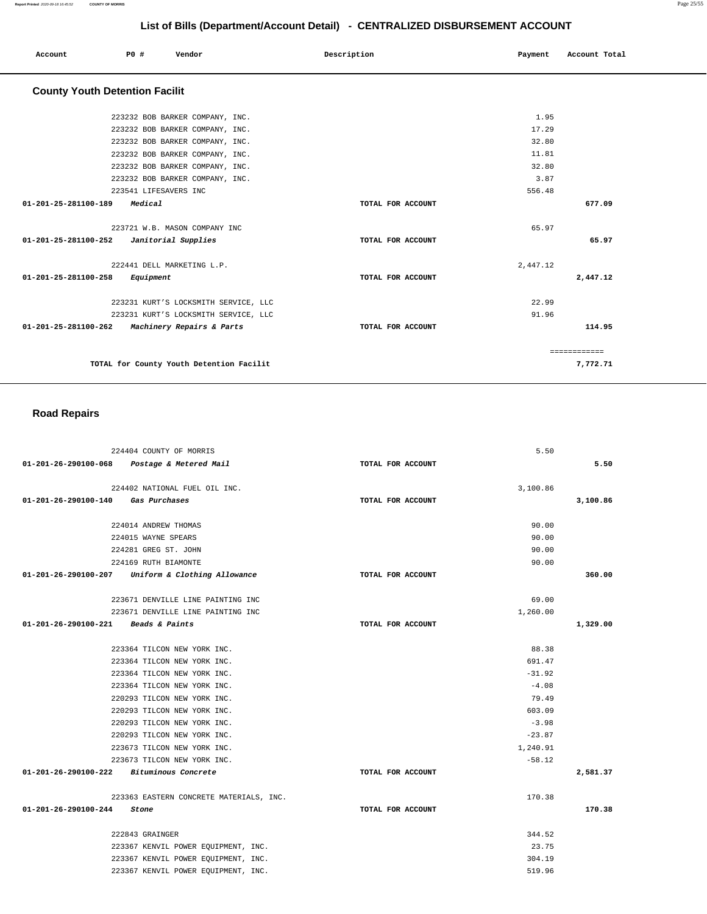223232 BOB BARKER COMPANY, INC. 223232 BOB BARKER COMPANY, INC. 223232 BOB BARKER COMPANY, INC. 223232 BOB BARKER COMPANY, INC. 223232 BOB BARKER COMPANY, INC. 223232 BOB BARKER COMPANY, INC. 223541 LIFESAVERS INC **01-201-25-281100-189 Medical TOTAL FOR ACCOUNT**  1.95 17.29 32.80 11.81 32.80 3.87 556.48 **677.09** 223721 W.B. MASON COMPANY INC **01-201-25-281100-252 Janitorial Supplies TOTAL FOR ACCOUNT**  65.97 **65.97** 222441 DELL MARKETING L.P. **01-201-25-281100-258 Equipment TOTAL FOR ACCOUNT**  2,447.12 **2,447.12** 223231 KURT'S LOCKSMITH SERVICE, LLC 223231 KURT'S LOCKSMITH SERVICE, LLC **01-201-25-281100-262 Machinery Repairs & Parts TOTAL FOR ACCOUNT**  22.99 91.96 **114.95 TOTAL for County Youth Detention Facilit**  ============ **7,772.71 Road Repairs** 

| 224404 COUNTY OF MORRIS                           |                   | 5.50     |          |
|---------------------------------------------------|-------------------|----------|----------|
| 01-201-26-290100-068 Postage & Metered Mail       | TOTAL FOR ACCOUNT |          | 5.50     |
| 224402 NATIONAL FUEL OIL INC.                     |                   | 3,100.86 |          |
| 01-201-26-290100-140<br>Gas Purchases             | TOTAL FOR ACCOUNT |          | 3,100.86 |
| 224014 ANDREW THOMAS                              |                   | 90.00    |          |
| 224015 WAYNE SPEARS                               |                   | 90.00    |          |
| 224281 GREG ST. JOHN                              |                   | 90.00    |          |
| 224169 RUTH BIAMONTE                              |                   | 90.00    |          |
| 01-201-26-290100-207 Uniform & Clothing Allowance | TOTAL FOR ACCOUNT |          | 360.00   |
| 223671 DENVILLE LINE PAINTING INC                 |                   | 69.00    |          |
| 223671 DENVILLE LINE PAINTING INC                 |                   | 1,260.00 |          |
| 01-201-26-290100-221 Beads & Paints               | TOTAL FOR ACCOUNT |          | 1,329.00 |
| 223364 TILCON NEW YORK INC.                       |                   | 88.38    |          |
| 223364 TILCON NEW YORK INC.                       |                   | 691.47   |          |
| 223364 TILCON NEW YORK INC.                       |                   | $-31.92$ |          |
| 223364 TILCON NEW YORK INC.                       |                   | $-4.08$  |          |
| 220293 TILCON NEW YORK INC.                       |                   | 79.49    |          |
| 220293 TILCON NEW YORK INC.                       |                   | 603.09   |          |
| 220293 TILCON NEW YORK INC.                       |                   | $-3.98$  |          |
| 220293 TILCON NEW YORK INC.                       |                   | $-23.87$ |          |
| 223673 TILCON NEW YORK INC.                       |                   | 1,240.91 |          |
| 223673 TILCON NEW YORK INC.                       |                   | $-58.12$ |          |
| 01-201-26-290100-222 Bituminous Concrete          | TOTAL FOR ACCOUNT |          | 2,581.37 |
| 223363 EASTERN CONCRETE MATERIALS, INC.           |                   | 170.38   |          |
| 01-201-26-290100-244<br>Stone                     | TOTAL FOR ACCOUNT |          | 170.38   |
| 222843 GRAINGER                                   |                   | 344.52   |          |
| 223367 KENVIL POWER EQUIPMENT, INC.               |                   | 23.75    |          |
| 223367 KENVIL POWER EQUIPMENT, INC.               |                   | 304.19   |          |
| 223367 KENVIL POWER EQUIPMENT, INC.               |                   | 519.96   |          |

# **List of Bills (Department/Account Detail) - CENTRALIZED DISBURSEMENT ACCOUNT**

 **Account P0 # Vendor Description Payment Account Total**

 **County Youth Detention Facilit**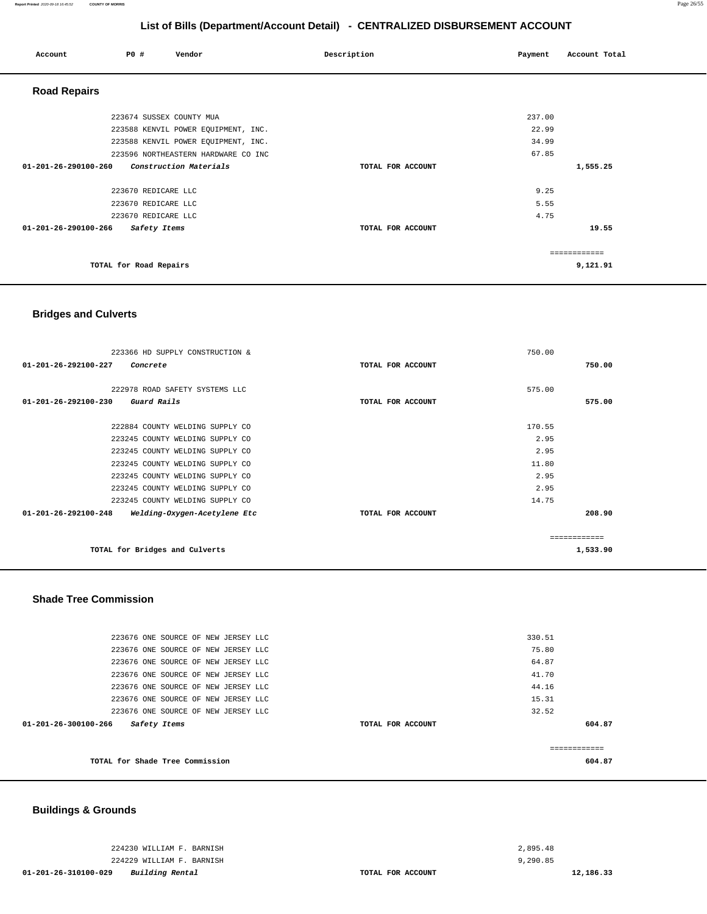| Account                        | PO#                    | Vendor                              | Description       | Payment | Account Total |
|--------------------------------|------------------------|-------------------------------------|-------------------|---------|---------------|
| <b>Road Repairs</b>            |                        |                                     |                   |         |               |
|                                |                        | 223674 SUSSEX COUNTY MUA            |                   | 237.00  |               |
|                                |                        | 223588 KENVIL POWER EQUIPMENT, INC. |                   | 22.99   |               |
|                                |                        | 223588 KENVIL POWER EQUIPMENT, INC. |                   | 34.99   |               |
|                                |                        | 223596 NORTHEASTERN HARDWARE CO INC |                   | 67.85   |               |
| $01 - 201 - 26 - 290100 - 260$ |                        | Construction Materials              | TOTAL FOR ACCOUNT |         | 1,555.25      |
|                                |                        | 223670 REDICARE LLC                 |                   | 9.25    |               |
|                                |                        | 223670 REDICARE LLC                 |                   | 5.55    |               |
|                                |                        | 223670 REDICARE LLC                 |                   | 4.75    |               |
| 01-201-26-290100-266           |                        | Safety Items                        | TOTAL FOR ACCOUNT |         | 19.55         |
|                                |                        |                                     |                   |         | ============  |
|                                | TOTAL for Road Repairs |                                     |                   |         | 9,121.91      |

#### **Bridges and Culverts**

| 223366 HD SUPPLY CONSTRUCTION &                      |                   | 750.00       |          |
|------------------------------------------------------|-------------------|--------------|----------|
| 01-201-26-292100-227<br>Concrete                     | TOTAL FOR ACCOUNT |              | 750.00   |
|                                                      |                   |              |          |
| 222978 ROAD SAFETY SYSTEMS LLC                       |                   | 575.00       |          |
| $01 - 201 - 26 - 292100 - 230$ Guard Rails           | TOTAL FOR ACCOUNT |              | 575.00   |
|                                                      |                   |              |          |
| 222884 COUNTY WELDING SUPPLY CO                      |                   | 170.55       |          |
| 223245 COUNTY WELDING SUPPLY CO                      |                   | 2.95         |          |
| 223245 COUNTY WELDING SUPPLY CO                      |                   | 2.95         |          |
| 223245 COUNTY WELDING SUPPLY CO                      |                   | 11.80        |          |
| 223245 COUNTY WELDING SUPPLY CO                      |                   | 2.95         |          |
| 223245 COUNTY WELDING SUPPLY CO                      |                   | 2.95         |          |
| 223245 COUNTY WELDING SUPPLY CO                      |                   | 14.75        |          |
| 01-201-26-292100-248<br>Welding-Oxygen-Acetylene Etc | TOTAL FOR ACCOUNT |              | 208.90   |
|                                                      |                   |              |          |
|                                                      |                   | ============ |          |
| TOTAL for Bridges and Culverts                       |                   |              | 1,533.90 |
|                                                      |                   |              |          |

### **Shade Tree Commission**

|                                                | 223676 ONE SOURCE OF NEW JERSEY LLC |                   | 330.51        |  |
|------------------------------------------------|-------------------------------------|-------------------|---------------|--|
|                                                | 223676 ONE SOURCE OF NEW JERSEY LLC |                   | 75.80         |  |
|                                                | 223676 ONE SOURCE OF NEW JERSEY LLC |                   | 64.87         |  |
|                                                | 223676 ONE SOURCE OF NEW JERSEY LLC |                   | 41.70         |  |
|                                                | 223676 ONE SOURCE OF NEW JERSEY LLC |                   | 44.16         |  |
|                                                | 223676 ONE SOURCE OF NEW JERSEY LLC |                   | 15.31         |  |
|                                                | 223676 ONE SOURCE OF NEW JERSEY LLC |                   | 32.52         |  |
| $01 - 201 - 26 - 300100 - 266$<br>Safety Items |                                     | TOTAL FOR ACCOUNT | 604.87        |  |
|                                                |                                     |                   |               |  |
|                                                |                                     |                   | ------------- |  |
|                                                | TOTAL for Shade Tree Commission     |                   | 604.87        |  |
|                                                |                                     |                   |               |  |

## **Buildings & Grounds**

224230 WILLIAM F. BARNISH 224229 WILLIAM F. BARNISH

**01-201-26-310100-029 Building Rental TOTAL FOR ACCOUNT**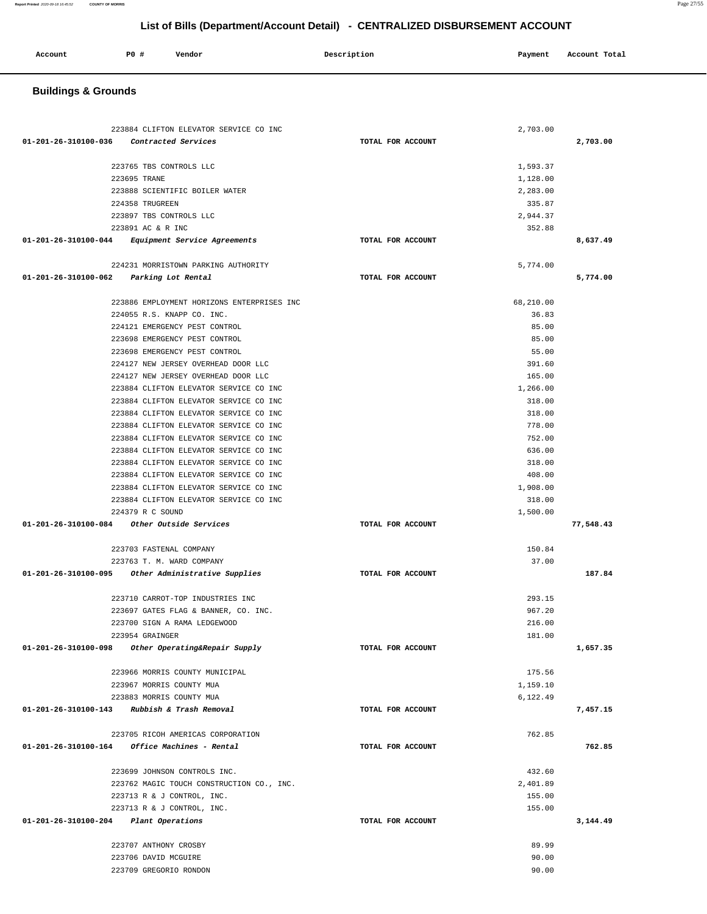## **Buildings & Grounds**

| 223884 CLIFTON ELEVATOR SERVICE CO INC                                                |                   | 2,703.00  |           |
|---------------------------------------------------------------------------------------|-------------------|-----------|-----------|
| 01-201-26-310100-036 Contracted Services                                              | TOTAL FOR ACCOUNT |           | 2,703.00  |
|                                                                                       |                   |           |           |
| 223765 TBS CONTROLS LLC                                                               |                   | 1,593.37  |           |
| 223695 TRANE                                                                          |                   | 1,128.00  |           |
| 223888 SCIENTIFIC BOILER WATER                                                        |                   | 2,283.00  |           |
| 224358 TRUGREEN                                                                       |                   | 335.87    |           |
| 223897 TBS CONTROLS LLC                                                               |                   | 2,944.37  |           |
| 223891 AC & R INC                                                                     |                   | 352.88    |           |
| 01-201-26-310100-044 Equipment Service Agreements                                     | TOTAL FOR ACCOUNT |           | 8,637.49  |
| 224231 MORRISTOWN PARKING AUTHORITY                                                   |                   | 5,774.00  |           |
| 01-201-26-310100-062 Parking Lot Rental                                               | TOTAL FOR ACCOUNT |           | 5,774.00  |
|                                                                                       |                   |           |           |
| 223886 EMPLOYMENT HORIZONS ENTERPRISES INC                                            |                   | 68,210.00 |           |
| 224055 R.S. KNAPP CO. INC.                                                            |                   | 36.83     |           |
| 224121 EMERGENCY PEST CONTROL                                                         |                   | 85.00     |           |
| 223698 EMERGENCY PEST CONTROL                                                         |                   | 85.00     |           |
| 223698 EMERGENCY PEST CONTROL                                                         |                   | 55.00     |           |
| 224127 NEW JERSEY OVERHEAD DOOR LLC                                                   |                   | 391.60    |           |
| 224127 NEW JERSEY OVERHEAD DOOR LLC                                                   |                   | 165.00    |           |
| 223884 CLIFTON ELEVATOR SERVICE CO INC                                                |                   | 1,266.00  |           |
| 223884 CLIFTON ELEVATOR SERVICE CO INC                                                |                   | 318.00    |           |
| 223884 CLIFTON ELEVATOR SERVICE CO INC                                                |                   | 318.00    |           |
| 223884 CLIFTON ELEVATOR SERVICE CO INC                                                |                   | 778.00    |           |
| 223884 CLIFTON ELEVATOR SERVICE CO INC                                                |                   | 752.00    |           |
| 223884 CLIFTON ELEVATOR SERVICE CO INC                                                |                   | 636.00    |           |
| 223884 CLIFTON ELEVATOR SERVICE CO INC                                                |                   | 318.00    |           |
| 223884 CLIFTON ELEVATOR SERVICE CO INC                                                |                   | 408.00    |           |
| 223884 CLIFTON ELEVATOR SERVICE CO INC                                                |                   | 1,908.00  |           |
| 223884 CLIFTON ELEVATOR SERVICE CO INC                                                |                   | 318.00    |           |
| 224379 R C SOUND                                                                      |                   | 1,500.00  |           |
|                                                                                       | TOTAL FOR ACCOUNT |           | 77,548.43 |
| 223703 FASTENAL COMPANY                                                               |                   | 150.84    |           |
| 223763 T. M. WARD COMPANY                                                             |                   | 37.00     |           |
| 01-201-26-310100-095 Other Administrative Supplies                                    | TOTAL FOR ACCOUNT |           | 187.84    |
|                                                                                       |                   |           |           |
| 223710 CARROT-TOP INDUSTRIES INC                                                      |                   | 293.15    |           |
| 223697 GATES FLAG & BANNER, CO. INC.                                                  |                   | 967.20    |           |
| 223700 SIGN A RAMA LEDGEWOOD                                                          |                   | 216.00    |           |
| 223954 GRAINGER                                                                       |                   | 181.00    |           |
| Other Operating&Repair Supply<br>01-201-26-310100-098                                 | TOTAL FOR ACCOUNT |           | 1,657.35  |
| 223966 MORRIS COUNTY MUNICIPAL                                                        |                   | 175.56    |           |
| 223967 MORRIS COUNTY MUA                                                              |                   | 1,159.10  |           |
| 223883 MORRIS COUNTY MUA                                                              |                   | 6,122.49  |           |
| 01-201-26-310100-143 Rubbish & Trash Removal                                          | TOTAL FOR ACCOUNT |           | 7,457.15  |
|                                                                                       |                   |           |           |
| 223705 RICOH AMERICAS CORPORATION<br>01-201-26-310100-164<br>Office Machines - Rental | TOTAL FOR ACCOUNT | 762.85    | 762.85    |
|                                                                                       |                   |           |           |
| 223699 JOHNSON CONTROLS INC.                                                          |                   | 432.60    |           |
| 223762 MAGIC TOUCH CONSTRUCTION CO., INC.                                             |                   | 2,401.89  |           |
| 223713 R & J CONTROL, INC.                                                            |                   | 155.00    |           |
| 223713 R & J CONTROL, INC.                                                            |                   | 155.00    |           |
| 01-201-26-310100-204 Plant Operations                                                 | TOTAL FOR ACCOUNT |           | 3,144.49  |
|                                                                                       |                   |           |           |
| 223707 ANTHONY CROSBY                                                                 |                   | 89.99     |           |
| 223706 DAVID MCGUIRE                                                                  |                   | 90.00     |           |
| 223709 GREGORIO RONDON                                                                |                   | 90.00     |           |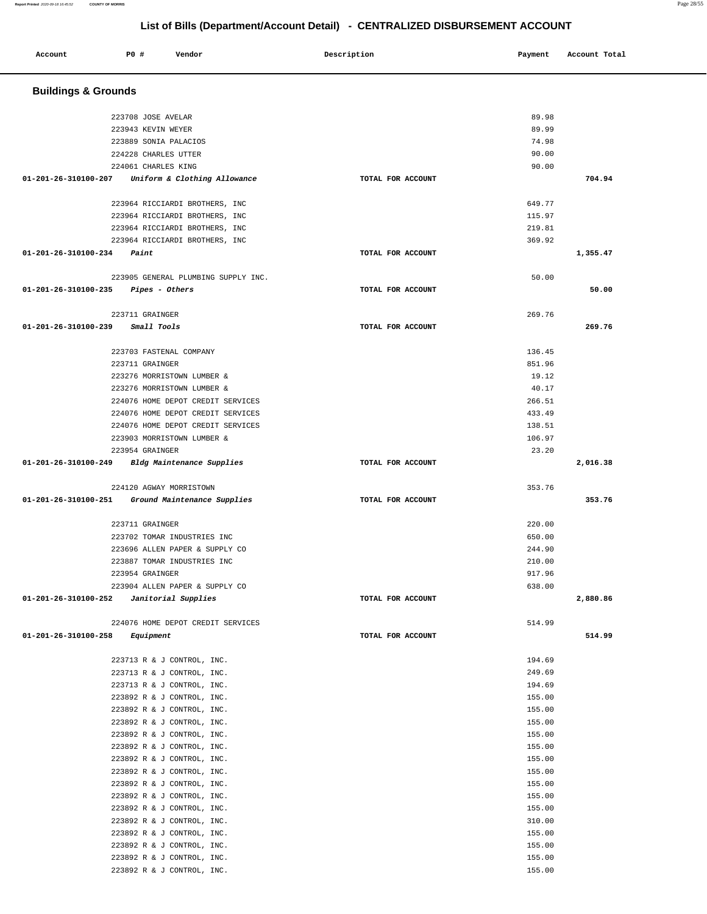| Account                        | P0 # | Vendor                                                   | Description       | Payment          | Account Total |
|--------------------------------|------|----------------------------------------------------------|-------------------|------------------|---------------|
| <b>Buildings &amp; Grounds</b> |      |                                                          |                   |                  |               |
|                                |      | 223708 JOSE AVELAR                                       |                   | 89.98            |               |
|                                |      | 223943 KEVIN WEYER                                       |                   | 89.99            |               |
|                                |      | 223889 SONIA PALACIOS                                    |                   | 74.98            |               |
|                                |      | 224228 CHARLES UTTER                                     |                   | 90.00            |               |
|                                |      | 224061 CHARLES KING                                      |                   | 90.00            |               |
| 01-201-26-310100-207           |      | Uniform & Clothing Allowance                             | TOTAL FOR ACCOUNT |                  | 704.94        |
|                                |      | 223964 RICCIARDI BROTHERS, INC                           |                   | 649.77           |               |
|                                |      | 223964 RICCIARDI BROTHERS, INC                           |                   | 115.97           |               |
|                                |      | 223964 RICCIARDI BROTHERS, INC                           |                   | 219.81           |               |
|                                |      | 223964 RICCIARDI BROTHERS, INC                           |                   | 369.92           |               |
| 01-201-26-310100-234           |      | Paint                                                    | TOTAL FOR ACCOUNT |                  | 1,355.47      |
|                                |      | 223905 GENERAL PLUMBING SUPPLY INC.                      |                   | 50.00            |               |
| 01-201-26-310100-235           |      | <i>Pipes – Others</i>                                    | TOTAL FOR ACCOUNT |                  | 50.00         |
|                                |      | 223711 GRAINGER                                          |                   | 269.76           |               |
| 01-201-26-310100-239           |      | Small Tools                                              | TOTAL FOR ACCOUNT |                  | 269.76        |
|                                |      | 223703 FASTENAL COMPANY                                  |                   | 136.45           |               |
|                                |      | 223711 GRAINGER                                          |                   | 851.96           |               |
|                                |      | 223276 MORRISTOWN LUMBER &                               |                   | 19.12            |               |
|                                |      | 223276 MORRISTOWN LUMBER &                               |                   | 40.17            |               |
|                                |      | 224076 HOME DEPOT CREDIT SERVICES                        |                   | 266.51           |               |
|                                |      | 224076 HOME DEPOT CREDIT SERVICES                        |                   | 433.49           |               |
|                                |      | 224076 HOME DEPOT CREDIT SERVICES                        |                   | 138.51           |               |
|                                |      | 223903 MORRISTOWN LUMBER &                               |                   | 106.97           |               |
|                                |      | 223954 GRAINGER                                          |                   | 23.20            |               |
| 01-201-26-310100-249           |      | Bldg Maintenance Supplies                                | TOTAL FOR ACCOUNT |                  | 2,016.38      |
|                                |      | 224120 AGWAY MORRISTOWN                                  |                   | 353.76           |               |
| 01-201-26-310100-251           |      | Ground Maintenance Supplies                              | TOTAL FOR ACCOUNT |                  | 353.76        |
|                                |      | 223711 GRAINGER                                          |                   | 220.00           |               |
|                                |      | 223702 TOMAR INDUSTRIES INC                              |                   | 650.00           |               |
|                                |      | 223696 ALLEN PAPER & SUPPLY CO                           |                   | 244.90           |               |
|                                |      | 223887 TOMAR INDUSTRIES INC                              |                   | 210.00           |               |
|                                |      | 223954 GRAINGER                                          |                   | 917.96           |               |
| 01-201-26-310100-252           |      | 223904 ALLEN PAPER & SUPPLY CO<br>Janitorial Supplies    | TOTAL FOR ACCOUNT | 638.00           | 2,880.86      |
|                                |      |                                                          |                   |                  |               |
| 01-201-26-310100-258           |      | 224076 HOME DEPOT CREDIT SERVICES<br>Equipment           | TOTAL FOR ACCOUNT | 514.99           | 514.99        |
|                                |      |                                                          |                   |                  |               |
|                                |      | 223713 R & J CONTROL, INC.                               |                   | 194.69           |               |
|                                |      | 223713 R & J CONTROL, INC.                               |                   | 249.69           |               |
|                                |      | 223713 R & J CONTROL, INC.                               |                   | 194.69           |               |
|                                |      | 223892 R & J CONTROL, INC.                               |                   | 155.00           |               |
|                                |      | 223892 R & J CONTROL, INC.                               |                   | 155.00           |               |
|                                |      | 223892 R & J CONTROL, INC.<br>223892 R & J CONTROL, INC. |                   | 155.00<br>155.00 |               |
|                                |      | 223892 R & J CONTROL, INC.                               |                   | 155.00           |               |
|                                |      | 223892 R & J CONTROL, INC.                               |                   | 155.00           |               |
|                                |      | 223892 R & J CONTROL, INC.                               |                   | 155.00           |               |
|                                |      | 223892 R & J CONTROL, INC.                               |                   | 155.00           |               |
|                                |      | 223892 R & J CONTROL, INC.                               |                   | 155.00           |               |
|                                |      | 223892 R & J CONTROL, INC.                               |                   | 155.00           |               |
|                                |      | 223892 R & J CONTROL, INC.                               |                   | 310.00           |               |
|                                |      | 223892 R & J CONTROL, INC.                               |                   | 155.00           |               |
|                                |      | 223892 R & J CONTROL, INC.                               |                   | 155.00           |               |
|                                |      | 223892 R & J CONTROL, INC.                               |                   | 155.00           |               |
|                                |      | 223892 R & J CONTROL, INC.                               |                   | 155.00           |               |

**Report Printed** 2020-09-18 16:45:52 **COUNTY OF MORRIS** Page 28/55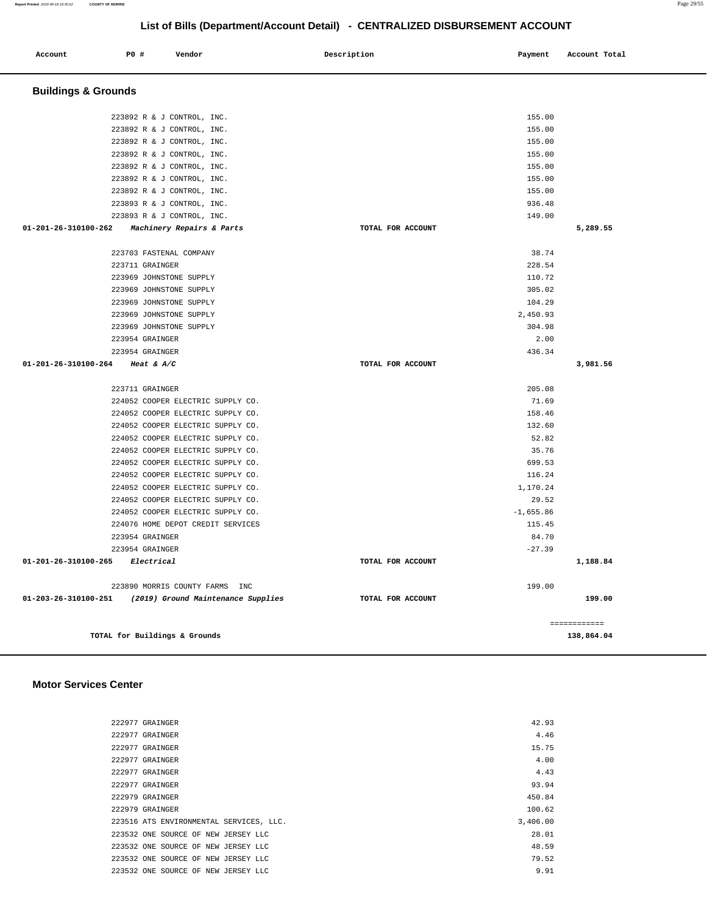#### 222977 GRAINGER 15.75  $222977$  GRAINGER  $4.00$  $222977$  GRAINGER  $4.43$  222977 GRAINGER 93.94 222979 GRAINGER 450.84 222979 GRAINGER 100.62 223516 ATS ENVIRONMENTAL SERVICES, LLC. 3,406.00 223532 ONE SOURCE OF NEW JERSEY LLC 28.01 223532 ONE SOURCE OF NEW JERSEY LLC 48.59 223532 ONE SOURCE OF NEW JERSEY LLC  $\overline{79.52}$ 223532 ONE SOURCE OF NEW JERSEY LLC 9.91

222977 GRAINGER 42.93 222977 GRAINGER 4.46

### **Motor Services Center**

| <b>Buildings &amp; Grounds</b> |                                    |                   |             |              |
|--------------------------------|------------------------------------|-------------------|-------------|--------------|
|                                | 223892 R & J CONTROL, INC.         |                   | 155.00      |              |
|                                | 223892 R & J CONTROL, INC.         |                   | 155.00      |              |
|                                | 223892 R & J CONTROL, INC.         |                   | 155.00      |              |
|                                | 223892 R & J CONTROL, INC.         |                   | 155.00      |              |
|                                | 223892 R & J CONTROL, INC.         |                   | 155.00      |              |
|                                | 223892 R & J CONTROL, INC.         |                   | 155.00      |              |
|                                | 223892 R & J CONTROL, INC.         |                   | 155.00      |              |
|                                | 223893 R & J CONTROL, INC.         |                   | 936.48      |              |
|                                | 223893 R & J CONTROL, INC.         |                   | 149.00      |              |
| 01-201-26-310100-262           | Machinery Repairs & Parts          | TOTAL FOR ACCOUNT |             | 5,289.55     |
|                                | 223703 FASTENAL COMPANY            |                   | 38.74       |              |
|                                | 223711 GRAINGER                    |                   | 228.54      |              |
|                                | 223969 JOHNSTONE SUPPLY            |                   | 110.72      |              |
|                                | 223969 JOHNSTONE SUPPLY            |                   | 305.02      |              |
|                                | 223969 JOHNSTONE SUPPLY            |                   | 104.29      |              |
|                                | 223969 JOHNSTONE SUPPLY            |                   | 2,450.93    |              |
|                                | 223969 JOHNSTONE SUPPLY            |                   | 304.98      |              |
|                                | 223954 GRAINGER                    |                   | 2.00        |              |
|                                | 223954 GRAINGER                    |                   | 436.34      |              |
| 01-201-26-310100-264           | Heat & $A/C$                       | TOTAL FOR ACCOUNT |             | 3,981.56     |
|                                | 223711 GRAINGER                    |                   | 205.08      |              |
|                                | 224052 COOPER ELECTRIC SUPPLY CO.  |                   | 71.69       |              |
|                                | 224052 COOPER ELECTRIC SUPPLY CO.  |                   | 158.46      |              |
|                                | 224052 COOPER ELECTRIC SUPPLY CO.  |                   | 132.60      |              |
|                                | 224052 COOPER ELECTRIC SUPPLY CO.  |                   | 52.82       |              |
|                                | 224052 COOPER ELECTRIC SUPPLY CO.  |                   | 35.76       |              |
|                                | 224052 COOPER ELECTRIC SUPPLY CO.  |                   | 699.53      |              |
|                                | 224052 COOPER ELECTRIC SUPPLY CO.  |                   | 116.24      |              |
|                                | 224052 COOPER ELECTRIC SUPPLY CO.  |                   | 1,170.24    |              |
|                                | 224052 COOPER ELECTRIC SUPPLY CO.  |                   | 29.52       |              |
|                                | 224052 COOPER ELECTRIC SUPPLY CO.  |                   | $-1,655.86$ |              |
|                                | 224076 HOME DEPOT CREDIT SERVICES  |                   | 115.45      |              |
|                                | 223954 GRAINGER                    |                   | 84.70       |              |
|                                | 223954 GRAINGER                    |                   | $-27.39$    |              |
| 01-201-26-310100-265           | Electrical                         | TOTAL FOR ACCOUNT |             | 1,188.84     |
|                                | 223890 MORRIS COUNTY FARMS INC     |                   | 199.00      |              |
| 01-203-26-310100-251           | (2019) Ground Maintenance Supplies | TOTAL FOR ACCOUNT |             | 199.00       |
|                                |                                    |                   |             | ============ |
|                                | TOTAL for Buildings & Grounds      |                   |             | 138,864.04   |

## **List of Bills (Department/Account Detail) - CENTRALIZED DISBURSEMENT ACCOUNT**

 **Account P0 # Vendor Description Payment Account Total**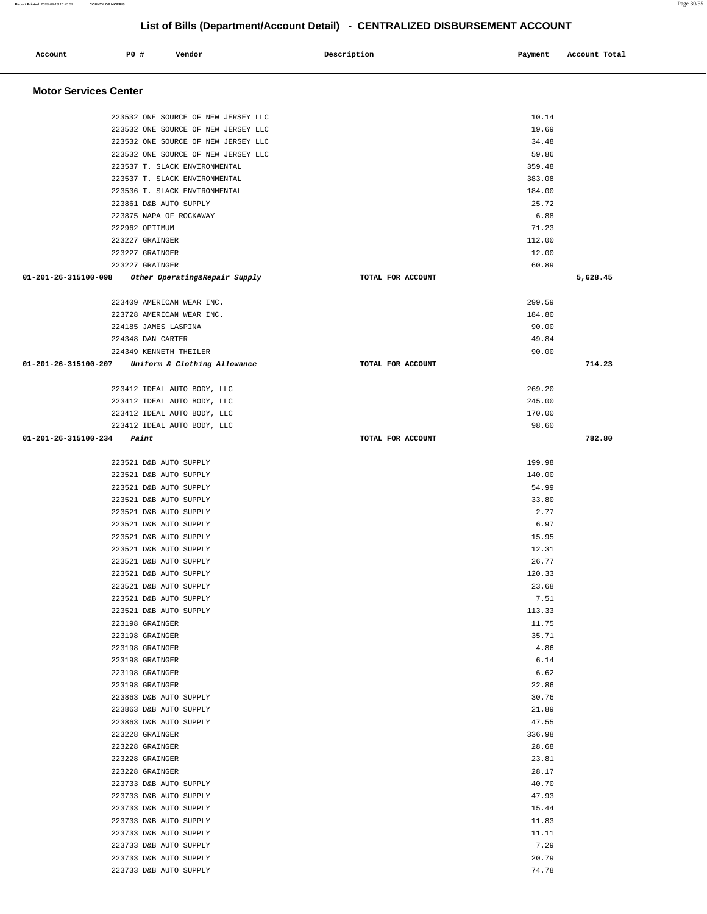| Account                              | <b>PO #</b> | Vendor                                                                     | Description       | Payment        | Account Total |
|--------------------------------------|-------------|----------------------------------------------------------------------------|-------------------|----------------|---------------|
| <b>Motor Services Center</b>         |             |                                                                            |                   |                |               |
|                                      |             |                                                                            |                   |                |               |
|                                      |             | 223532 ONE SOURCE OF NEW JERSEY LLC<br>223532 ONE SOURCE OF NEW JERSEY LLC |                   | 10.14<br>19.69 |               |
|                                      |             | 223532 ONE SOURCE OF NEW JERSEY LLC                                        |                   | 34.48          |               |
|                                      |             | 223532 ONE SOURCE OF NEW JERSEY LLC                                        |                   | 59.86          |               |
|                                      |             | 223537 T. SLACK ENVIRONMENTAL                                              |                   | 359.48         |               |
|                                      |             | 223537 T. SLACK ENVIRONMENTAL                                              |                   | 383.08         |               |
|                                      |             | 223536 T. SLACK ENVIRONMENTAL                                              |                   | 184.00         |               |
|                                      |             | 223861 D&B AUTO SUPPLY                                                     |                   | 25.72          |               |
|                                      |             | 223875 NAPA OF ROCKAWAY                                                    |                   | 6.88           |               |
|                                      |             | 222962 OPTIMUM                                                             |                   | 71.23          |               |
|                                      |             | 223227 GRAINGER                                                            |                   | 112.00         |               |
|                                      |             | 223227 GRAINGER                                                            |                   | 12.00          |               |
|                                      |             | 223227 GRAINGER                                                            |                   | 60.89          |               |
| 01-201-26-315100-098                 |             | Other Operating&Repair Supply                                              | TOTAL FOR ACCOUNT |                | 5,628.45      |
|                                      |             | 223409 AMERICAN WEAR INC.                                                  |                   | 299.59         |               |
|                                      |             | 223728 AMERICAN WEAR INC.                                                  |                   | 184.80         |               |
|                                      |             | 224185 JAMES LASPINA                                                       |                   | 90.00          |               |
|                                      |             | 224348 DAN CARTER                                                          |                   | 49.84          |               |
|                                      |             | 224349 KENNETH THEILER                                                     |                   | 90.00          |               |
|                                      |             | 01-201-26-315100-207 Uniform & Clothing Allowance                          | TOTAL FOR ACCOUNT |                | 714.23        |
|                                      |             | 223412 IDEAL AUTO BODY, LLC                                                |                   | 269.20         |               |
|                                      |             | 223412 IDEAL AUTO BODY, LLC                                                |                   | 245.00         |               |
|                                      |             | 223412 IDEAL AUTO BODY, LLC                                                |                   | 170.00         |               |
|                                      |             | 223412 IDEAL AUTO BODY, LLC                                                |                   | 98.60          |               |
| $01 - 201 - 26 - 315100 - 234$ Paint |             |                                                                            | TOTAL FOR ACCOUNT |                | 782.80        |
|                                      |             |                                                                            |                   |                |               |
|                                      |             | 223521 D&B AUTO SUPPLY                                                     |                   | 199.98         |               |
|                                      |             | 223521 D&B AUTO SUPPLY                                                     |                   | 140.00         |               |
|                                      |             | 223521 D&B AUTO SUPPLY                                                     |                   | 54.99          |               |
|                                      |             | 223521 D&B AUTO SUPPLY                                                     |                   | 33.80          |               |
|                                      |             | 223521 D&B AUTO SUPPLY                                                     |                   | 2.77           |               |
|                                      |             | 223521 D&B AUTO SUPPLY<br>223521 D&B AUTO SUPPLY                           |                   | 6.97<br>15.95  |               |
|                                      |             | 223521 D&B AUTO SUPPLY                                                     |                   | 12.31          |               |
|                                      |             | 223521 D&B AUTO SUPPLY                                                     |                   | 26.77          |               |
|                                      |             | 223521 D&B AUTO SUPPLY                                                     |                   | 120.33         |               |
|                                      |             | 223521 D&B AUTO SUPPLY                                                     |                   | 23.68          |               |
|                                      |             | 223521 D&B AUTO SUPPLY                                                     |                   | 7.51           |               |
|                                      |             | 223521 D&B AUTO SUPPLY                                                     |                   | 113.33         |               |
|                                      |             | 223198 GRAINGER                                                            |                   | 11.75          |               |
|                                      |             | 223198 GRAINGER                                                            |                   | 35.71          |               |
|                                      |             | 223198 GRAINGER                                                            |                   | 4.86           |               |
|                                      |             | 223198 GRAINGER                                                            |                   | 6.14           |               |
|                                      |             | 223198 GRAINGER                                                            |                   | 6.62           |               |
|                                      |             | 223198 GRAINGER                                                            |                   | 22.86          |               |
|                                      |             | 223863 D&B AUTO SUPPLY                                                     |                   | 30.76          |               |
|                                      |             | 223863 D&B AUTO SUPPLY                                                     |                   | 21.89          |               |
|                                      |             | 223863 D&B AUTO SUPPLY                                                     |                   | 47.55          |               |
|                                      |             | 223228 GRAINGER                                                            |                   | 336.98         |               |
|                                      |             | 223228 GRAINGER                                                            |                   | 28.68          |               |
|                                      |             | 223228 GRAINGER                                                            |                   | 23.81          |               |
|                                      |             | 223228 GRAINGER                                                            |                   | 28.17          |               |
|                                      |             | 223733 D&B AUTO SUPPLY                                                     |                   | 40.70          |               |
|                                      |             | 223733 D&B AUTO SUPPLY                                                     |                   | 47.93          |               |
|                                      |             | 223733 D&B AUTO SUPPLY                                                     |                   | 15.44          |               |
|                                      |             | 223733 D&B AUTO SUPPLY                                                     |                   | 11.83          |               |
|                                      |             | 223733 D&B AUTO SUPPLY                                                     |                   | 11.11          |               |
|                                      |             | 223733 D&B AUTO SUPPLY                                                     |                   | 7.29           |               |
|                                      |             | 223733 D&B AUTO SUPPLY                                                     |                   | 20.79          |               |
|                                      |             | 223733 D&B AUTO SUPPLY                                                     |                   | 74.78          |               |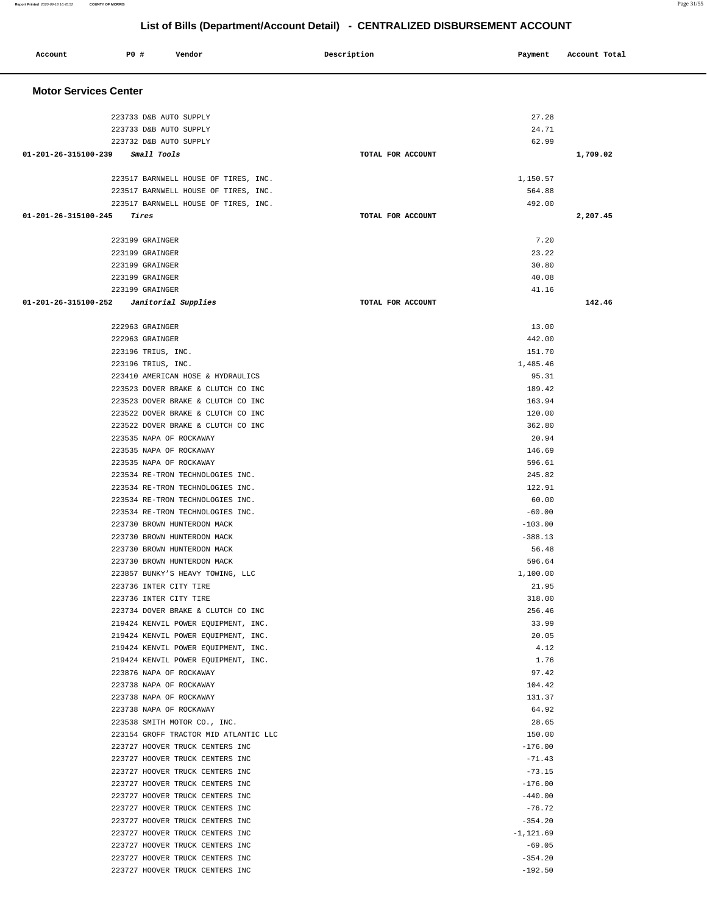| Account                        | <b>PO #</b><br>Vendor                                                        | Description       | Payment               | Account Total |  |  |  |
|--------------------------------|------------------------------------------------------------------------------|-------------------|-----------------------|---------------|--|--|--|
|                                | <b>Motor Services Center</b>                                                 |                   |                       |               |  |  |  |
|                                | 223733 D&B AUTO SUPPLY                                                       |                   | 27.28                 |               |  |  |  |
|                                | 223733 D&B AUTO SUPPLY                                                       |                   | 24.71                 |               |  |  |  |
|                                | 223732 D&B AUTO SUPPLY                                                       |                   | 62.99                 |               |  |  |  |
| $01 - 201 - 26 - 315100 - 239$ | Small Tools                                                                  | TOTAL FOR ACCOUNT |                       | 1,709.02      |  |  |  |
|                                |                                                                              |                   |                       |               |  |  |  |
|                                | 223517 BARNWELL HOUSE OF TIRES, INC.                                         |                   | 1,150.57              |               |  |  |  |
|                                | 223517 BARNWELL HOUSE OF TIRES, INC.<br>223517 BARNWELL HOUSE OF TIRES, INC. |                   | 564.88<br>492.00      |               |  |  |  |
| 01-201-26-315100-245           | Tires                                                                        | TOTAL FOR ACCOUNT |                       | 2,207.45      |  |  |  |
|                                |                                                                              |                   |                       |               |  |  |  |
|                                | 223199 GRAINGER                                                              |                   | 7.20                  |               |  |  |  |
|                                | 223199 GRAINGER                                                              |                   | 23.22                 |               |  |  |  |
|                                | 223199 GRAINGER                                                              |                   | 30.80                 |               |  |  |  |
|                                | 223199 GRAINGER                                                              |                   | 40.08                 |               |  |  |  |
|                                | 223199 GRAINGER                                                              |                   | 41.16                 |               |  |  |  |
| 01-201-26-315100-252           | Janitorial Supplies                                                          | TOTAL FOR ACCOUNT |                       | 142.46        |  |  |  |
|                                | 222963 GRAINGER                                                              |                   | 13.00                 |               |  |  |  |
|                                | 222963 GRAINGER                                                              |                   | 442.00                |               |  |  |  |
|                                | 223196 TRIUS, INC.                                                           |                   | 151.70                |               |  |  |  |
|                                | 223196 TRIUS, INC.                                                           |                   | 1,485.46              |               |  |  |  |
|                                | 223410 AMERICAN HOSE & HYDRAULICS                                            |                   | 95.31                 |               |  |  |  |
|                                | 223523 DOVER BRAKE & CLUTCH CO INC                                           |                   | 189.42                |               |  |  |  |
|                                | 223523 DOVER BRAKE & CLUTCH CO INC                                           |                   | 163.94                |               |  |  |  |
|                                | 223522 DOVER BRAKE & CLUTCH CO INC                                           |                   | 120.00                |               |  |  |  |
|                                | 223522 DOVER BRAKE & CLUTCH CO INC                                           |                   | 362.80<br>20.94       |               |  |  |  |
|                                | 223535 NAPA OF ROCKAWAY<br>223535 NAPA OF ROCKAWAY                           |                   | 146.69                |               |  |  |  |
|                                | 223535 NAPA OF ROCKAWAY                                                      |                   | 596.61                |               |  |  |  |
|                                | 223534 RE-TRON TECHNOLOGIES INC.                                             |                   | 245.82                |               |  |  |  |
|                                | 223534 RE-TRON TECHNOLOGIES INC.                                             |                   | 122.91                |               |  |  |  |
|                                | 223534 RE-TRON TECHNOLOGIES INC.                                             |                   | 60.00                 |               |  |  |  |
|                                | 223534 RE-TRON TECHNOLOGIES INC.                                             |                   | $-60.00$              |               |  |  |  |
|                                | 223730 BROWN HUNTERDON MACK                                                  |                   | $-103.00$             |               |  |  |  |
|                                | 223730 BROWN HUNTERDON MACK                                                  |                   | $-388.13$             |               |  |  |  |
|                                | 223730 BROWN HUNTERDON MACK                                                  |                   | 56.48                 |               |  |  |  |
|                                | 223730 BROWN HUNTERDON MACK<br>223857 BUNKY'S HEAVY TOWING, LLC              |                   | 596.64<br>1,100.00    |               |  |  |  |
|                                | 223736 INTER CITY TIRE                                                       |                   | 21.95                 |               |  |  |  |
|                                | 223736 INTER CITY TIRE                                                       |                   | 318.00                |               |  |  |  |
|                                | 223734 DOVER BRAKE & CLUTCH CO INC                                           |                   | 256.46                |               |  |  |  |
|                                | 219424 KENVIL POWER EQUIPMENT, INC.                                          |                   | 33.99                 |               |  |  |  |
|                                | 219424 KENVIL POWER EQUIPMENT, INC.                                          |                   | 20.05                 |               |  |  |  |
|                                | 219424 KENVIL POWER EQUIPMENT, INC.                                          |                   | 4.12                  |               |  |  |  |
|                                | 219424 KENVIL POWER EQUIPMENT, INC.                                          |                   | 1.76                  |               |  |  |  |
|                                | 223876 NAPA OF ROCKAWAY                                                      |                   | 97.42                 |               |  |  |  |
|                                | 223738 NAPA OF ROCKAWAY<br>223738 NAPA OF ROCKAWAY                           |                   | 104.42<br>131.37      |               |  |  |  |
|                                | 223738 NAPA OF ROCKAWAY                                                      |                   | 64.92                 |               |  |  |  |
|                                | 223538 SMITH MOTOR CO., INC.                                                 |                   | 28.65                 |               |  |  |  |
|                                | 223154 GROFF TRACTOR MID ATLANTIC LLC                                        |                   | 150.00                |               |  |  |  |
|                                | 223727 HOOVER TRUCK CENTERS INC                                              |                   | $-176.00$             |               |  |  |  |
|                                | 223727 HOOVER TRUCK CENTERS INC                                              |                   | $-71.43$              |               |  |  |  |
|                                | 223727 HOOVER TRUCK CENTERS INC                                              |                   | $-73.15$              |               |  |  |  |
|                                | 223727 HOOVER TRUCK CENTERS INC                                              |                   | $-176.00$             |               |  |  |  |
|                                | 223727 HOOVER TRUCK CENTERS INC<br>223727 HOOVER TRUCK CENTERS INC           |                   | $-440.00$<br>$-76.72$ |               |  |  |  |
|                                | 223727 HOOVER TRUCK CENTERS INC                                              |                   | $-354.20$             |               |  |  |  |
|                                | 223727 HOOVER TRUCK CENTERS INC                                              |                   | $-1, 121.69$          |               |  |  |  |
|                                | 223727 HOOVER TRUCK CENTERS INC                                              |                   | $-69.05$              |               |  |  |  |
|                                | 223727 HOOVER TRUCK CENTERS INC                                              |                   | $-354.20$             |               |  |  |  |
|                                | 223727 HOOVER TRUCK CENTERS INC                                              |                   | $-192.50$             |               |  |  |  |
|                                |                                                                              |                   |                       |               |  |  |  |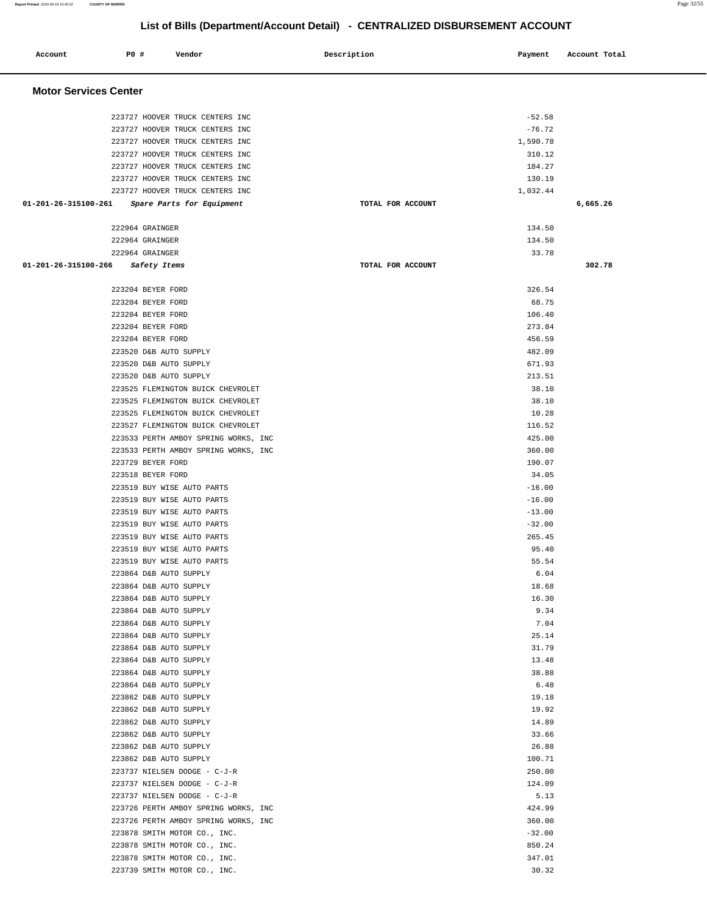۰

# **List of Bills (Department/Account Detail) - CENTRALIZED DISBURSEMENT ACCOUNT**

| Account                      | <b>PO #</b>                                                                | Vendor                                                                                                                                   | Description       | Payment                                | Account Total |
|------------------------------|----------------------------------------------------------------------------|------------------------------------------------------------------------------------------------------------------------------------------|-------------------|----------------------------------------|---------------|
| <b>Motor Services Center</b> |                                                                            |                                                                                                                                          |                   |                                        |               |
|                              |                                                                            | 223727 HOOVER TRUCK CENTERS INC<br>223727 HOOVER TRUCK CENTERS INC<br>223727 HOOVER TRUCK CENTERS INC                                    |                   | $-52.58$<br>$-76.72$<br>1,590.78       |               |
|                              |                                                                            | 223727 HOOVER TRUCK CENTERS INC<br>223727 HOOVER TRUCK CENTERS INC<br>223727 HOOVER TRUCK CENTERS INC<br>223727 HOOVER TRUCK CENTERS INC |                   | 310.12<br>184.27<br>130.19<br>1,032.44 |               |
| 01-201-26-315100-261         |                                                                            | Spare Parts for Equipment                                                                                                                | TOTAL FOR ACCOUNT |                                        | 6,665.26      |
|                              | 222964 GRAINGER<br>222964 GRAINGER<br>222964 GRAINGER                      |                                                                                                                                          |                   | 134.50<br>134.50<br>33.78              |               |
| 01-201-26-315100-266         | Safety Items                                                               |                                                                                                                                          | TOTAL FOR ACCOUNT |                                        | 302.78        |
|                              | 223204 BEYER FORD<br>223204 BEYER FORD<br>223204 BEYER FORD                |                                                                                                                                          |                   | 326.54<br>68.75<br>106.40              |               |
|                              | 223204 BEYER FORD<br>223204 BEYER FORD<br>223520 D&B AUTO SUPPLY           |                                                                                                                                          |                   | 273.84<br>456.59<br>482.09             |               |
|                              | 223520 D&B AUTO SUPPLY<br>223520 D&B AUTO SUPPLY                           |                                                                                                                                          |                   | 671.93<br>213.51<br>38.10              |               |
|                              |                                                                            | 223525 FLEMINGTON BUICK CHEVROLET<br>223525 FLEMINGTON BUICK CHEVROLET<br>223525 FLEMINGTON BUICK CHEVROLET                              |                   | 38.10<br>10.28                         |               |
|                              |                                                                            | 223527 FLEMINGTON BUICK CHEVROLET<br>223533 PERTH AMBOY SPRING WORKS, INC<br>223533 PERTH AMBOY SPRING WORKS, INC                        |                   | 116.52<br>425.00<br>360.00             |               |
|                              | 223729 BEYER FORD<br>223518 BEYER FORD                                     | 223519 BUY WISE AUTO PARTS                                                                                                               |                   | 190.07<br>34.05<br>$-16.00$            |               |
|                              |                                                                            | 223519 BUY WISE AUTO PARTS<br>223519 BUY WISE AUTO PARTS<br>223519 BUY WISE AUTO PARTS                                                   |                   | $-16.00$<br>$-13.00$<br>$-32.00$       |               |
|                              |                                                                            | 223519 BUY WISE AUTO PARTS<br>223519 BUY WISE AUTO PARTS<br>223519 BUY WISE AUTO PARTS                                                   |                   | 265.45<br>95.40<br>55.54               |               |
|                              | 223864 D&B AUTO SUPPLY<br>223864 D&B AUTO SUPPLY<br>223864 D&B AUTO SUPPLY |                                                                                                                                          |                   | 6.04<br>18.68<br>16.30                 |               |
|                              | 223864 D&B AUTO SUPPLY<br>223864 D&B AUTO SUPPLY<br>223864 D&B AUTO SUPPLY |                                                                                                                                          |                   | 9.34<br>7.04<br>25.14                  |               |
|                              | 223864 D&B AUTO SUPPLY<br>223864 D&B AUTO SUPPLY<br>223864 D&B AUTO SUPPLY |                                                                                                                                          |                   | 31.79<br>13.48<br>38.88                |               |
|                              | 223864 D&B AUTO SUPPLY<br>223862 D&B AUTO SUPPLY<br>223862 D&B AUTO SUPPLY |                                                                                                                                          |                   | 6.48<br>19.18<br>19.92                 |               |
|                              | 223862 D&B AUTO SUPPLY<br>223862 D&B AUTO SUPPLY<br>223862 D&B AUTO SUPPLY |                                                                                                                                          |                   | 14.89<br>33.66<br>26.88                |               |
|                              | 223862 D&B AUTO SUPPLY                                                     | 223737 NIELSEN DODGE - C-J-R<br>223737 NIELSEN DODGE - C-J-R                                                                             |                   | 100.71<br>250.00<br>124.09             |               |
|                              |                                                                            | 223737 NIELSEN DODGE - C-J-R<br>223726 PERTH AMBOY SPRING WORKS, INC<br>223726 PERTH AMBOY SPRING WORKS, INC                             |                   | 5.13<br>424.99<br>360.00               |               |
|                              |                                                                            | 223878 SMITH MOTOR CO., INC.<br>223878 SMITH MOTOR CO., INC.<br>223878 SMITH MOTOR CO., INC.                                             |                   | $-32.00$<br>850.24<br>347.01           |               |
|                              |                                                                            | 223739 SMITH MOTOR CO., INC.                                                                                                             |                   | 30.32                                  |               |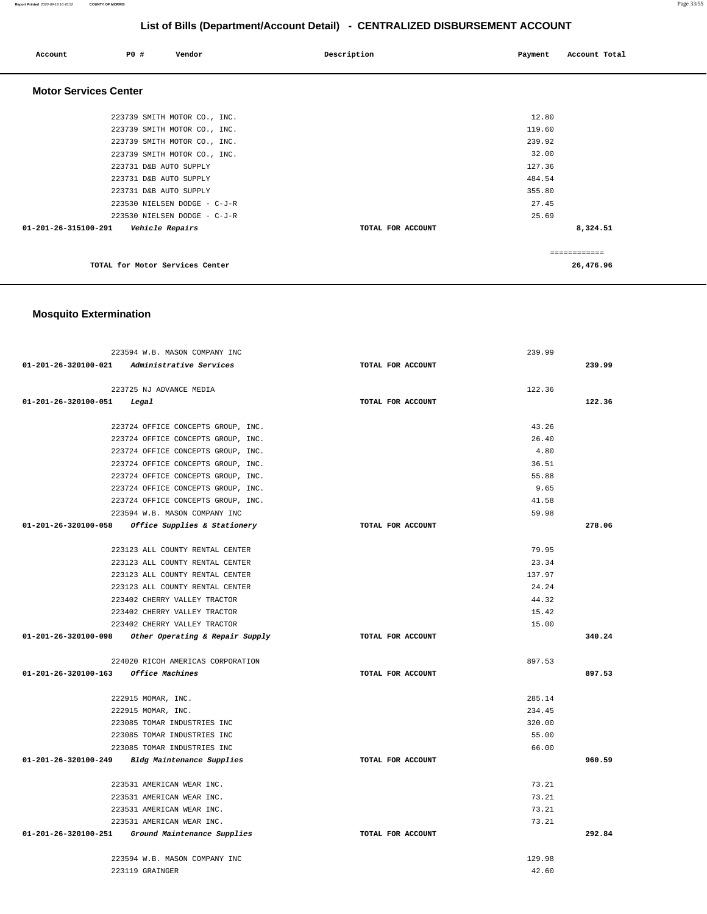#### **Report Printed** 2020-09-18 16:45:52 **COUNTY OF MORRIS** Page 33/55

# **List of Bills (Department/Account Detail) - CENTRALIZED DISBURSEMENT ACCOUNT**

| Account                      | PO#                    | Vendor                          | Description       | Payment | Account Total |
|------------------------------|------------------------|---------------------------------|-------------------|---------|---------------|
| <b>Motor Services Center</b> |                        |                                 |                   |         |               |
|                              |                        | 223739 SMITH MOTOR CO., INC.    |                   | 12.80   |               |
|                              |                        | 223739 SMITH MOTOR CO., INC.    |                   | 119.60  |               |
|                              |                        | 223739 SMITH MOTOR CO., INC.    |                   | 239.92  |               |
|                              |                        | 223739 SMITH MOTOR CO., INC.    |                   | 32.00   |               |
|                              | 223731 D&B AUTO SUPPLY |                                 |                   | 127.36  |               |
|                              | 223731 D&B AUTO SUPPLY |                                 |                   | 484.54  |               |
|                              | 223731 D&B AUTO SUPPLY |                                 |                   | 355.80  |               |
|                              |                        | 223530 NIELSEN DODGE - C-J-R    |                   | 27.45   |               |
|                              |                        | 223530 NIELSEN DODGE - C-J-R    |                   | 25.69   |               |
| 01-201-26-315100-291         | Vehicle Repairs        |                                 | TOTAL FOR ACCOUNT |         | 8,324.51      |
|                              |                        |                                 |                   |         | ============  |
|                              |                        | TOTAL for Motor Services Center |                   |         | 26,476.96     |

# **Mosquito Extermination**

| 223594 W.B. MASON COMPANY INC                          |                   | 239.99 |        |
|--------------------------------------------------------|-------------------|--------|--------|
| 01-201-26-320100-021 Administrative Services           | TOTAL FOR ACCOUNT |        | 239.99 |
| 223725 NJ ADVANCE MEDIA                                |                   | 122.36 |        |
| $01 - 201 - 26 - 320100 - 051$ Legal                   | TOTAL FOR ACCOUNT |        | 122.36 |
|                                                        |                   | 43.26  |        |
| 223724 OFFICE CONCEPTS GROUP, INC.                     |                   | 26.40  |        |
| 223724 OFFICE CONCEPTS GROUP, INC.                     |                   | 4.80   |        |
| 223724 OFFICE CONCEPTS GROUP, INC.                     |                   |        |        |
| 223724 OFFICE CONCEPTS GROUP, INC.                     |                   | 36.51  |        |
| 223724 OFFICE CONCEPTS GROUP, INC.                     |                   | 55.88  |        |
| 223724 OFFICE CONCEPTS GROUP, INC.                     |                   | 9.65   |        |
| 223724 OFFICE CONCEPTS GROUP, INC.                     |                   | 41.58  |        |
| 223594 W.B. MASON COMPANY INC                          |                   | 59.98  |        |
| 01-201-26-320100-058 Office Supplies & Stationery      | TOTAL FOR ACCOUNT |        | 278.06 |
| 223123 ALL COUNTY RENTAL CENTER                        |                   | 79.95  |        |
| 223123 ALL COUNTY RENTAL CENTER                        |                   | 23.34  |        |
| 223123 ALL COUNTY RENTAL CENTER                        |                   | 137.97 |        |
| 223123 ALL COUNTY RENTAL CENTER                        |                   | 24.24  |        |
| 223402 CHERRY VALLEY TRACTOR                           |                   | 44.32  |        |
| 223402 CHERRY VALLEY TRACTOR                           |                   | 15.42  |        |
| 223402 CHERRY VALLEY TRACTOR                           |                   | 15.00  |        |
| $01-201-26-320100-098$ Other Operating & Repair Supply | TOTAL FOR ACCOUNT |        | 340.24 |
| 224020 RICOH AMERICAS CORPORATION                      |                   | 897.53 |        |
| 01-201-26-320100-163 Office Machines                   | TOTAL FOR ACCOUNT |        | 897.53 |
|                                                        |                   |        |        |
| 222915 MOMAR, INC.                                     |                   | 285.14 |        |
| 222915 MOMAR, INC.                                     |                   | 234.45 |        |
| 223085 TOMAR INDUSTRIES INC                            |                   | 320.00 |        |
| 223085 TOMAR INDUSTRIES INC                            |                   | 55.00  |        |
| 223085 TOMAR INDUSTRIES INC                            |                   | 66.00  |        |
| 01-201-26-320100-249 Bldg Maintenance Supplies         | TOTAL FOR ACCOUNT |        | 960.59 |
| 223531 AMERICAN WEAR INC.                              |                   | 73.21  |        |
| 223531 AMERICAN WEAR INC.                              |                   | 73.21  |        |
| 223531 AMERICAN WEAR INC.                              |                   | 73.21  |        |
| 223531 AMERICAN WEAR INC.                              |                   | 73.21  |        |
| 01-201-26-320100-251 Ground Maintenance Supplies       | TOTAL FOR ACCOUNT |        | 292.84 |
|                                                        |                   |        |        |
| 223594 W.B. MASON COMPANY INC                          |                   | 129.98 |        |
| 223119 GRAINGER                                        |                   | 42.60  |        |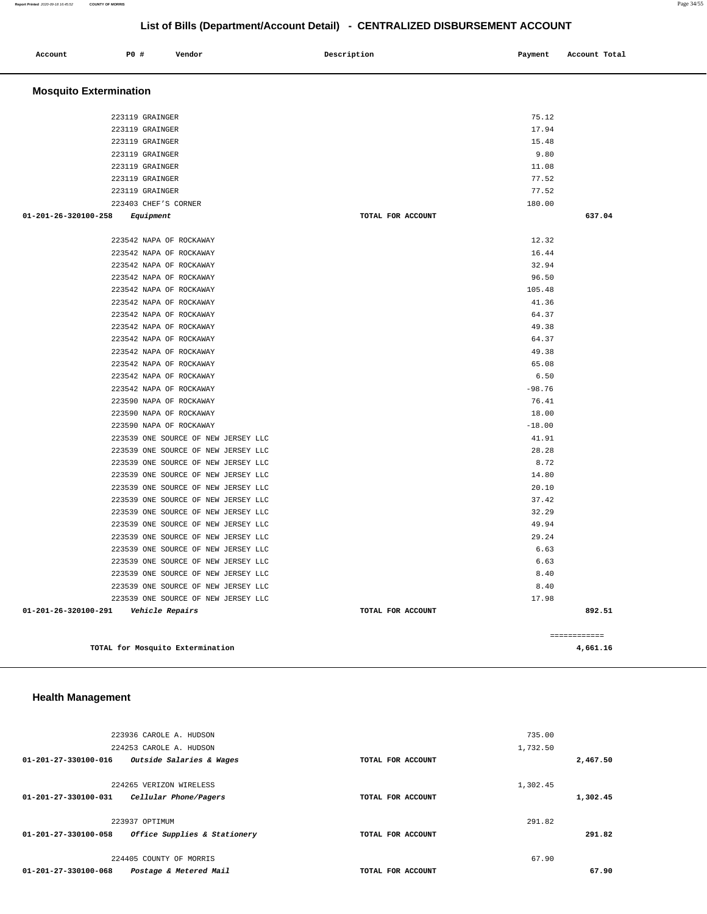#### **Report Printed** 2020-09-18 16:45:52 **COUNTY OF MORRIS** Page 34/55

# **List of Bills (Department/Account Detail) - CENTRALIZED DISBURSEMENT ACCOUNT**

| Account                       | P0 #                               | Vendor                                                                     | Description       | Payment      | Account Total |
|-------------------------------|------------------------------------|----------------------------------------------------------------------------|-------------------|--------------|---------------|
| <b>Mosquito Extermination</b> |                                    |                                                                            |                   |              |               |
|                               |                                    |                                                                            |                   | 75.12        |               |
|                               | 223119 GRAINGER<br>223119 GRAINGER |                                                                            |                   | 17.94        |               |
|                               | 223119 GRAINGER                    |                                                                            |                   | 15.48        |               |
|                               | 223119 GRAINGER                    |                                                                            |                   | 9.80         |               |
|                               | 223119 GRAINGER                    |                                                                            |                   | 11.08        |               |
|                               | 223119 GRAINGER                    |                                                                            |                   | 77.52        |               |
|                               | 223119 GRAINGER                    |                                                                            |                   | 77.52        |               |
|                               | 223403 CHEF'S CORNER               |                                                                            |                   | 180.00       |               |
| 01-201-26-320100-258          | Equipment                          |                                                                            | TOTAL FOR ACCOUNT |              | 637.04        |
|                               | 223542 NAPA OF ROCKAWAY            |                                                                            |                   | 12.32        |               |
|                               | 223542 NAPA OF ROCKAWAY            |                                                                            |                   | 16.44        |               |
|                               | 223542 NAPA OF ROCKAWAY            |                                                                            |                   | 32.94        |               |
|                               | 223542 NAPA OF ROCKAWAY            |                                                                            |                   | 96.50        |               |
|                               | 223542 NAPA OF ROCKAWAY            |                                                                            |                   | 105.48       |               |
|                               | 223542 NAPA OF ROCKAWAY            |                                                                            |                   | 41.36        |               |
|                               | 223542 NAPA OF ROCKAWAY            |                                                                            |                   | 64.37        |               |
|                               | 223542 NAPA OF ROCKAWAY            |                                                                            |                   | 49.38        |               |
|                               | 223542 NAPA OF ROCKAWAY            |                                                                            |                   | 64.37        |               |
|                               | 223542 NAPA OF ROCKAWAY            |                                                                            |                   | 49.38        |               |
|                               | 223542 NAPA OF ROCKAWAY            |                                                                            |                   | 65.08        |               |
|                               | 223542 NAPA OF ROCKAWAY            |                                                                            |                   | 6.50         |               |
|                               | 223542 NAPA OF ROCKAWAY            |                                                                            |                   | $-98.76$     |               |
|                               | 223590 NAPA OF ROCKAWAY            |                                                                            |                   | 76.41        |               |
|                               | 223590 NAPA OF ROCKAWAY            |                                                                            |                   | 18.00        |               |
|                               | 223590 NAPA OF ROCKAWAY            |                                                                            |                   | $-18.00$     |               |
|                               |                                    | 223539 ONE SOURCE OF NEW JERSEY LLC                                        |                   | 41.91        |               |
|                               |                                    | 223539 ONE SOURCE OF NEW JERSEY LLC                                        |                   | 28.28        |               |
|                               |                                    | 223539 ONE SOURCE OF NEW JERSEY LLC                                        |                   | 8.72         |               |
|                               |                                    | 223539 ONE SOURCE OF NEW JERSEY LLC                                        |                   | 14.80        |               |
|                               |                                    | 223539 ONE SOURCE OF NEW JERSEY LLC                                        |                   | 20.10        |               |
|                               |                                    | 223539 ONE SOURCE OF NEW JERSEY LLC                                        |                   | 37.42        |               |
|                               |                                    | 223539 ONE SOURCE OF NEW JERSEY LLC                                        |                   | 32.29        |               |
|                               |                                    | 223539 ONE SOURCE OF NEW JERSEY LLC                                        |                   | 49.94        |               |
|                               |                                    | 223539 ONE SOURCE OF NEW JERSEY LLC                                        |                   | 29.24        |               |
|                               |                                    | 223539 ONE SOURCE OF NEW JERSEY LLC                                        |                   | 6.63         |               |
|                               |                                    | 223539 ONE SOURCE OF NEW JERSEY LLC<br>223539 ONE SOURCE OF NEW JERSEY LLC |                   | 6.63<br>8.40 |               |
|                               |                                    | 223539 ONE SOURCE OF NEW JERSEY LLC                                        |                   | 8.40         |               |
|                               |                                    | 223539 ONE SOURCE OF NEW JERSEY LLC                                        |                   | 17.98        |               |
| 01-201-26-320100-291          |                                    | Vehicle Repairs                                                            | TOTAL FOR ACCOUNT |              | 892.51        |
|                               |                                    |                                                                            |                   |              |               |
|                               |                                    |                                                                            |                   |              | ============  |
|                               |                                    | TOTAL for Mosquito Extermination                                           |                   |              | 4,661.16      |

# **Health Management**

|          | 735.00   |                   | 223936 CAROLE A. HUDSON      |                                |
|----------|----------|-------------------|------------------------------|--------------------------------|
|          | 1,732.50 |                   | 224253 CAROLE A. HUDSON      |                                |
| 2,467.50 |          | TOTAL FOR ACCOUNT | Outside Salaries & Wages     | 01-201-27-330100-016           |
|          |          |                   |                              |                                |
|          | 1,302.45 |                   | 224265 VERIZON WIRELESS      |                                |
| 1,302.45 |          | TOTAL FOR ACCOUNT | Cellular Phone/Pagers        | 01-201-27-330100-031           |
|          |          |                   |                              |                                |
|          | 291.82   |                   | 223937 OPTIMUM               |                                |
| 291.82   |          | TOTAL FOR ACCOUNT | Office Supplies & Stationery | 01-201-27-330100-058           |
|          |          |                   |                              |                                |
|          | 67.90    |                   | 224405 COUNTY OF MORRIS      |                                |
| 67.90    |          | TOTAL FOR ACCOUNT | Postage & Metered Mail       | $01 - 201 - 27 - 330100 - 068$ |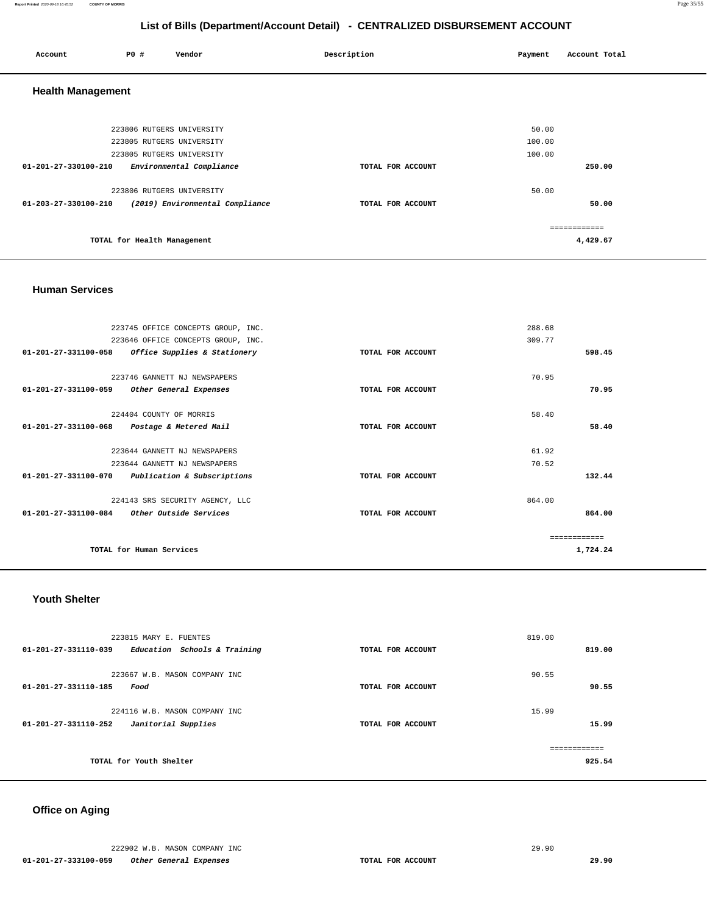**Report Printed** 2020-09-18 16:45:52 **COUNTY OF MORRIS** Page 35/55

# **List of Bills (Department/Account Detail) - CENTRALIZED DISBURSEMENT ACCOUNT**

| Account                  | <b>PO #</b>                 | Vendor                          | Description       | Payment | Account Total |
|--------------------------|-----------------------------|---------------------------------|-------------------|---------|---------------|
| <b>Health Management</b> |                             |                                 |                   |         |               |
|                          | 223806 RUTGERS UNIVERSITY   |                                 |                   | 50.00   |               |
|                          | 223805 RUTGERS UNIVERSITY   |                                 |                   | 100.00  |               |
|                          | 223805 RUTGERS UNIVERSITY   |                                 |                   | 100.00  |               |
| 01-201-27-330100-210     |                             | Environmental Compliance        | TOTAL FOR ACCOUNT |         | 250.00        |
|                          | 223806 RUTGERS UNIVERSITY   |                                 |                   | 50.00   |               |
| 01-203-27-330100-210     |                             | (2019) Environmental Compliance | TOTAL FOR ACCOUNT |         | 50.00         |
|                          |                             |                                 |                   |         | ============  |
|                          | TOTAL for Health Management |                                 |                   |         | 4,429.67      |

#### **Human Services**

|                                | 223745 OFFICE CONCEPTS GROUP, INC. |                   | 288.68 |          |
|--------------------------------|------------------------------------|-------------------|--------|----------|
|                                | 223646 OFFICE CONCEPTS GROUP, INC. |                   | 309.77 |          |
| $01 - 201 - 27 - 331100 - 058$ | Office Supplies & Stationery       | TOTAL FOR ACCOUNT |        | 598.45   |
|                                |                                    |                   |        |          |
|                                | 223746 GANNETT NJ NEWSPAPERS       |                   | 70.95  |          |
| 01-201-27-331100-059           | Other General Expenses             | TOTAL FOR ACCOUNT |        | 70.95    |
|                                | 224404 COUNTY OF MORRIS            |                   | 58.40  |          |
| 01-201-27-331100-068           | Postage & Metered Mail             | TOTAL FOR ACCOUNT |        | 58.40    |
|                                |                                    |                   |        |          |
|                                | 223644 GANNETT NJ NEWSPAPERS       |                   | 61.92  |          |
|                                | 223644 GANNETT NJ NEWSPAPERS       |                   | 70.52  |          |
| $01 - 201 - 27 - 331100 - 070$ | Publication & Subscriptions        | TOTAL FOR ACCOUNT |        | 132.44   |
|                                | 224143 SRS SECURITY AGENCY, LLC    |                   | 864.00 |          |
| $01 - 201 - 27 - 331100 - 084$ | Other Outside Services             | TOTAL FOR ACCOUNT |        | 864.00   |
|                                |                                    |                   |        |          |
|                                |                                    |                   |        |          |
|                                | TOTAL for Human Services           |                   |        | 1,724.24 |

### **Youth Shelter**

| 223815 MARY E. FUENTES<br>01-201-27-331110-039<br>Education Schools & Training | TOTAL FOR ACCOUNT | 819.00<br>819.00       |
|--------------------------------------------------------------------------------|-------------------|------------------------|
| 223667 W.B. MASON COMPANY INC<br>01-201-27-331110-185<br>Food                  | TOTAL FOR ACCOUNT | 90.55<br>90.55         |
| 224116 W.B. MASON COMPANY INC<br>Janitorial Supplies<br>01-201-27-331110-252   | TOTAL FOR ACCOUNT | 15.99<br>15.99         |
| TOTAL for Youth Shelter                                                        |                   | ============<br>925.54 |

# **Office on Aging**

|                      | 222902 W.B. MASON COMPANY INC |                   | 29.90 |
|----------------------|-------------------------------|-------------------|-------|
| 01-201-27-333100-059 | Other General Expenses        | TOTAL FOR ACCOUNT |       |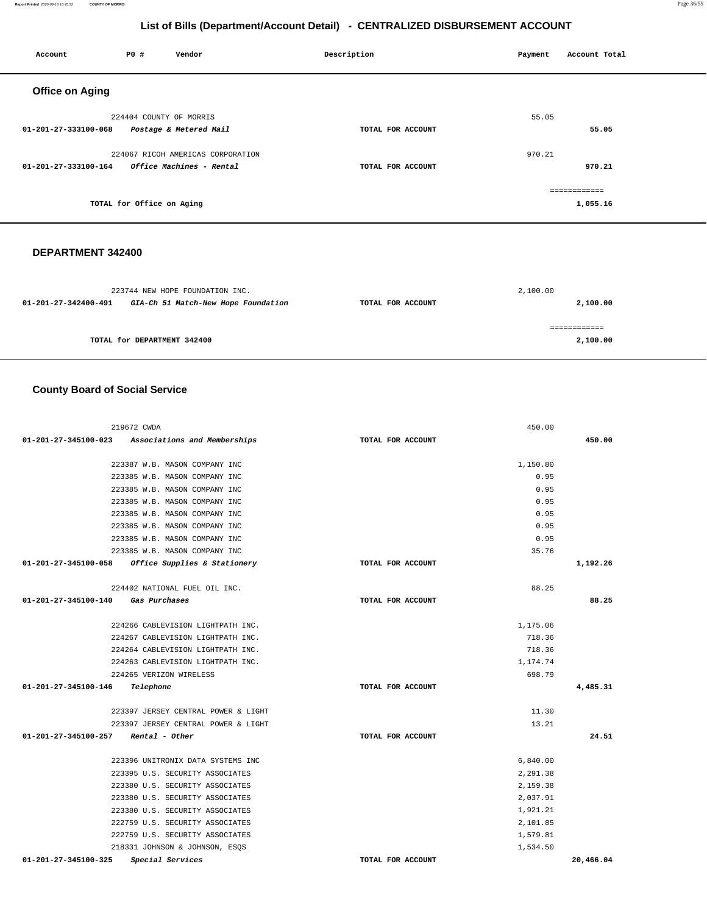| Account                | <b>PO #</b>               | Vendor                            | Description |                   | Payment | Account Total |
|------------------------|---------------------------|-----------------------------------|-------------|-------------------|---------|---------------|
| <b>Office on Aging</b> |                           |                                   |             |                   |         |               |
|                        | 224404 COUNTY OF MORRIS   |                                   |             |                   | 55.05   |               |
| 01-201-27-333100-068   |                           | Postage & Metered Mail            |             | TOTAL FOR ACCOUNT |         | 55.05         |
|                        |                           | 224067 RICOH AMERICAS CORPORATION |             |                   | 970.21  |               |
| 01-201-27-333100-164   |                           | Office Machines - Rental          |             | TOTAL FOR ACCOUNT |         | 970.21        |
|                        |                           |                                   |             |                   |         | ============  |
|                        | TOTAL for Office on Aging |                                   |             |                   |         | 1,055.16      |
|                        |                           |                                   |             |                   |         |               |

## **DEPARTMENT 342400**

| 223744 NEW HOPE FOUNDATION INC.                             |                   | 2,100.00 |
|-------------------------------------------------------------|-------------------|----------|
| GIA-Ch 51 Match-New Hope Foundation<br>01-201-27-342400-491 | TOTAL FOR ACCOUNT | 2,100.00 |
|                                                             |                   |          |
|                                                             |                   |          |
| TOTAL for DEPARTMENT 342400                                 |                   | 2,100.00 |

# **County Board of Social Service**

| 219672 CWDA                                       |                   | 450.00   |           |
|---------------------------------------------------|-------------------|----------|-----------|
| 01-201-27-345100-023 Associations and Memberships | TOTAL FOR ACCOUNT |          | 450.00    |
| 223387 W.B. MASON COMPANY INC                     |                   | 1,150.80 |           |
| 223385 W.B. MASON COMPANY INC                     |                   | 0.95     |           |
| 223385 W.B. MASON COMPANY INC                     |                   | 0.95     |           |
| 223385 W.B. MASON COMPANY INC                     |                   | 0.95     |           |
| 223385 W.B. MASON COMPANY INC                     |                   | 0.95     |           |
| 223385 W.B. MASON COMPANY INC                     |                   | 0.95     |           |
| 223385 W.B. MASON COMPANY INC                     |                   | 0.95     |           |
| 223385 W.B. MASON COMPANY INC                     |                   | 35.76    |           |
| 01-201-27-345100-058 Office Supplies & Stationery | TOTAL FOR ACCOUNT |          | 1,192.26  |
| 224402 NATIONAL FUEL OIL INC.                     |                   | 88.25    |           |
| 01-201-27-345100-140 Gas Purchases                | TOTAL FOR ACCOUNT |          | 88.25     |
| 224266 CABLEVISION LIGHTPATH INC.                 |                   | 1,175.06 |           |
| 224267 CABLEVISION LIGHTPATH INC.                 |                   | 718.36   |           |
| 224264 CABLEVISION LIGHTPATH INC.                 |                   | 718.36   |           |
| 224263 CABLEVISION LIGHTPATH INC.                 |                   | 1,174.74 |           |
| 224265 VERIZON WIRELESS                           |                   | 698.79   |           |
| 01-201-27-345100-146<br>Telephone                 | TOTAL FOR ACCOUNT |          | 4,485.31  |
| 223397 JERSEY CENTRAL POWER & LIGHT               |                   | 11.30    |           |
| 223397 JERSEY CENTRAL POWER & LIGHT               |                   | 13.21    |           |
| 01-201-27-345100-257<br>Rental - Other            | TOTAL FOR ACCOUNT |          | 24.51     |
| 223396 UNITRONIX DATA SYSTEMS INC                 |                   | 6,840.00 |           |
| 223395 U.S. SECURITY ASSOCIATES                   |                   | 2,291.38 |           |
| 223380 U.S. SECURITY ASSOCIATES                   |                   | 2,159.38 |           |
| 223380 U.S. SECURITY ASSOCIATES                   |                   | 2,037.91 |           |
| 223380 U.S. SECURITY ASSOCIATES                   |                   | 1,921.21 |           |
| 222759 U.S. SECURITY ASSOCIATES                   |                   | 2,101.85 |           |
| 222759 U.S. SECURITY ASSOCIATES                   |                   | 1,579.81 |           |
| 218331 JOHNSON & JOHNSON, ESQS                    |                   | 1,534.50 |           |
| 01-201-27-345100-325<br>Special Services          | TOTAL FOR ACCOUNT |          | 20,466.04 |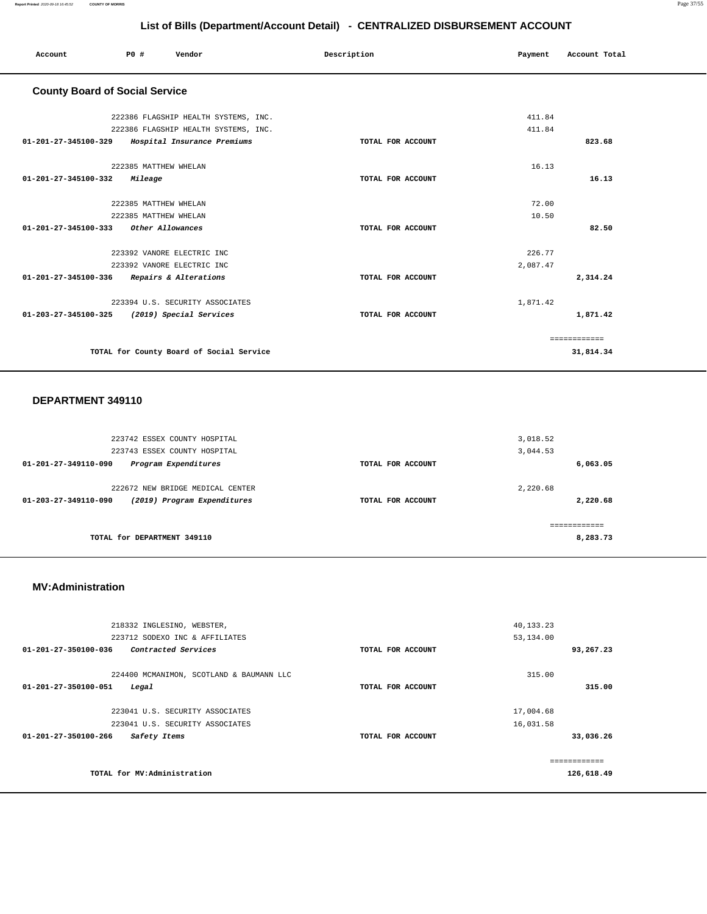|                                              | List of Bills (Department/Account Detail) - CENTRALIZED DISBURSEMENT ACCOUNT |                       |                                          |  |             |                   |          |               |  |
|----------------------------------------------|------------------------------------------------------------------------------|-----------------------|------------------------------------------|--|-------------|-------------------|----------|---------------|--|
| Account                                      | PO#                                                                          |                       | Vendor                                   |  | Description |                   | Payment  | Account Total |  |
| <b>County Board of Social Service</b>        |                                                                              |                       |                                          |  |             |                   |          |               |  |
|                                              |                                                                              |                       | 222386 FLAGSHIP HEALTH SYSTEMS, INC.     |  |             |                   | 411.84   |               |  |
|                                              |                                                                              |                       | 222386 FLAGSHIP HEALTH SYSTEMS, INC.     |  |             |                   | 411.84   |               |  |
| 01-201-27-345100-329                         |                                                                              |                       | Hospital Insurance Premiums              |  |             | TOTAL FOR ACCOUNT |          | 823.68        |  |
|                                              |                                                                              | 222385 MATTHEW WHELAN |                                          |  |             |                   | 16.13    |               |  |
| 01-201-27-345100-332                         |                                                                              | Mileage               |                                          |  |             | TOTAL FOR ACCOUNT |          | 16.13         |  |
|                                              |                                                                              | 222385 MATTHEW WHELAN |                                          |  |             |                   | 72.00    |               |  |
|                                              |                                                                              | 222385 MATTHEW WHELAN |                                          |  |             |                   | 10.50    |               |  |
| 01-201-27-345100-333                         |                                                                              | Other Allowances      |                                          |  |             | TOTAL FOR ACCOUNT |          | 82.50         |  |
|                                              |                                                                              |                       | 223392 VANORE ELECTRIC INC               |  |             |                   | 226.77   |               |  |
|                                              |                                                                              |                       | 223392 VANORE ELECTRIC INC               |  |             |                   | 2,087.47 |               |  |
| 01-201-27-345100-336 Repairs & Alterations   |                                                                              |                       |                                          |  |             | TOTAL FOR ACCOUNT |          | 2,314.24      |  |
|                                              |                                                                              |                       | 223394 U.S. SECURITY ASSOCIATES          |  |             |                   | 1,871.42 |               |  |
| 01-203-27-345100-325 (2019) Special Services |                                                                              |                       |                                          |  |             | TOTAL FOR ACCOUNT |          | 1,871.42      |  |
|                                              |                                                                              |                       |                                          |  |             |                   |          | ============  |  |
|                                              |                                                                              |                       | TOTAL for County Board of Social Service |  |             |                   |          | 31,814.34     |  |

#### **DEPARTMENT 349110**

| 223742 ESSEX COUNTY HOSPITAL                                  |                   | 3,018.52 |
|---------------------------------------------------------------|-------------------|----------|
| 223743 ESSEX COUNTY HOSPITAL                                  |                   | 3,044.53 |
| Program Expenditures<br>01-201-27-349110-090                  | TOTAL FOR ACCOUNT | 6,063.05 |
|                                                               |                   |          |
| 222672 NEW BRIDGE MEDICAL CENTER                              |                   | 2,220.68 |
| (2019) Program Expenditures<br>$01 - 203 - 27 - 349110 - 090$ | TOTAL FOR ACCOUNT | 2,220.68 |
|                                                               |                   |          |
|                                                               |                   |          |
| TOTAL for DEPARTMENT 349110                                   |                   | 8,283.73 |
|                                                               |                   |          |

#### **MV:Administration**

| 218332 INGLESINO, WEBSTER,                                                |                   | 40,133.23        |
|---------------------------------------------------------------------------|-------------------|------------------|
| 223712 SODEXO INC & AFFILIATES                                            |                   | 53,134.00        |
| $01 - 201 - 27 - 350100 - 036$<br>Contracted Services                     | TOTAL FOR ACCOUNT | 93,267.23        |
| 224400 MCMANIMON, SCOTLAND & BAUMANN LLC<br>01-201-27-350100-051<br>Legal | TOTAL FOR ACCOUNT | 315.00<br>315.00 |
|                                                                           |                   |                  |
| 223041 U.S. SECURITY ASSOCIATES                                           |                   | 17,004.68        |
| 223041 U.S. SECURITY ASSOCIATES                                           |                   | 16,031.58        |
| $01 - 201 - 27 - 350100 - 266$<br>Safety Items                            | TOTAL FOR ACCOUNT | 33,036.26        |
|                                                                           |                   |                  |
|                                                                           |                   | -------------    |
| TOTAL for MV:Administration                                               |                   | 126,618.49       |
|                                                                           |                   |                  |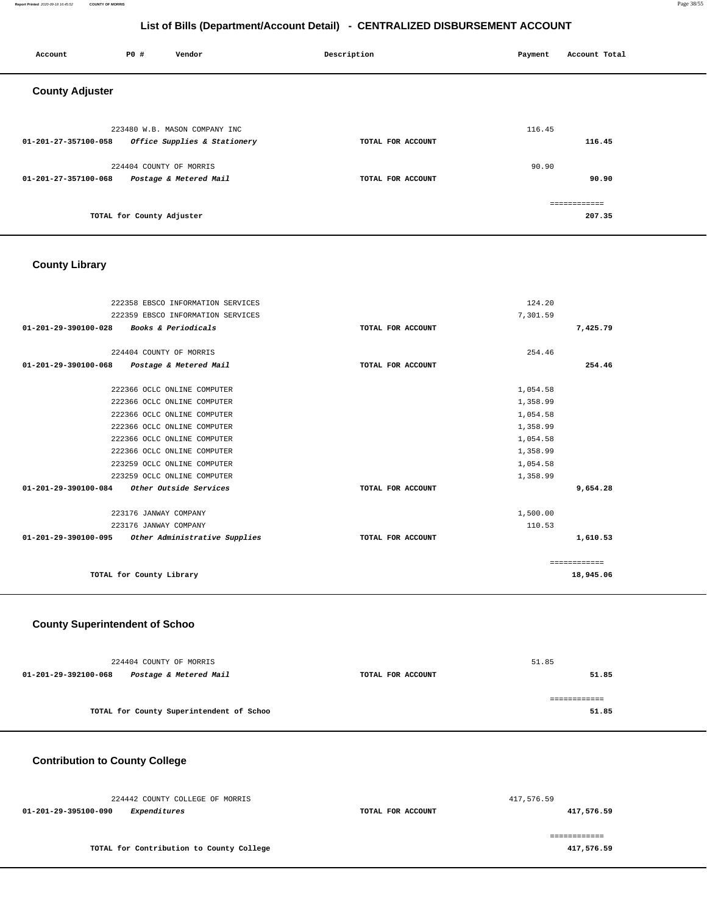#### **Report Printed** 2020-09-18 16:45:52 **COUNTY OF MORRIS** Page 38/55

# **List of Bills (Department/Account Detail) - CENTRALIZED DISBURSEMENT ACCOUNT**

| Account                | P0 #                      | Vendor                                                        | Description       | Payment | Account Total          |
|------------------------|---------------------------|---------------------------------------------------------------|-------------------|---------|------------------------|
| <b>County Adjuster</b> |                           |                                                               |                   |         |                        |
| 01-201-27-357100-058   |                           | 223480 W.B. MASON COMPANY INC<br>Office Supplies & Stationery | TOTAL FOR ACCOUNT | 116.45  | 116.45                 |
| 01-201-27-357100-068   | 224404 COUNTY OF MORRIS   | Postage & Metered Mail                                        | TOTAL FOR ACCOUNT | 90.90   | 90.90                  |
|                        | TOTAL for County Adjuster |                                                               |                   |         | ============<br>207.35 |

# **County Library**

| 222358 EBSCO INFORMATION SERVICES                     |                   | 124.20       |
|-------------------------------------------------------|-------------------|--------------|
| 222359 EBSCO INFORMATION SERVICES                     |                   | 7,301.59     |
| 01-201-29-390100-028<br>Books & Periodicals           | TOTAL FOR ACCOUNT | 7,425.79     |
|                                                       |                   |              |
| 224404 COUNTY OF MORRIS                               |                   | 254.46       |
| 01-201-29-390100-068<br>Postage & Metered Mail        | TOTAL FOR ACCOUNT | 254.46       |
| 222366 OCLC ONLINE COMPUTER                           |                   | 1,054.58     |
| 222366 OCLC ONLINE COMPUTER                           |                   | 1,358.99     |
| 222366 OCLC ONLINE COMPUTER                           |                   | 1,054.58     |
| 222366 OCLC ONLINE COMPUTER                           |                   | 1,358.99     |
| 222366 OCLC ONLINE COMPUTER                           |                   | 1,054.58     |
| 222366 OCLC ONLINE COMPUTER                           |                   | 1,358.99     |
| 223259 OCLC ONLINE COMPUTER                           |                   | 1,054.58     |
| 223259 OCLC ONLINE COMPUTER                           |                   | 1,358.99     |
| 01-201-29-390100-084 Other Outside Services           | TOTAL FOR ACCOUNT | 9,654.28     |
| 223176 JANWAY COMPANY                                 |                   | 1,500.00     |
| 223176 JANWAY COMPANY                                 |                   | 110.53       |
| 01-201-29-390100-095<br>Other Administrative Supplies | TOTAL FOR ACCOUNT | 1,610.53     |
|                                                       |                   | ============ |
| TOTAL for County Library                              |                   | 18,945.06    |
|                                                       |                   |              |

## **County Superintendent of Schoo**

| 224404 COUNTY OF MORRIS                        |                                          |                   | 51.85         |
|------------------------------------------------|------------------------------------------|-------------------|---------------|
| Postage & Metered Mail<br>01-201-29-392100-068 |                                          | TOTAL FOR ACCOUNT | 51.85         |
|                                                |                                          |                   | ------------- |
|                                                | TOTAL for County Superintendent of Schoo |                   | 51.85         |
|                                                |                                          |                   |               |

# **Contribution to County College**

| 224442 COUNTY COLLEGE OF MORRIS          |                   | 417,576.59 |
|------------------------------------------|-------------------|------------|
| Expenditures<br>01-201-29-395100-090     | TOTAL FOR ACCOUNT | 417,576.59 |
| TOTAL for Contribution to County College |                   | 417,576.59 |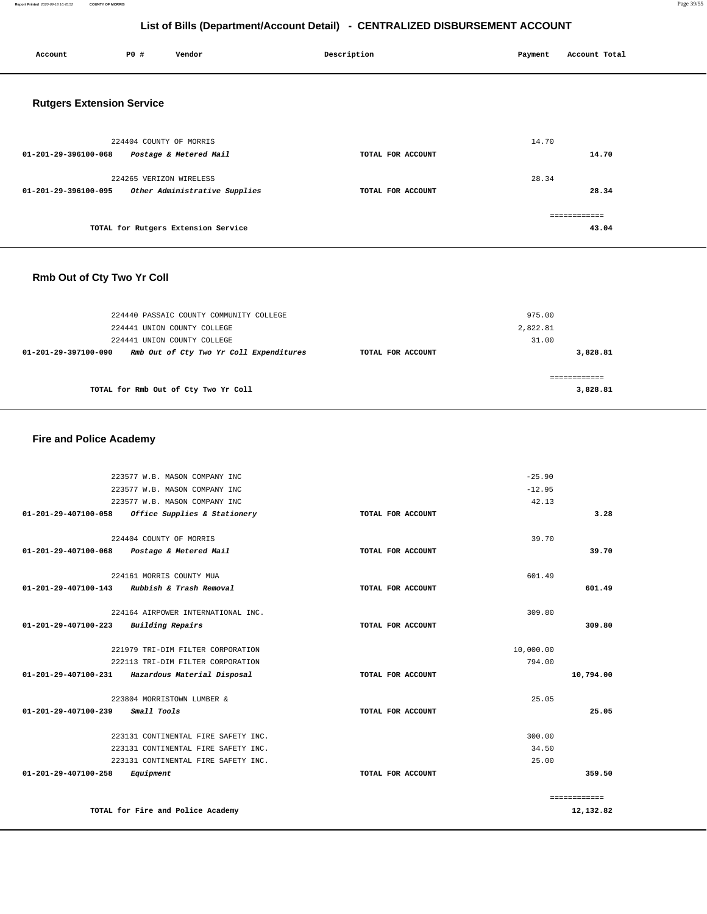#### **Report Printed** 2020-09-18 16:45:52 **COUNTY OF MORRIS** Page 39/55

# **List of Bills (Department/Account Detail) - CENTRALIZED DISBURSEMENT ACCOUNT**

| Account                          | P0 #                    | Vendor                              | Description       | Payment | Account Total |
|----------------------------------|-------------------------|-------------------------------------|-------------------|---------|---------------|
| <b>Rutgers Extension Service</b> |                         |                                     |                   |         |               |
|                                  | 224404 COUNTY OF MORRIS |                                     |                   | 14.70   |               |
| 01-201-29-396100-068             |                         | Postage & Metered Mail              | TOTAL FOR ACCOUNT |         | 14.70         |
|                                  | 224265 VERIZON WIRELESS |                                     |                   | 28.34   |               |
| 01-201-29-396100-095             |                         | Other Administrative Supplies       | TOTAL FOR ACCOUNT |         | 28.34         |
|                                  |                         |                                     |                   |         | ============  |
|                                  |                         | TOTAL for Rutgers Extension Service |                   |         | 43.04         |
| Rmb Out of Cty Two Yr Coll       |                         |                                     |                   |         |               |

| TOTAL for Rmb Out of Cty Two Yr Coll                            |                   | 3,828.81 |
|-----------------------------------------------------------------|-------------------|----------|
|                                                                 |                   |          |
| Rmb Out of Cty Two Yr Coll Expenditures<br>01-201-29-397100-090 | TOTAL FOR ACCOUNT | 3,828.81 |
| 224441 UNION COUNTY COLLEGE                                     |                   | 31.00    |
| 224441 UNION COUNTY COLLEGE                                     |                   | 2,822.81 |
| 224440 PASSAIC COUNTY COMMUNITY COLLEGE                         |                   | 975.00   |

# **Fire and Police Academy**

| 223577 W.B. MASON COMPANY INC                     |                   | $-25.90$  |              |
|---------------------------------------------------|-------------------|-----------|--------------|
| 223577 W.B. MASON COMPANY INC                     |                   | $-12.95$  |              |
| 223577 W.B. MASON COMPANY INC                     |                   | 42.13     |              |
| 01-201-29-407100-058 Office Supplies & Stationery | TOTAL FOR ACCOUNT |           | 3.28         |
| 224404 COUNTY OF MORRIS                           |                   | 39.70     |              |
| 01-201-29-407100-068 Postage & Metered Mail       | TOTAL FOR ACCOUNT |           | 39.70        |
| 224161 MORRIS COUNTY MUA                          |                   | 601.49    |              |
| Rubbish & Trash Removal<br>01-201-29-407100-143   | TOTAL FOR ACCOUNT |           | 601.49       |
| 224164 AIRPOWER INTERNATIONAL INC.                |                   | 309.80    |              |
| 01-201-29-407100-223<br>Building Repairs          | TOTAL FOR ACCOUNT |           | 309.80       |
| 221979 TRI-DIM FILTER CORPORATION                 |                   | 10,000.00 |              |
| 222113 TRI-DIM FILTER CORPORATION                 |                   | 794.00    |              |
| 01-201-29-407100-231 Hazardous Material Disposal  | TOTAL FOR ACCOUNT |           | 10,794.00    |
| 223804 MORRISTOWN LUMBER &                        |                   | 25.05     |              |
| 01-201-29-407100-239<br><i>Small Tools</i>        | TOTAL FOR ACCOUNT |           | 25.05        |
| 223131 CONTINENTAL FIRE SAFETY INC.               |                   | 300.00    |              |
| 223131 CONTINENTAL FIRE SAFETY INC.               |                   | 34.50     |              |
| 223131 CONTINENTAL FIRE SAFETY INC.               |                   | 25.00     |              |
| 01-201-29-407100-258<br>Equipment                 | TOTAL FOR ACCOUNT |           | 359.50       |
|                                                   |                   |           | ============ |
| TOTAL for Fire and Police Academy                 |                   |           | 12,132.82    |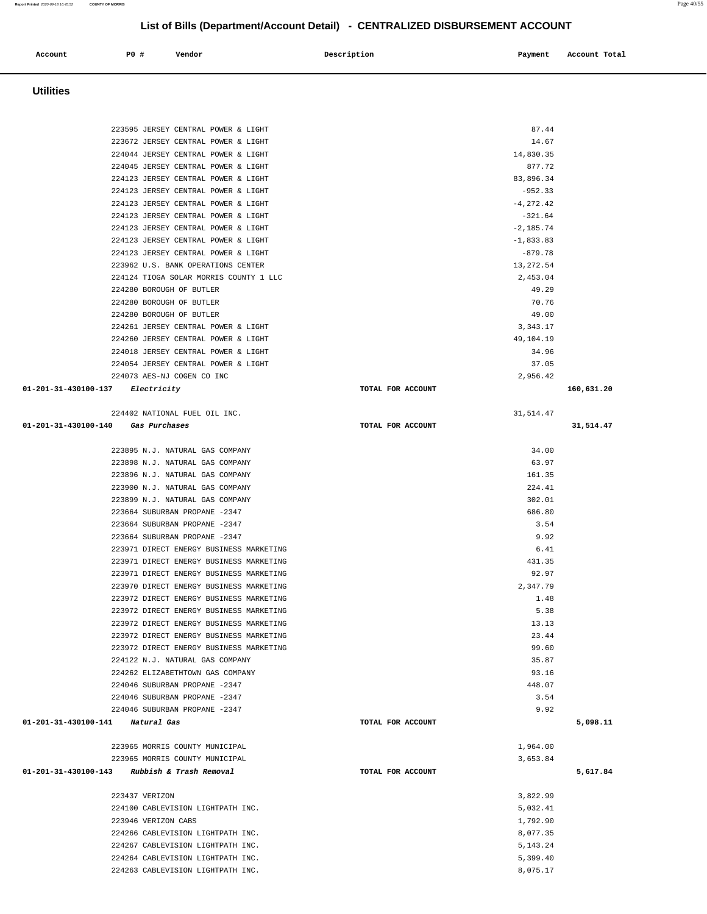| 223672 JERSEY CENTRAL POWER & LIGHT          |                   | 14.67        |            |
|----------------------------------------------|-------------------|--------------|------------|
| 224044 JERSEY CENTRAL POWER & LIGHT          |                   | 14,830.35    |            |
| 224045 JERSEY CENTRAL POWER & LIGHT          |                   | 877.72       |            |
| 224123 JERSEY CENTRAL POWER & LIGHT          |                   | 83,896.34    |            |
| 224123 JERSEY CENTRAL POWER & LIGHT          |                   | $-952.33$    |            |
| 224123 JERSEY CENTRAL POWER & LIGHT          |                   | $-4, 272.42$ |            |
| 224123 JERSEY CENTRAL POWER & LIGHT          |                   | $-321.64$    |            |
| 224123 JERSEY CENTRAL POWER & LIGHT          |                   | $-2,185.74$  |            |
| 224123 JERSEY CENTRAL POWER & LIGHT          |                   | $-1,833.83$  |            |
| 224123 JERSEY CENTRAL POWER & LIGHT          |                   | $-879.78$    |            |
| 223962 U.S. BANK OPERATIONS CENTER           |                   | 13, 272.54   |            |
| 224124 TIOGA SOLAR MORRIS COUNTY 1 LLC       |                   | 2,453.04     |            |
| 224280 BOROUGH OF BUTLER                     |                   | 49.29        |            |
| 224280 BOROUGH OF BUTLER                     |                   | 70.76        |            |
| 224280 BOROUGH OF BUTLER                     |                   | 49.00        |            |
| 224261 JERSEY CENTRAL POWER & LIGHT          |                   | 3, 343.17    |            |
| 224260 JERSEY CENTRAL POWER & LIGHT          |                   | 49,104.19    |            |
| 224018 JERSEY CENTRAL POWER & LIGHT          |                   | 34.96        |            |
| 224054 JERSEY CENTRAL POWER & LIGHT          |                   | 37.05        |            |
| 224073 AES-NJ COGEN CO INC                   |                   | 2,956.42     |            |
| 01-201-31-430100-137 Electricity             | TOTAL FOR ACCOUNT |              | 160,631.20 |
|                                              |                   |              |            |
| 224402 NATIONAL FUEL OIL INC.                |                   | 31,514.47    |            |
| 01-201-31-430100-140 Gas Purchases           | TOTAL FOR ACCOUNT |              | 31,514.47  |
|                                              |                   |              |            |
| 223895 N.J. NATURAL GAS COMPANY              |                   | 34.00        |            |
| 223898 N.J. NATURAL GAS COMPANY              |                   | 63.97        |            |
| 223896 N.J. NATURAL GAS COMPANY              |                   | 161.35       |            |
| 223900 N.J. NATURAL GAS COMPANY              |                   | 224.41       |            |
| 223899 N.J. NATURAL GAS COMPANY              |                   | 302.01       |            |
| 223664 SUBURBAN PROPANE -2347                |                   | 686.80       |            |
| 223664 SUBURBAN PROPANE -2347                |                   | 3.54         |            |
| 223664 SUBURBAN PROPANE -2347                |                   | 9.92         |            |
| 223971 DIRECT ENERGY BUSINESS MARKETING      |                   | 6.41         |            |
| 223971 DIRECT ENERGY BUSINESS MARKETING      |                   | 431.35       |            |
| 223971 DIRECT ENERGY BUSINESS MARKETING      |                   | 92.97        |            |
| 223970 DIRECT ENERGY BUSINESS MARKETING      |                   | 2,347.79     |            |
| 223972 DIRECT ENERGY BUSINESS MARKETING      |                   | 1.48         |            |
| 223972 DIRECT ENERGY BUSINESS MARKETING      |                   | 5.38         |            |
| 223972 DIRECT ENERGY BUSINESS MARKETING      |                   | 13.13        |            |
| 223972 DIRECT ENERGY BUSINESS MARKETING      |                   | 23.44        |            |
| 223972 DIRECT ENERGY BUSINESS MARKETING      |                   | 99.60        |            |
| 224122 N.J. NATURAL GAS COMPANY              |                   | 35.87        |            |
| 224262 ELIZABETHTOWN GAS COMPANY             |                   | 93.16        |            |
| 224046 SUBURBAN PROPANE -2347                |                   | 448.07       |            |
| 224046 SUBURBAN PROPANE -2347                |                   | 3.54         |            |
| 224046 SUBURBAN PROPANE -2347                |                   | 9.92         |            |
| 01-201-31-430100-141 Natural Gas             | TOTAL FOR ACCOUNT |              | 5,098.11   |
|                                              |                   |              |            |
|                                              |                   |              |            |
| 223965 MORRIS COUNTY MUNICIPAL               |                   | 1,964.00     |            |
| 223965 MORRIS COUNTY MUNICIPAL               |                   | 3,653.84     |            |
| 01-201-31-430100-143 Rubbish & Trash Removal | TOTAL FOR ACCOUNT |              | 5,617.84   |
|                                              |                   |              |            |
| 223437 VERIZON                               |                   | 3,822.99     |            |
| 224100 CABLEVISION LIGHTPATH INC.            |                   | 5,032.41     |            |
| 223946 VERIZON CABS                          |                   | 1,792.90     |            |
| 224266 CABLEVISION LIGHTPATH INC.            |                   | 8,077.35     |            |
| 224267 CABLEVISION LIGHTPATH INC.            |                   | 5, 143. 24   |            |
| 224264 CABLEVISION LIGHTPATH INC.            |                   | 5,399.40     |            |
| 224263 CABLEVISION LIGHTPATH INC.            |                   | 8,075.17     |            |

 **Utilities** 

**Account** P0 # Vendor Payment Account Total

223595 JERSEY CENTRAL POWER & LIGHT 87.44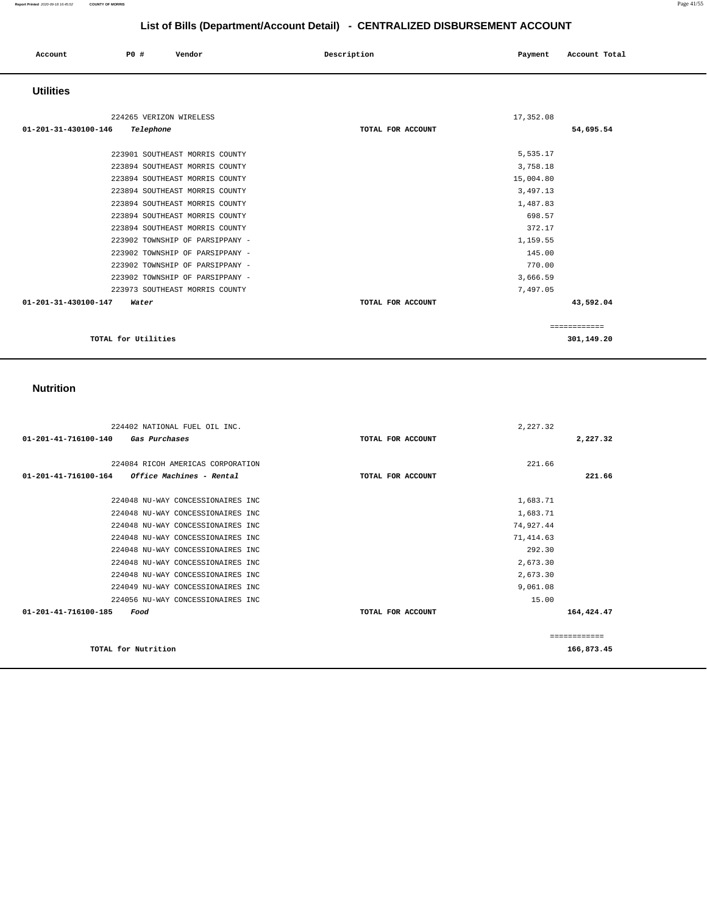#### **Report Printed** 2020-09-18 16:45:52 **COUNTY OF MORRIS** Page 41/55

# **List of Bills (Department/Account Detail) - CENTRALIZED DISBURSEMENT ACCOUNT**

| Account              | P0 #                    | Vendor | Description |                   | Payment   | Account Total |
|----------------------|-------------------------|--------|-------------|-------------------|-----------|---------------|
| <b>Utilities</b>     |                         |        |             |                   |           |               |
|                      | 224265 VERIZON WIRELESS |        |             |                   | 17,352.08 |               |
| 01-201-31-430100-146 | Telephone               |        |             | TOTAL FOR ACCOUNT |           | 54,695.54     |

| TOTAL for Utilities             |                   | 301,149.20   |  |
|---------------------------------|-------------------|--------------|--|
|                                 |                   | ============ |  |
| 01-201-31-430100-147<br>Water   | TOTAL FOR ACCOUNT | 43,592.04    |  |
| 223973 SOUTHEAST MORRIS COUNTY  |                   | 7,497.05     |  |
| 223902 TOWNSHIP OF PARSIPPANY - |                   | 3,666.59     |  |
| 223902 TOWNSHIP OF PARSIPPANY - |                   | 770.00       |  |
| 223902 TOWNSHIP OF PARSIPPANY - |                   | 145.00       |  |
| 223902 TOWNSHIP OF PARSIPPANY - |                   | 1,159.55     |  |
| 223894 SOUTHEAST MORRIS COUNTY  |                   | 372.17       |  |
| 223894 SOUTHEAST MORRIS COUNTY  |                   | 698.57       |  |
| 223894 SOUTHEAST MORRIS COUNTY  |                   | 1,487.83     |  |
| 223894 SOUTHEAST MORRIS COUNTY  |                   | 3,497.13     |  |
| 223894 SOUTHEAST MORRIS COUNTY  |                   | 15,004.80    |  |
| 223894 SOUTHEAST MORRIS COUNTY  |                   | 3,758.18     |  |
| 223901 SOUTHEAST MORRIS COUNTY  |                   | 5,535.17     |  |
|                                 |                   |              |  |

## **Nutrition**

| 224402 NATIONAL FUEL OIL INC.                                  | 2,227.32          |               |
|----------------------------------------------------------------|-------------------|---------------|
| 01-201-41-716100-140<br>Gas Purchases                          | TOTAL FOR ACCOUNT | 2,227.32      |
|                                                                |                   |               |
| 224084 RICOH AMERICAS CORPORATION                              | 221.66            |               |
| 01-201-41-716100-164<br><i><b>Office Machines - Rental</b></i> | TOTAL FOR ACCOUNT | 221.66        |
| 224048 NU-WAY CONCESSIONAIRES INC                              | 1,683.71          |               |
| 224048 NU-WAY CONCESSIONAIRES INC                              | 1,683.71          |               |
| 224048 NU-WAY CONCESSIONAIRES INC                              | 74,927.44         |               |
|                                                                |                   |               |
| 224048 NU-WAY CONCESSIONAIRES INC                              | 71, 414.63        |               |
| 224048 NU-WAY CONCESSIONAIRES INC                              | 292.30            |               |
| 224048 NU-WAY CONCESSIONAIRES INC                              | 2,673.30          |               |
| 224048 NU-WAY CONCESSIONAIRES INC                              | 2,673.30          |               |
| 224049 NU-WAY CONCESSIONAIRES INC                              | 9,061.08          |               |
| 224056 NU-WAY CONCESSIONAIRES INC                              | 15.00             |               |
| $01 - 201 - 41 - 716100 - 185$<br>Food                         | TOTAL FOR ACCOUNT | 164,424.47    |
|                                                                |                   | ------------- |
| TOTAL for Nutrition                                            |                   | 166,873.45    |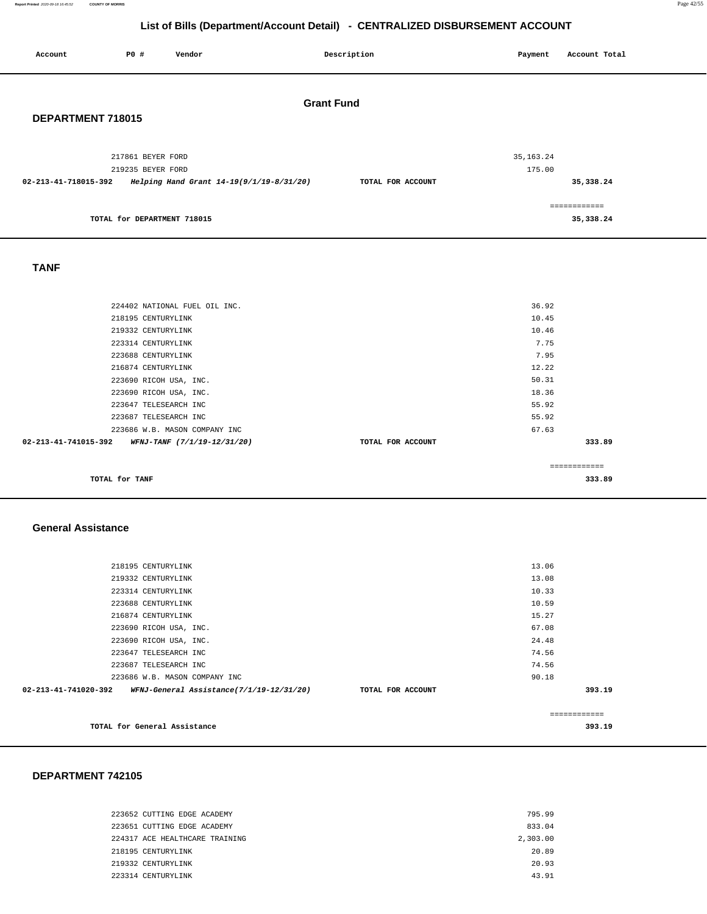**Report Printed** 2020-09-18 16:45:52 **COUNTY OF MORRIS** Page 42/55

# **List of Bills (Department/Account Detail) - CENTRALIZED DISBURSEMENT ACCOUNT**

| Account              | P0 #<br>Vendor                           | Description       | Account Total<br>Payment   |  |
|----------------------|------------------------------------------|-------------------|----------------------------|--|
| DEPARTMENT 718015    |                                          | <b>Grant Fund</b> |                            |  |
|                      | 217861 BEYER FORD<br>219235 BEYER FORD   |                   | 35, 163. 24<br>175.00      |  |
| 02-213-41-718015-392 | Helping Hand Grant 14-19(9/1/19-8/31/20) | TOTAL FOR ACCOUNT | 35, 338.24                 |  |
|                      | TOTAL for DEPARTMENT 718015              |                   | ============<br>35, 338.24 |  |
| <b>TANF</b>          |                                          |                   |                            |  |
|                      | 224402 NATIONAL FUEL OIL INC.            |                   | 36.92                      |  |
|                      | 218195 CENTURYLINK                       |                   | 10.45                      |  |
|                      | 219332 CENTURYLINK                       |                   | 10.46                      |  |
|                      | 223314 CENTURYLINK                       |                   | 7.75                       |  |
|                      | 223688 CENTURYLINK                       |                   | 7.95                       |  |
|                      | 216874 CENTURYLINK                       |                   | 12.22                      |  |
|                      | 223690 RICOH USA, INC.                   |                   | 50.31                      |  |

| TOTAL for TANF       |                               |                   | ------------- | 333.89 |
|----------------------|-------------------------------|-------------------|---------------|--------|
| 02-213-41-741015-392 | WFNJ-TANF (7/1/19-12/31/20)   | TOTAL FOR ACCOUNT |               | 333.89 |
|                      | 223686 W.B. MASON COMPANY INC |                   | 67.63         |        |
|                      | 223687 TELESEARCH INC         |                   | 55.92         |        |
|                      | 223647 TELESEARCH INC         |                   | 55.92         |        |
|                      | 223690 RICOH USA, INC.        |                   | 18.36         |        |
|                      | 223690 RICOH USA, INC.        |                   | 50.31         |        |
|                      | 216874 CENTURYLINK            |                   | 12.22         |        |
|                      | 223688 CENTURYLINK            |                   | 7.95          |        |
|                      | 223314 CENTURYLINK            |                   | 7.75          |        |
|                      | 219332 CENTURYLINK            |                   | 10.46         |        |
|                      | 218195 CENTURYLINK            |                   | 10.45         |        |
|                      | 224402 NATIONAL FUEL OIL INC. |                   | 36.92         |        |
|                      |                               |                   |               |        |

 **General Assistance** 

| TOTAL for General Assistance  |                                          |                   |               | 393.19 |
|-------------------------------|------------------------------------------|-------------------|---------------|--------|
|                               |                                          |                   | ------------- |        |
| 02-213-41-741020-392          | WFNJ-General Assistance(7/1/19-12/31/20) | TOTAL FOR ACCOUNT |               | 393.19 |
| 223686 W.B. MASON COMPANY INC |                                          |                   | 90.18         |        |
| 223687 TELESEARCH INC         |                                          |                   | 74.56         |        |
| 223647 TELESEARCH INC         |                                          |                   | 74.56         |        |
| 223690 RICOH USA, INC.        |                                          |                   | 24.48         |        |
| 223690 RICOH USA, INC.        |                                          |                   | 67.08         |        |
| 216874 CENTURYLINK            |                                          |                   | 15.27         |        |
| 223688 CENTURYLINK            |                                          |                   | 10.59         |        |
| 223314 CENTURYLINK            |                                          |                   | 10.33         |        |
| 219332 CENTURYLINK            |                                          |                   | 13.08         |        |
| 218195 CENTURYLINK            |                                          |                   | 13.06         |        |
|                               |                                          |                   |               |        |

| 223652 CUTTING EDGE ACADEMY    | 795.99   |
|--------------------------------|----------|
| 223651 CUTTING EDGE ACADEMY    | 833.04   |
| 224317 ACE HEALTHCARE TRAINING | 2,303.00 |
| 218195 CENTURYLINK             | 20.89    |
| 219332 CENTURYLINK             | 20.93    |
| 223314 CENTURYLINK             | 43.91    |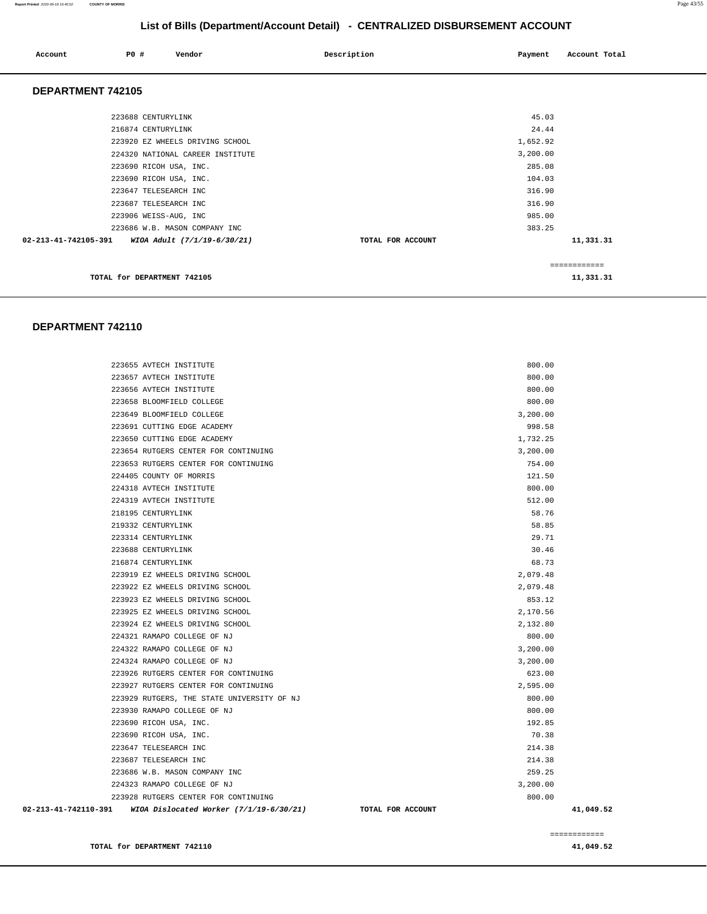#### **Report Printed** 2020-09-18 16:45:52 **COUNTY OF MORRIS** Page 43/55

# **List of Bills (Department/Account Detail) - CENTRALIZED DISBURSEMENT ACCOUNT**

| PO#<br>Account       | Vendor                           | Description       | Payment  | Account Total |  |
|----------------------|----------------------------------|-------------------|----------|---------------|--|
| DEPARTMENT 742105    |                                  |                   |          |               |  |
|                      | 223688 CENTURYLINK               |                   | 45.03    |               |  |
|                      | 216874 CENTURYLINK               |                   | 24.44    |               |  |
|                      | 223920 EZ WHEELS DRIVING SCHOOL  |                   | 1,652.92 |               |  |
|                      | 224320 NATIONAL CAREER INSTITUTE |                   | 3,200.00 |               |  |
|                      | 223690 RICOH USA, INC.           |                   | 285.08   |               |  |
|                      | 223690 RICOH USA, INC.           |                   | 104.03   |               |  |
|                      | 223647 TELESEARCH INC            |                   | 316.90   |               |  |
|                      | 223687 TELESEARCH INC            |                   | 316.90   |               |  |
|                      | 223906 WEISS-AUG, INC            |                   | 985.00   |               |  |
|                      | 223686 W.B. MASON COMPANY INC    |                   | 383.25   |               |  |
| 02-213-41-742105-391 | WIOA Adult (7/1/19-6/30/21)      | TOTAL FOR ACCOUNT |          | 11,331.31     |  |
|                      |                                  |                   |          | ============  |  |
|                      | TOTAL for DEPARTMENT 742105      |                   |          | 11,331.31     |  |

| 02-213-41-742110-391 | WIOA Dislocated Worker (7/1/19-6/30/21)    | TOTAL FOR ACCOUNT | 41,049.52 |
|----------------------|--------------------------------------------|-------------------|-----------|
|                      | 223928 RUTGERS CENTER FOR CONTINUING       | 800.00            |           |
|                      | 224323 RAMAPO COLLEGE OF NJ                | 3,200.00          |           |
|                      | 223686 W.B. MASON COMPANY INC              | 259.25            |           |
|                      | 223687 TELESEARCH INC                      | 214.38            |           |
|                      | 223647 TELESEARCH INC                      | 214.38            |           |
|                      | 223690 RICOH USA, INC.                     | 70.38             |           |
|                      | 223690 RICOH USA, INC.                     | 192.85            |           |
|                      | 223930 RAMAPO COLLEGE OF NJ                | 800.00            |           |
|                      | 223929 RUTGERS, THE STATE UNIVERSITY OF NJ | 800.00            |           |
|                      | 223927 RUTGERS CENTER FOR CONTINUING       | 2,595.00          |           |
|                      | 223926 RUTGERS CENTER FOR CONTINUING       | 623.00            |           |
|                      | 224324 RAMAPO COLLEGE OF NJ                | 3,200.00          |           |
|                      | 224322 RAMAPO COLLEGE OF NJ                | 3,200.00          |           |
|                      | 224321 RAMAPO COLLEGE OF NJ                | 800.00            |           |
|                      | 223924 EZ WHEELS DRIVING SCHOOL            | 2,132.80          |           |
|                      | 223925 EZ WHEELS DRIVING SCHOOL            | 2,170.56          |           |
|                      | 223923 EZ WHEELS DRIVING SCHOOL            | 853.12            |           |
|                      | 223922 EZ WHEELS DRIVING SCHOOL            | 2,079.48          |           |
|                      | 223919 EZ WHEELS DRIVING SCHOOL            | 2,079.48          |           |
|                      | 216874 CENTURYLINK                         | 68.73             |           |
|                      | 223688 CENTURYLINK                         | 30.46             |           |
|                      | 223314 CENTURYLINK                         | 29.71             |           |
|                      | 219332 CENTURYLINK                         | 58.85             |           |
|                      | 218195 CENTURYLINK                         | 58.76             |           |
|                      | 224319 AVTECH INSTITUTE                    | 512.00            |           |
|                      | 224318 AVTECH INSTITUTE                    | 800.00            |           |
|                      | 224405 COUNTY OF MORRIS                    | 121.50            |           |
|                      | 223653 RUTGERS CENTER FOR CONTINUING       | 754.00            |           |
|                      | 223654 RUTGERS CENTER FOR CONTINUING       | 3,200.00          |           |
|                      | 223650 CUTTING EDGE ACADEMY                | 1,732.25          |           |
|                      | 223691 CUTTING EDGE ACADEMY                | 998.58            |           |
|                      | 223649 BLOOMFIELD COLLEGE                  | 3,200.00          |           |
|                      | 223658 BLOOMFIELD COLLEGE                  | 800.00            |           |
|                      | 223656 AVTECH INSTITUTE                    | 800.00            |           |
|                      | 223657 AVTECH INSTITUTE                    | 800.00            |           |
|                      | 223655 AVTECH INSTITUTE                    | 800.00            |           |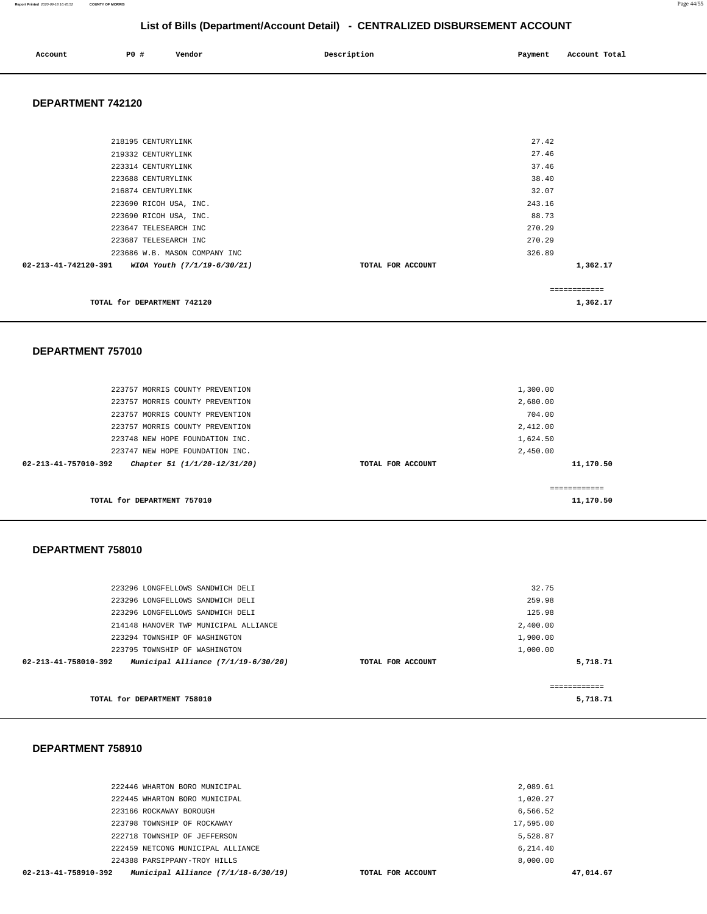#### **Report Printed** 2020-09-18 16:45:52 **COUNTY OF MORRIS** Page 44/55

# **List of Bills (Department/Account Detail) - CENTRALIZED DISBURSEMENT ACCOUNT**

| Account | P <sub>0</sub> | Vendor | Description | Payment | Total<br>Account |
|---------|----------------|--------|-------------|---------|------------------|
|         |                |        |             |         |                  |

#### **DEPARTMENT 742120**

| 218195 CENTURYLINK                                  |                   | 27.42        |
|-----------------------------------------------------|-------------------|--------------|
| 219332 CENTURYLINK                                  |                   | 27.46        |
| 223314 CENTURYLINK                                  |                   | 37.46        |
| 223688 CENTURYLINK                                  |                   | 38.40        |
| 216874 CENTURYLINK                                  |                   | 32.07        |
| 223690 RICOH USA, INC.                              |                   | 243.16       |
| 223690 RICOH USA, INC.                              |                   | 88.73        |
| 223647 TELESEARCH INC                               |                   | 270.29       |
| 223687 TELESEARCH INC                               |                   | 270.29       |
| 223686 W.B. MASON COMPANY INC                       |                   | 326.89       |
| 02-213-41-742120-391<br>WIOA Youth (7/1/19-6/30/21) | TOTAL FOR ACCOUNT | 1,362.17     |
|                                                     |                   | ============ |
| TOTAL for DEPARTMENT 742120                         |                   | 1,362.17     |

#### **DEPARTMENT 757010**

| 223757 MORRIS COUNTY PREVENTION<br>223757 MORRIS COUNTY PREVENTION<br>223757 MORRIS COUNTY PREVENTION |                   | 1,300.00<br>2,680.00<br>704.00 |
|-------------------------------------------------------------------------------------------------------|-------------------|--------------------------------|
| 223757 MORRIS COUNTY PREVENTION                                                                       |                   | 2,412.00                       |
| 223748 NEW HOPE FOUNDATION INC.                                                                       |                   | 1,624.50                       |
| 223747 NEW HOPE FOUNDATION INC.                                                                       |                   | 2,450.00                       |
| 02-213-41-757010-392<br>Chapter 51 (1/1/20-12/31/20)                                                  | TOTAL FOR ACCOUNT | 11,170.50                      |
| TOTAL for DEPARTMENT 757010                                                                           |                   | 11,170.50                      |

#### **DEPARTMENT 758010**

| TOTAL for DEPARTMENT 758010                                   |                   | 5,718.71 |  |
|---------------------------------------------------------------|-------------------|----------|--|
| Municipal Alliance $(7/1/19-6/30/20)$<br>02-213-41-758010-392 | TOTAL FOR ACCOUNT | 5,718.71 |  |
| 223795 TOWNSHIP OF WASHINGTON                                 |                   | 1,000.00 |  |
| 223294 TOWNSHIP OF WASHINGTON                                 |                   | 1,900.00 |  |
| 214148 HANOVER TWP MUNICIPAL ALLIANCE                         |                   | 2,400.00 |  |
| 223296 LONGFELLOWS SANDWICH DELI                              |                   | 125.98   |  |
| 223296 LONGFELLOWS SANDWICH DELI                              |                   | 259.98   |  |
| 223296 LONGFELLOWS SANDWICH DELI                              |                   | 32.75    |  |
|                                                               |                   |          |  |

| 02-213-41-758910-392 | Municipal Alliance $(7/1/18-6/30/19)$ | TOTAL FOR ACCOUNT | 47,014.67 |
|----------------------|---------------------------------------|-------------------|-----------|
|                      | 224388 PARSIPPANY-TROY HILLS          | 8.000.00          |           |
|                      | 222459 NETCONG MUNICIPAL ALLIANCE     | 6,214.40          |           |
|                      | 222718 TOWNSHIP OF JEFFERSON          | 5,528.87          |           |
|                      | 223798 TOWNSHIP OF ROCKAWAY           | 17,595.00         |           |
|                      | 223166 ROCKAWAY BOROUGH               | 6,566.52          |           |
|                      | 222445 WHARTON BORO MUNICIPAL         | 1,020.27          |           |
|                      | 222446 WHARTON BORO MUNICIPAL         | 2,089.61          |           |
|                      |                                       |                   |           |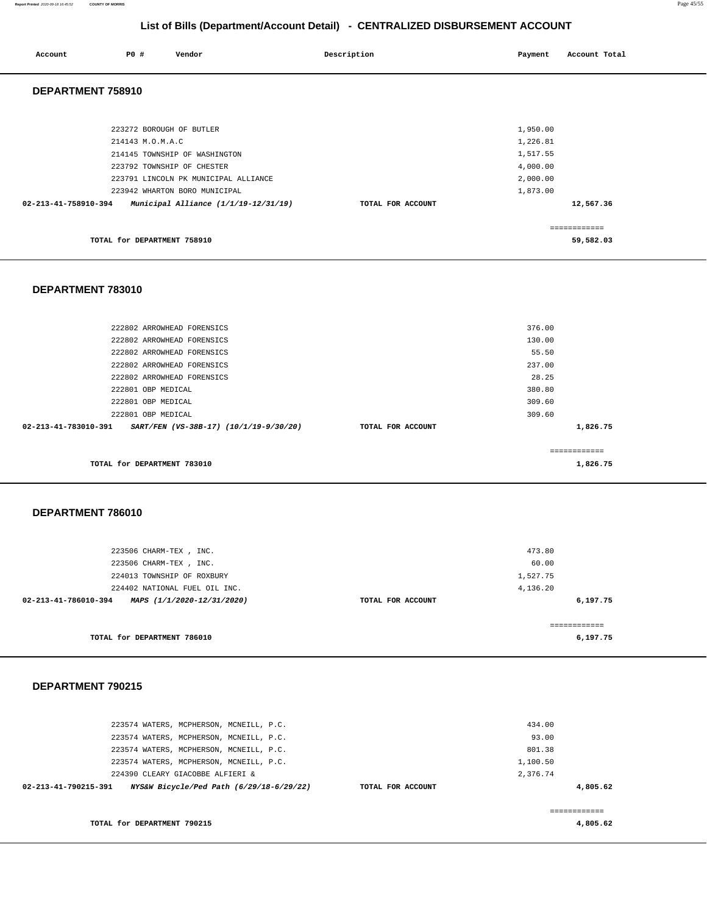**Report Printed** 2020-09-18 16:45:52 **COUNTY OF MORRIS** Page 45/55

# **List of Bills (Department/Account Detail) - CENTRALIZED DISBURSEMENT ACCOUNT**

| Account              | P0 #             | Vendor                               | Description |                   | Payment  | Account Total |
|----------------------|------------------|--------------------------------------|-------------|-------------------|----------|---------------|
| DEPARTMENT 758910    |                  |                                      |             |                   |          |               |
|                      |                  |                                      |             |                   |          |               |
|                      |                  | 223272 BOROUGH OF BUTLER             |             |                   | 1,950.00 |               |
|                      | 214143 M.O.M.A.C |                                      |             |                   | 1,226.81 |               |
|                      |                  | 214145 TOWNSHIP OF WASHINGTON        |             |                   | 1,517.55 |               |
|                      |                  | 223792 TOWNSHIP OF CHESTER           |             |                   | 4,000.00 |               |
|                      |                  | 223791 LINCOLN PK MUNICIPAL ALLIANCE |             |                   | 2,000.00 |               |
|                      |                  | 223942 WHARTON BORO MUNICIPAL        |             |                   | 1,873.00 |               |
| 02-213-41-758910-394 |                  | Municipal Alliance (1/1/19-12/31/19) |             | TOTAL FOR ACCOUNT |          | 12,567.36     |
|                      |                  |                                      |             |                   |          | ============  |

**TOTAL for DEPARTMENT 758910** 

#### **DEPARTMENT 783010**

| 222802 ARROWHEAD FORENSICS<br>222802 ARROWHEAD FORENSICS                 |                   | 376.00<br>130.00 |
|--------------------------------------------------------------------------|-------------------|------------------|
| 222802 ARROWHEAD FORENSICS                                               |                   | 55.50            |
| 222802 ARROWHEAD FORENSICS                                               |                   | 237.00           |
| 222802 ARROWHEAD FORENSICS                                               |                   | 28.25            |
| 222801 OBP MEDICAL                                                       |                   | 380.80           |
| 222801 OBP MEDICAL                                                       |                   | 309.60           |
| 222801 OBP MEDICAL                                                       |                   | 309.60           |
| $02 - 213 - 41 - 783010 - 391$<br>SART/FEN (VS-38B-17) (10/1/19-9/30/20) | TOTAL FOR ACCOUNT | 1,826.75         |
|                                                                          |                   |                  |
|                                                                          |                   |                  |
| TOTAL for DEPARTMENT 783010                                              |                   | 1,826.75         |

#### **DEPARTMENT 786010**

| 223506 CHARM-TEX, INC.                             |                   | 473.80       |  |  |
|----------------------------------------------------|-------------------|--------------|--|--|
| 223506 CHARM-TEX, INC.                             |                   | 60.00        |  |  |
| 224013 TOWNSHIP OF ROXBURY                         |                   |              |  |  |
| 224402 NATIONAL FUEL OIL INC.                      |                   | 4,136.20     |  |  |
| 02-213-41-786010-394<br>MAPS (1/1/2020-12/31/2020) | TOTAL FOR ACCOUNT | 6,197.75     |  |  |
|                                                    |                   |              |  |  |
|                                                    |                   | ============ |  |  |
| TOTAL for DEPARTMENT 786010                        |                   | 6,197.75     |  |  |

#### **DEPARTMENT 790215**

| 223574 WATERS, MCPHERSON, MCNEILL, P.C.                                            |                   | 434.00<br>93.00 |
|------------------------------------------------------------------------------------|-------------------|-----------------|
| 223574 WATERS, MCPHERSON, MCNEILL, P.C.<br>223574 WATERS, MCPHERSON, MCNEILL, P.C. |                   | 801.38          |
| 223574 WATERS, MCPHERSON, MCNEILL, P.C.                                            |                   | 1,100.50        |
| 224390 CLEARY GIACOBBE ALFIERI &                                                   |                   | 2,376.74        |
| 02-213-41-790215-391<br>NYS&W Bicycle/Ped Path (6/29/18-6/29/22)                   | TOTAL FOR ACCOUNT | 4,805.62        |
|                                                                                    |                   |                 |
| TOTAL for DEPARTMENT 790215                                                        |                   | 4,805.62        |

**59,582.03**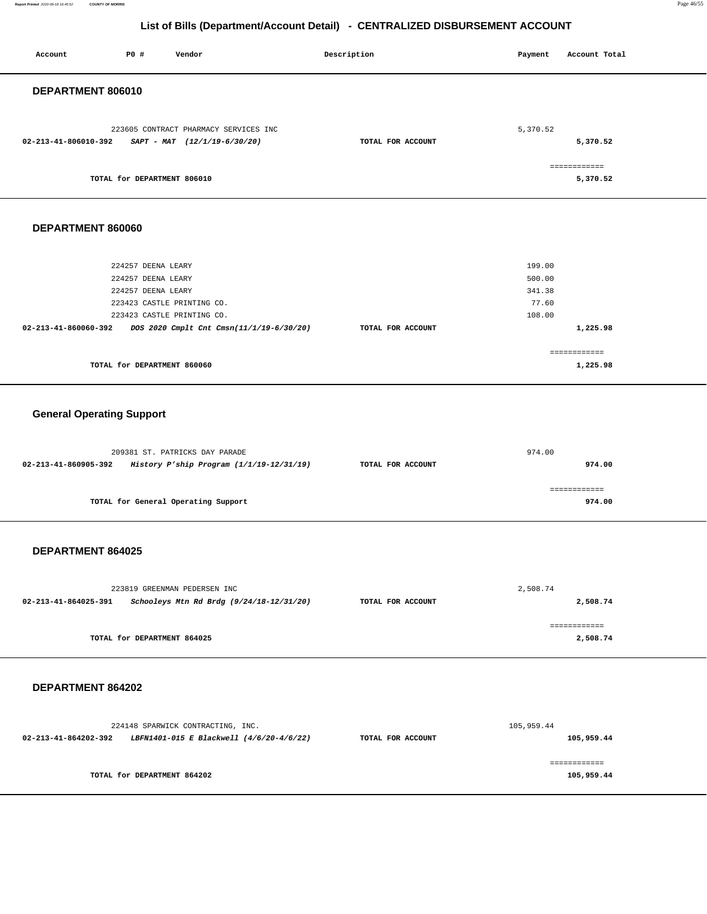**Report Printed** 2020-09-18 16:45:52 **COUNTY OF MORRIS** Page 46/55

# **List of Bills (Department/Account Detail) - CENTRALIZED DISBURSEMENT ACCOUNT**

| P0 #<br>Vendor<br>Account                                                                                                                                                                      | Description       | Payment<br>Account Total                                  |
|------------------------------------------------------------------------------------------------------------------------------------------------------------------------------------------------|-------------------|-----------------------------------------------------------|
| DEPARTMENT 806010                                                                                                                                                                              |                   |                                                           |
| 223605 CONTRACT PHARMACY SERVICES INC<br>02-213-41-806010-392<br>$SAPT - MAT$ (12/1/19-6/30/20)                                                                                                | TOTAL FOR ACCOUNT | 5,370.52<br>5,370.52                                      |
| TOTAL for DEPARTMENT 806010                                                                                                                                                                    |                   | ============<br>5,370.52                                  |
| DEPARTMENT 860060                                                                                                                                                                              |                   |                                                           |
| 224257 DEENA LEARY<br>224257 DEENA LEARY<br>224257 DEENA LEARY<br>223423 CASTLE PRINTING CO.<br>223423 CASTLE PRINTING CO.<br>02-213-41-860060-392<br>DOS 2020 Cmplt Cnt Cmsn(11/1/19-6/30/20) | TOTAL FOR ACCOUNT | 199.00<br>500.00<br>341.38<br>77.60<br>108.00<br>1,225.98 |
| TOTAL for DEPARTMENT 860060                                                                                                                                                                    |                   | ============<br>1,225.98                                  |
| <b>General Operating Support</b>                                                                                                                                                               |                   |                                                           |
| 209381 ST. PATRICKS DAY PARADE<br>02-213-41-860905-392<br>History P'ship Program (1/1/19-12/31/19)                                                                                             | TOTAL FOR ACCOUNT | 974.00<br>974.00                                          |
| TOTAL for General Operating Support                                                                                                                                                            |                   | ------------<br>974.00                                    |
| DEPARTMENT 864025                                                                                                                                                                              |                   |                                                           |
| 223819 GREENMAN PEDERSEN INC<br>Schooleys Mtn Rd Brdg (9/24/18-12/31/20)<br>02-213-41-864025-391                                                                                               | TOTAL FOR ACCOUNT | 2,508.74<br>2,508.74                                      |
| TOTAL for DEPARTMENT 864025                                                                                                                                                                    |                   | ============<br>2,508.74                                  |
| DEPARTMENT 864202                                                                                                                                                                              |                   |                                                           |
| 224148 SPARWICK CONTRACTING, INC.<br>02-213-41-864202-392 LBFN1401-015 E Blackwell (4/6/20-4/6/22)                                                                                             | TOTAL FOR ACCOUNT | 105,959.44<br>105,959.44                                  |
| TOTAL for DEPARTMENT 864202                                                                                                                                                                    |                   | ============<br>105,959.44                                |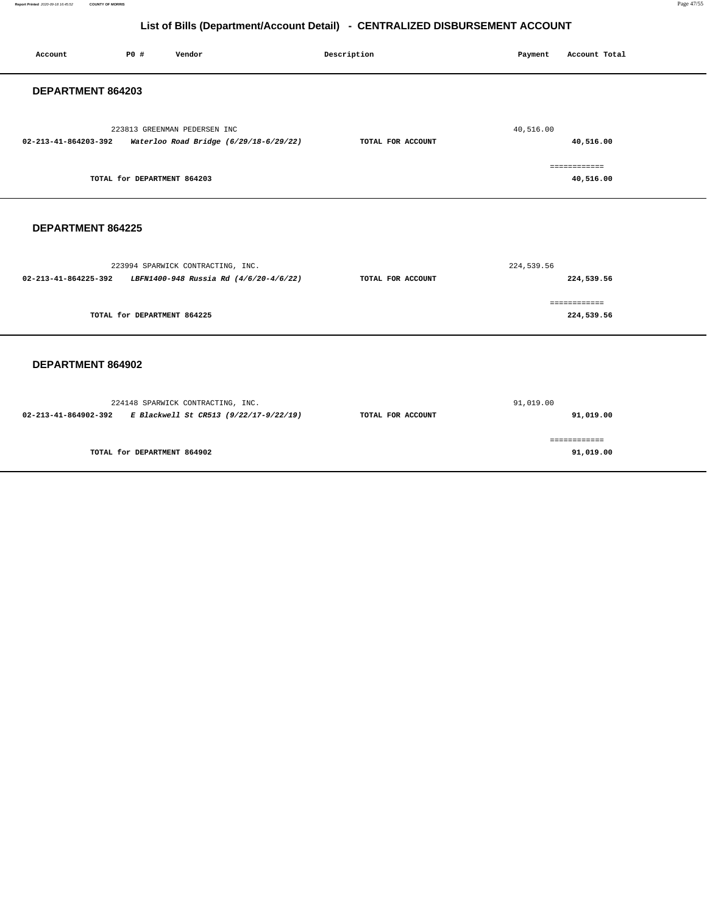**Report Printed** 2020-09-18 16:45:52 **COUNTY OF MORRIS** Page 47/55

# **List of Bills (Department/Account Detail) - CENTRALIZED DISBURSEMENT ACCOUNT**

| Account                        | PO#                         | Vendor                                                                                           | Description       | Payment    | Account Total              |
|--------------------------------|-----------------------------|--------------------------------------------------------------------------------------------------|-------------------|------------|----------------------------|
| DEPARTMENT 864203              |                             |                                                                                                  |                   |            |                            |
| $02 - 213 - 41 - 864203 - 392$ |                             | 223813 GREENMAN PEDERSEN INC<br>Waterloo Road Bridge (6/29/18-6/29/22)                           | TOTAL FOR ACCOUNT | 40,516.00  | 40,516.00                  |
|                                | TOTAL for DEPARTMENT 864203 |                                                                                                  |                   |            | ============<br>40,516.00  |
| DEPARTMENT 864225              |                             |                                                                                                  |                   |            |                            |
|                                |                             | 223994 SPARWICK CONTRACTING, INC.<br>02-213-41-864225-392 LBFN1400-948 Russia Rd (4/6/20-4/6/22) | TOTAL FOR ACCOUNT | 224,539.56 | 224,539.56                 |
|                                | TOTAL for DEPARTMENT 864225 |                                                                                                  |                   |            | ============<br>224,539.56 |
| DEPARTMENT 864902              |                             |                                                                                                  |                   |            |                            |
|                                |                             | 224148 SPARWICK CONTRACTING, INC.<br>02-213-41-864902-392 E Blackwell St CR513 (9/22/17-9/22/19) | TOTAL FOR ACCOUNT | 91,019.00  | 91,019.00                  |
|                                | TOTAL for DEPARTMENT 864902 |                                                                                                  |                   |            | ============<br>91,019.00  |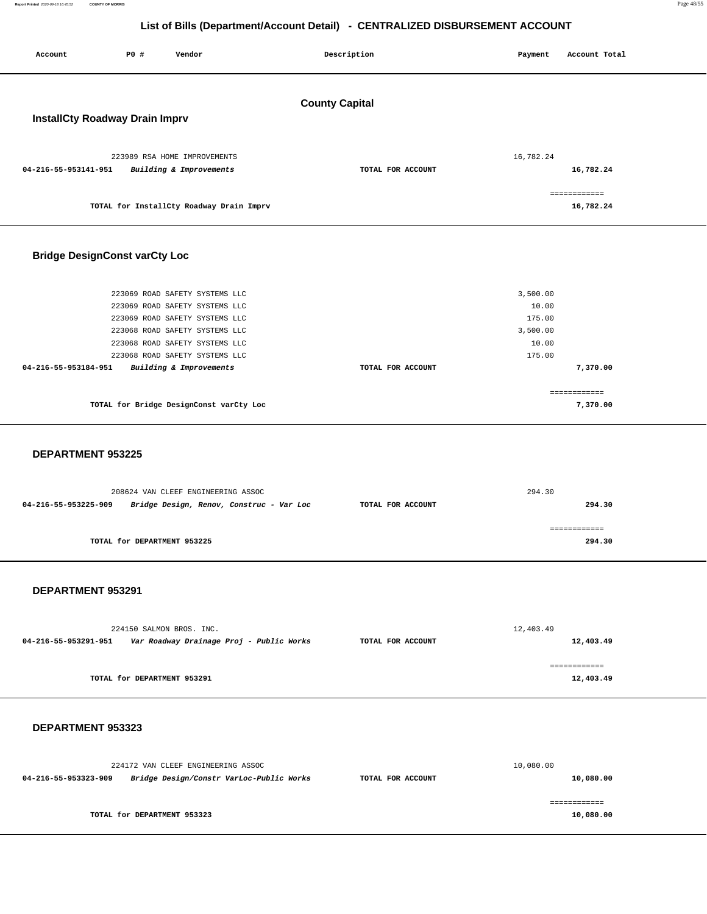**Report Printed** 2020-09-18 16:45:52 **COUNTY OF MORRIS** Page 48/55

# **List of Bills (Department/Account Detail) - CENTRALIZED DISBURSEMENT ACCOUNT**

| Account                              | P0 #                                                                                                                                                                                                     | Vendor                  | Description       | Payment                                                    | Account Total                          |  |  |  |
|--------------------------------------|----------------------------------------------------------------------------------------------------------------------------------------------------------------------------------------------------------|-------------------------|-------------------|------------------------------------------------------------|----------------------------------------|--|--|--|
|                                      | <b>County Capital</b><br><b>InstallCty Roadway Drain Imprv</b>                                                                                                                                           |                         |                   |                                                            |                                        |  |  |  |
| 04-216-55-953141-951                 | 223989 RSA HOME IMPROVEMENTS<br>TOTAL for InstallCty Roadway Drain Imprv                                                                                                                                 | Building & Improvements | TOTAL FOR ACCOUNT | 16,782.24                                                  | 16,782.24<br>============<br>16,782.24 |  |  |  |
| <b>Bridge DesignConst varCty Loc</b> |                                                                                                                                                                                                          |                         |                   |                                                            |                                        |  |  |  |
| 04-216-55-953184-951                 | 223069 ROAD SAFETY SYSTEMS LLC<br>223069 ROAD SAFETY SYSTEMS LLC<br>223069 ROAD SAFETY SYSTEMS LLC<br>223068 ROAD SAFETY SYSTEMS LLC<br>223068 ROAD SAFETY SYSTEMS LLC<br>223068 ROAD SAFETY SYSTEMS LLC | Building & Improvements | TOTAL FOR ACCOUNT | 3,500.00<br>10.00<br>175.00<br>3,500.00<br>10.00<br>175.00 | 7,370.00                               |  |  |  |
|                                      | TOTAL for Bridge DesignConst varCty Loc                                                                                                                                                                  |                         |                   |                                                            | ============<br>7,370.00               |  |  |  |
| <b>DEPARTMENT 953225</b>             |                                                                                                                                                                                                          |                         |                   |                                                            |                                        |  |  |  |

|                      | 208624 VAN CLEEF ENGINEERING ASSOC       | 294.30            |        |  |
|----------------------|------------------------------------------|-------------------|--------|--|
| 04-216-55-953225-909 | Bridge Design, Renov, Construc - Var Loc | TOTAL FOR ACCOUNT | 294.30 |  |
|                      |                                          |                   |        |  |
|                      |                                          |                   |        |  |
|                      | TOTAL for DEPARTMENT 953225              |                   | 294.30 |  |
|                      |                                          |                   |        |  |

#### **DEPARTMENT 953291**

|                      | 224150 SALMON BROS. INC.                 |                   | 12,403.49 |
|----------------------|------------------------------------------|-------------------|-----------|
| 04-216-55-953291-951 | Var Roadway Drainage Proj - Public Works | TOTAL FOR ACCOUNT | 12,403.49 |
|                      |                                          |                   |           |
|                      |                                          |                   |           |
|                      | TOTAL for DEPARTMENT 953291              |                   | 12,403.49 |
|                      |                                          |                   |           |

|                      | 224172 VAN CLEEF ENGINEERING ASSOC       |                   | 10,080.00 |
|----------------------|------------------------------------------|-------------------|-----------|
| 04-216-55-953323-909 | Bridge Design/Constr VarLoc-Public Works | TOTAL FOR ACCOUNT | 10,080.00 |
|                      | TOTAL for DEPARTMENT 953323              |                   | 10,080.00 |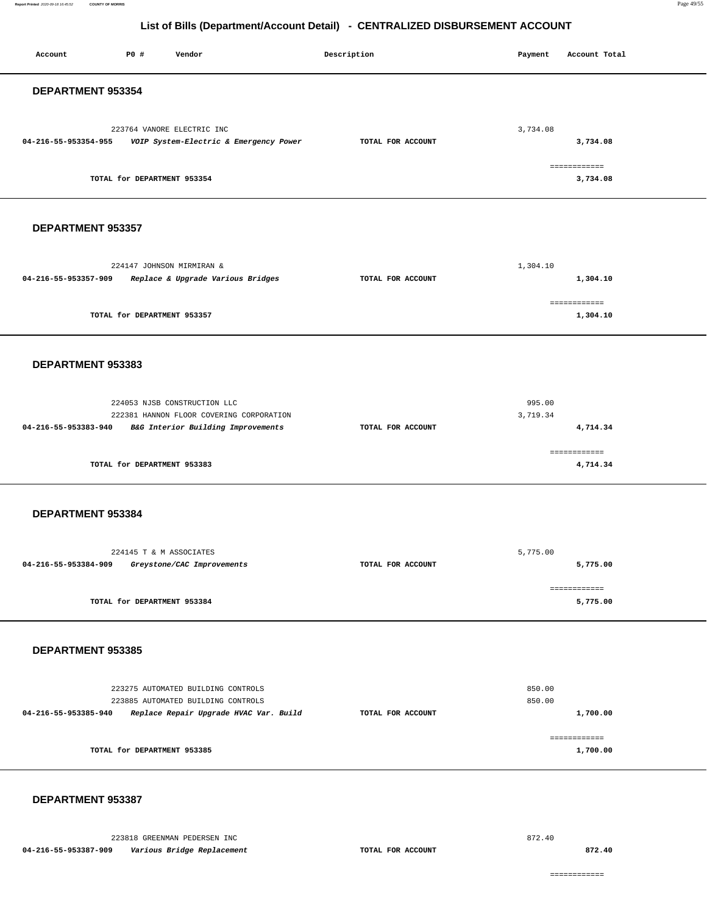**Report Printed** 2020-09-18 16:45:52 **COUNTY OF MORRIS** Page 49/55

# **List of Bills (Department/Account Detail) - CENTRALIZED DISBURSEMENT ACCOUNT**

| Account              | P0 #                        | Vendor                                                                                                             | Description       | Payment            | Account Total            |
|----------------------|-----------------------------|--------------------------------------------------------------------------------------------------------------------|-------------------|--------------------|--------------------------|
| DEPARTMENT 953354    |                             |                                                                                                                    |                   |                    |                          |
| 04-216-55-953354-955 |                             | 223764 VANORE ELECTRIC INC<br>VOIP System-Electric & Emergency Power                                               | TOTAL FOR ACCOUNT | 3,734.08           | 3,734.08                 |
|                      | TOTAL for DEPARTMENT 953354 |                                                                                                                    |                   |                    | ============<br>3,734.08 |
| DEPARTMENT 953357    |                             |                                                                                                                    |                   |                    |                          |
| 04-216-55-953357-909 |                             | 224147 JOHNSON MIRMIRAN &<br>Replace & Upgrade Various Bridges                                                     | TOTAL FOR ACCOUNT | 1,304.10           | 1,304.10                 |
|                      | TOTAL for DEPARTMENT 953357 |                                                                                                                    |                   |                    | ============<br>1,304.10 |
| DEPARTMENT 953383    |                             |                                                                                                                    |                   |                    |                          |
| 04-216-55-953383-940 |                             | 224053 NJSB CONSTRUCTION LLC<br>222381 HANNON FLOOR COVERING CORPORATION<br>B&G Interior Building Improvements     | TOTAL FOR ACCOUNT | 995.00<br>3,719.34 | 4,714.34                 |
|                      | TOTAL for DEPARTMENT 953383 |                                                                                                                    |                   |                    | ============<br>4,714.34 |
| DEPARTMENT 953384    |                             |                                                                                                                    |                   |                    |                          |
| 04-216-55-953384-909 | 224145 T & M ASSOCIATES     | Greystone/CAC Improvements                                                                                         | TOTAL FOR ACCOUNT | 5,775.00           | 5,775.00                 |
|                      | TOTAL for DEPARTMENT 953384 |                                                                                                                    |                   |                    | ============<br>5,775.00 |
| DEPARTMENT 953385    |                             |                                                                                                                    |                   |                    |                          |
| 04-216-55-953385-940 |                             | 223275 AUTOMATED BUILDING CONTROLS<br>223885 AUTOMATED BUILDING CONTROLS<br>Replace Repair Upgrade HVAC Var. Build | TOTAL FOR ACCOUNT | 850.00<br>850.00   | 1,700.00                 |
|                      | TOTAL for DEPARTMENT 953385 |                                                                                                                    |                   |                    | ============<br>1,700.00 |
| DEPARTMENT 953387    |                             |                                                                                                                    |                   |                    |                          |

223818 GREENMAN PEDERSEN INC **04-216-55-953387-909 Various Bridge Replacement TOTAL FOR ACCOUNT** 

872.40

**872.40**

============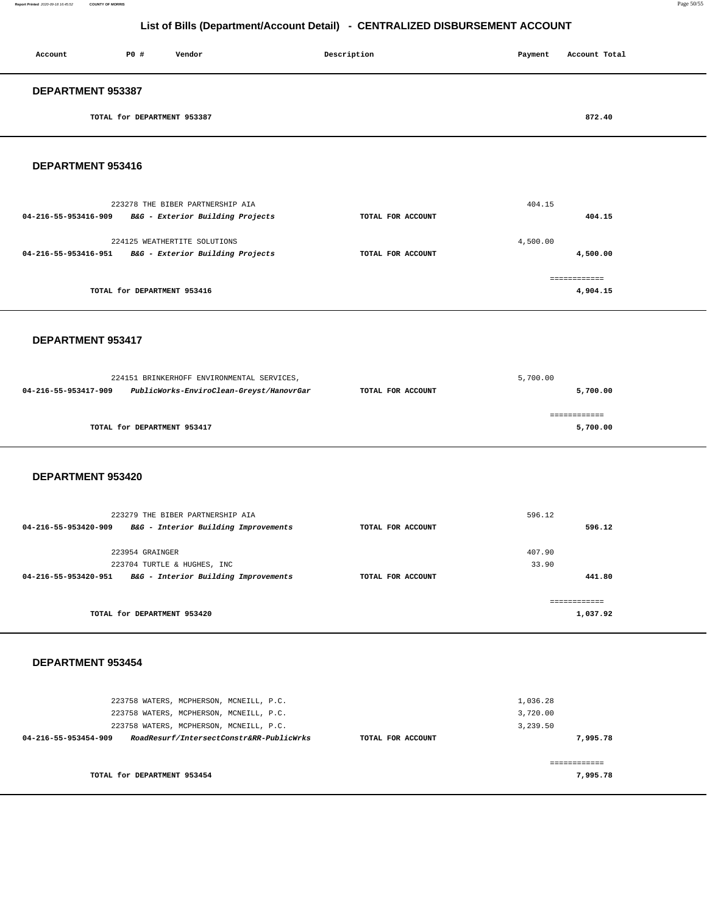**Report Printed** 2020-09-18 16:45:52 **COUNTY OF MORRIS** Page 50/55

# **List of Bills (Department/Account Detail) - CENTRALIZED DISBURSEMENT ACCOUNT**

| Account           | PO#                         | Vendor | Description | Payment | Account Total |
|-------------------|-----------------------------|--------|-------------|---------|---------------|
| DEPARTMENT 953387 |                             |        |             |         |               |
|                   | TOTAL for DEPARTMENT 953387 |        |             |         | 872.40        |

## **DEPARTMENT 953416**

|                   | 404.15       |
|-------------------|--------------|
| TOTAL FOR ACCOUNT | 404.15       |
|                   | 4,500.00     |
| TOTAL FOR ACCOUNT | 4,500.00     |
|                   | ------------ |
|                   | 4,904.15     |
|                   |              |

#### **DEPARTMENT 953417**

|                      | 224151 BRINKERHOFF ENVIRONMENTAL SERVICES, |                   | 5,700.00 |  |
|----------------------|--------------------------------------------|-------------------|----------|--|
| 04-216-55-953417-909 | PublicWorks-EnviroClean-Greyst/HanovrGar   | TOTAL FOR ACCOUNT | 5,700.00 |  |
|                      | TOTAL for DEPARTMENT 953417                |                   | 5,700.00 |  |

#### **DEPARTMENT 953420**

| 223279 THE BIBER PARTNERSHIP AIA                          | 596.12   |
|-----------------------------------------------------------|----------|
| B&G - Interior Building Improvements<br>TOTAL FOR ACCOUNT | 596.12   |
|                                                           |          |
|                                                           | 407.90   |
|                                                           | 33.90    |
| B&G - Interior Building Improvements<br>TOTAL FOR ACCOUNT | 441.80   |
|                                                           |          |
|                                                           | 1,037.92 |
|                                                           |          |

| 223758 WATERS, MCPHERSON, MCNEILL, P.C.<br>223758 WATERS, MCPHERSON, MCNEILL, P.C.<br>223758 WATERS, MCPHERSON, MCNEILL, P.C. |                   | 1,036.28<br>3,720.00<br>3,239.50 |
|-------------------------------------------------------------------------------------------------------------------------------|-------------------|----------------------------------|
| RoadResurf/IntersectConstr&RR-PublicWrks<br>04-216-55-953454-909                                                              | TOTAL FOR ACCOUNT | 7,995.78                         |
| TOTAL for DEPARTMENT 953454                                                                                                   |                   | 7,995.78                         |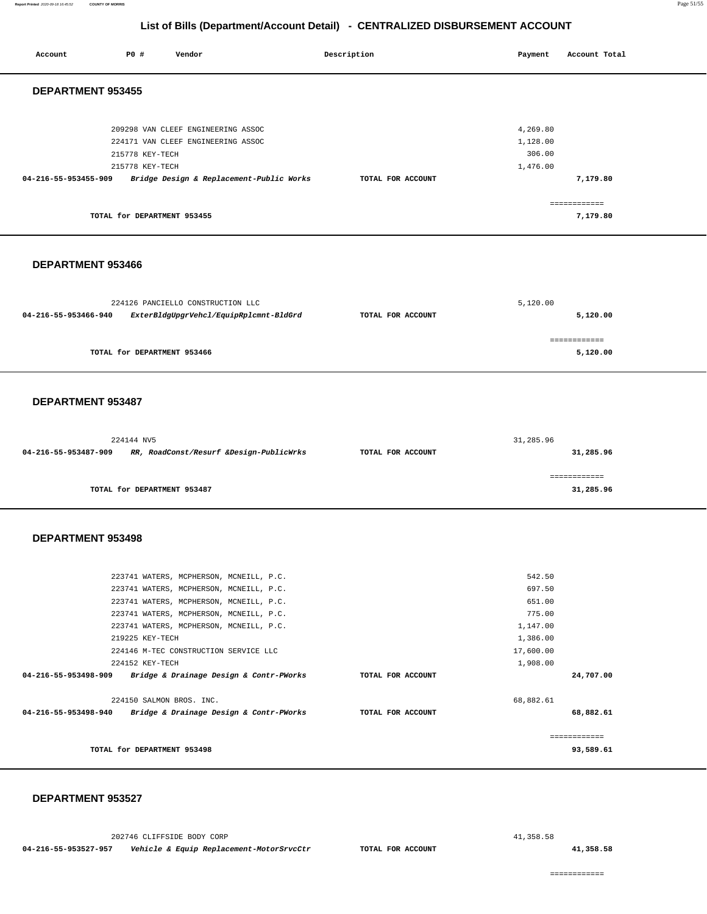| Account              | P0 #                               | Vendor                                                                                                                                                                                                                                                                                                  | Description       | Payment                                                                               | Account Total             |
|----------------------|------------------------------------|---------------------------------------------------------------------------------------------------------------------------------------------------------------------------------------------------------------------------------------------------------------------------------------------------------|-------------------|---------------------------------------------------------------------------------------|---------------------------|
| DEPARTMENT 953455    |                                    |                                                                                                                                                                                                                                                                                                         |                   |                                                                                       |                           |
| 04-216-55-953455-909 | 215778 KEY-TECH<br>215778 KEY-TECH | 209298 VAN CLEEF ENGINEERING ASSOC<br>224171 VAN CLEEF ENGINEERING ASSOC<br>Bridge Design & Replacement-Public Works                                                                                                                                                                                    | TOTAL FOR ACCOUNT | 4,269.80<br>1,128.00<br>306.00<br>1,476.00                                            | 7,179.80                  |
|                      | TOTAL for DEPARTMENT 953455        |                                                                                                                                                                                                                                                                                                         |                   |                                                                                       | ============<br>7,179.80  |
| DEPARTMENT 953466    |                                    |                                                                                                                                                                                                                                                                                                         |                   |                                                                                       |                           |
| 04-216-55-953466-940 |                                    | 224126 PANCIELLO CONSTRUCTION LLC<br>ExterBldgUpgrVehcl/EquipRplcmnt-BldGrd                                                                                                                                                                                                                             | TOTAL FOR ACCOUNT | 5,120.00                                                                              | 5,120.00                  |
|                      | TOTAL for DEPARTMENT 953466        |                                                                                                                                                                                                                                                                                                         |                   |                                                                                       | ============<br>5,120.00  |
| DEPARTMENT 953487    |                                    |                                                                                                                                                                                                                                                                                                         |                   |                                                                                       |                           |
| 04-216-55-953487-909 | 224144 NV5                         | RR, RoadConst/Resurf &Design-PublicWrks                                                                                                                                                                                                                                                                 | TOTAL FOR ACCOUNT | 31,285.96                                                                             | 31,285.96                 |
|                      | TOTAL for DEPARTMENT 953487        |                                                                                                                                                                                                                                                                                                         |                   |                                                                                       | ------------<br>31,285.96 |
| DEPARTMENT 953498    |                                    |                                                                                                                                                                                                                                                                                                         |                   |                                                                                       |                           |
| 04-216-55-953498-909 | 219225 KEY-TECH<br>224152 KEY-TECH | 223741 WATERS, MCPHERSON, MCNEILL, P.C.<br>223741 WATERS, MCPHERSON, MCNEILL, P.C.<br>223741 WATERS, MCPHERSON, MCNEILL, P.C.<br>223741 WATERS, MCPHERSON, MCNEILL, P.C.<br>223741 WATERS, MCPHERSON, MCNEILL, P.C.<br>224146 M-TEC CONSTRUCTION SERVICE LLC<br>Bridge & Drainage Design & Contr-PWorks | TOTAL FOR ACCOUNT | 542.50<br>697.50<br>651.00<br>775.00<br>1,147.00<br>1,386.00<br>17,600.00<br>1,908.00 | 24,707.00                 |
|                      | 224150 SALMON BROS. INC.           | 04-216-55-953498-940 Bridge & Drainage Design & Contr-PWorks                                                                                                                                                                                                                                            | TOTAL FOR ACCOUNT | 68,882.61                                                                             | 68,882.61                 |
|                      | TOTAL for DEPARTMENT 953498        |                                                                                                                                                                                                                                                                                                         |                   |                                                                                       | ------------<br>93,589.61 |

#### **DEPARTMENT 953527**

202746 CLIFFSIDE BODY CORP

**04-216-55-953527-957 Vehicle & Equip Replacement-MotorSrvcCtr TOTAL FOR ACCOUNT** 

41,358.58

**41,358.58**

============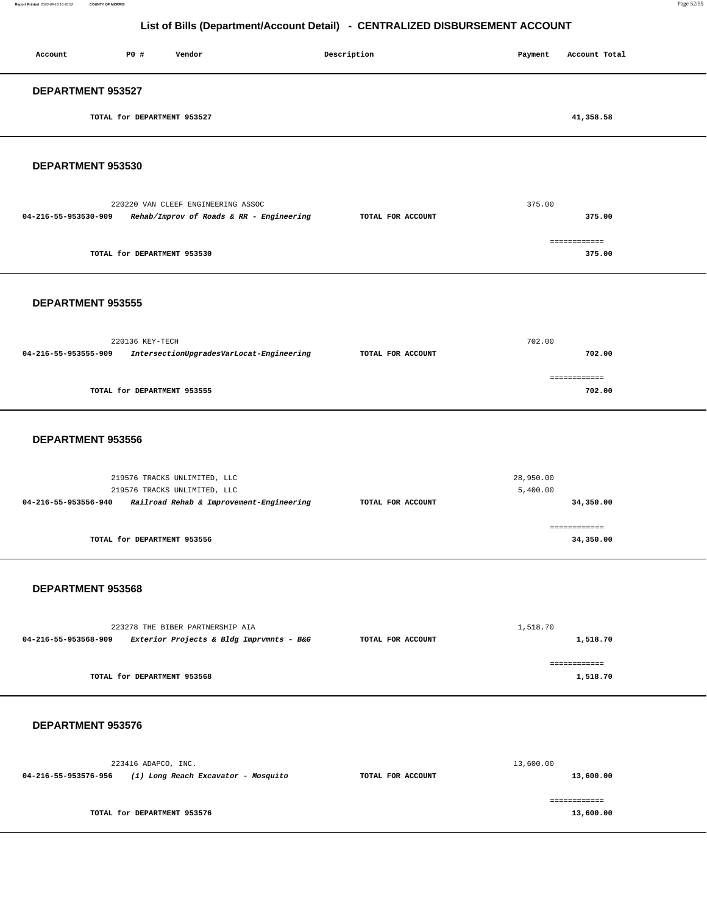**Report Printed** 2020-09-18 16:45:52 **COUNTY OF MORRIS** Page 52/55

# **List of Bills (Department/Account Detail) - CENTRALIZED DISBURSEMENT ACCOUNT**

| <b>DEPARTMENT 953527</b>                 |  |
|------------------------------------------|--|
| 41,358.58<br>TOTAL for DEPARTMENT 953527 |  |

**DEPARTMENT 953530** 

|                      | 220220 VAN CLEEF ENGINEERING ASSOC       |                   | 375.00       |
|----------------------|------------------------------------------|-------------------|--------------|
| 04-216-55-953530-909 | Rehab/Improv of Roads & RR - Engineering | TOTAL FOR ACCOUNT | 375.00       |
|                      |                                          |                   |              |
|                      |                                          |                   | ============ |
|                      | TOTAL for DEPARTMENT 953530              |                   | 375.00       |
|                      |                                          |                   |              |

#### **DEPARTMENT 953555**

|                      | 220136 KEY-TECH                          |                   | 702.00 |
|----------------------|------------------------------------------|-------------------|--------|
| 04-216-55-953555-909 | IntersectionUpgradesVarLocat-Engineering | TOTAL FOR ACCOUNT | 702.00 |
|                      |                                          |                   |        |
|                      | TOTAL for DEPARTMENT 953555              |                   | 702.00 |
|                      |                                          |                   |        |

#### **DEPARTMENT 953556**

| 219576 TRACKS UNLIMITED, LLC                                     |                   | 28,950.00    |
|------------------------------------------------------------------|-------------------|--------------|
| 219576 TRACKS UNLIMITED, LLC                                     |                   | 5,400.00     |
| Railroad Rehab & Improvement-Engineering<br>04-216-55-953556-940 | TOTAL FOR ACCOUNT | 34,350.00    |
|                                                                  |                   |              |
|                                                                  |                   | ------------ |
| TOTAL for DEPARTMENT 953556                                      |                   | 34,350.00    |
|                                                                  |                   |              |

#### **DEPARTMENT 953568**

| 223278 THE BIBER PARTNERSHIP AIA |                                          | 1,518.70          |          |
|----------------------------------|------------------------------------------|-------------------|----------|
| 04-216-55-953568-909             | Exterior Projects & Bldg Imprvmnts - B&G | TOTAL FOR ACCOUNT | 1,518.70 |
|                                  |                                          |                   |          |
|                                  | TOTAL for DEPARTMENT 953568              |                   | 1,518.70 |

|                   | 13,600.00 |
|-------------------|-----------|
| TOTAL FOR ACCOUNT | 13,600.00 |
|                   | 13,600.00 |
|                   |           |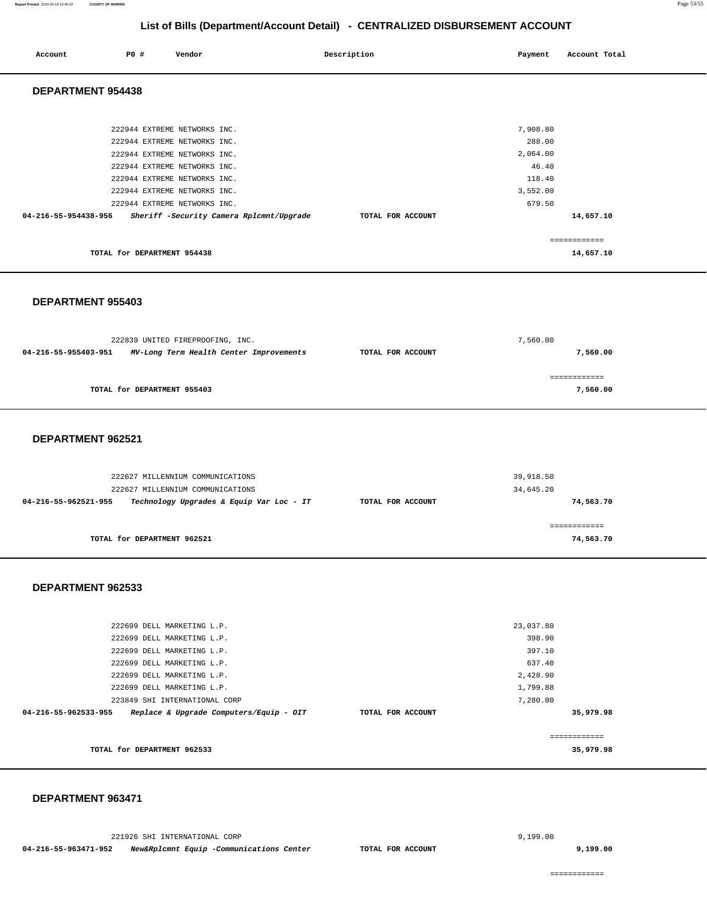| Account                  | PO#                         | Vendor                                   | Description |                   | Payment  | Account Total |
|--------------------------|-----------------------------|------------------------------------------|-------------|-------------------|----------|---------------|
| <b>DEPARTMENT 954438</b> |                             |                                          |             |                   |          |               |
|                          |                             |                                          |             |                   |          |               |
|                          |                             | 222944 EXTREME NETWORKS INC.             |             |                   | 7,908.80 |               |
|                          |                             | 222944 EXTREME NETWORKS INC.             |             |                   | 288.00   |               |
|                          |                             | 222944 EXTREME NETWORKS INC.             |             |                   | 2,064.00 |               |
|                          |                             | 222944 EXTREME NETWORKS INC.             |             |                   | 46.40    |               |
|                          |                             | 222944 EXTREME NETWORKS INC.             |             |                   | 118.40   |               |
|                          |                             | 222944 EXTREME NETWORKS INC.             |             |                   | 3,552.00 |               |
|                          |                             | 222944 EXTREME NETWORKS INC.             |             |                   | 679.50   |               |
| 04-216-55-954438-956     |                             | Sheriff -Security Camera Rplcmnt/Upgrade |             | TOTAL FOR ACCOUNT |          | 14,657.10     |
|                          |                             |                                          |             |                   |          | ------------- |
|                          | TOTAL for DEPARTMENT 954438 |                                          |             |                   |          | 14,657.10     |
|                          |                             |                                          |             |                   |          |               |

#### **DEPARTMENT 955403**

| 222839 UNITED FIREPROOFING, INC. |                                         | 7,560.00          |          |
|----------------------------------|-----------------------------------------|-------------------|----------|
| 04-216-55-955403-951             | MV-Long Term Health Center Improvements | TOTAL FOR ACCOUNT | 7,560.00 |
|                                  |                                         |                   |          |
|                                  |                                         |                   |          |
|                                  | TOTAL for DEPARTMENT 955403             |                   | 7,560.00 |
|                                  |                                         |                   |          |

#### **DEPARTMENT 962521**

| 222627 MILLENNIUM COMMUNICATIONS                                 | 39,918.50         |           |
|------------------------------------------------------------------|-------------------|-----------|
| 222627 MILLENNIUM COMMUNICATIONS                                 |                   | 34,645.20 |
| Technology Upgrades & Equip Var Loc - IT<br>04-216-55-962521-955 | TOTAL FOR ACCOUNT | 74,563.70 |
|                                                                  |                   |           |
|                                                                  |                   |           |
| TOTAL for DEPARTMENT 962521                                      |                   | 74,563.70 |
|                                                                  |                   |           |

#### **DEPARTMENT 962533**

| 222699 DELL MARKETING L.P.                                      |                   | 23,037.80 |  |
|-----------------------------------------------------------------|-------------------|-----------|--|
|                                                                 |                   |           |  |
| 222699 DELL MARKETING L.P.                                      |                   | 398.90    |  |
| 222699 DELL MARKETING L.P.                                      |                   | 397.10    |  |
| 222699 DELL MARKETING L.P.                                      |                   | 637.40    |  |
| 222699 DELL MARKETING L.P.                                      |                   | 2,428.90  |  |
| 222699 DELL MARKETING L.P.                                      |                   | 1,799.88  |  |
| 223849 SHI INTERNATIONAL CORP                                   |                   | 7,280.00  |  |
| 04-216-55-962533-955<br>Replace & Upgrade Computers/Equip - OIT | TOTAL FOR ACCOUNT | 35,979.98 |  |
|                                                                 |                   |           |  |
|                                                                 |                   |           |  |
| TOTAL for DEPARTMENT 962533                                     |                   | 35,979.98 |  |
|                                                                 |                   |           |  |

#### **DEPARTMENT 963471**

221926 SHI INTERNATIONAL CORP

**04-216-55-963471-952 New&Rplcmnt Equip -Communications Center TOTAL FOR ACCOUNT** 

**9,199.00**

============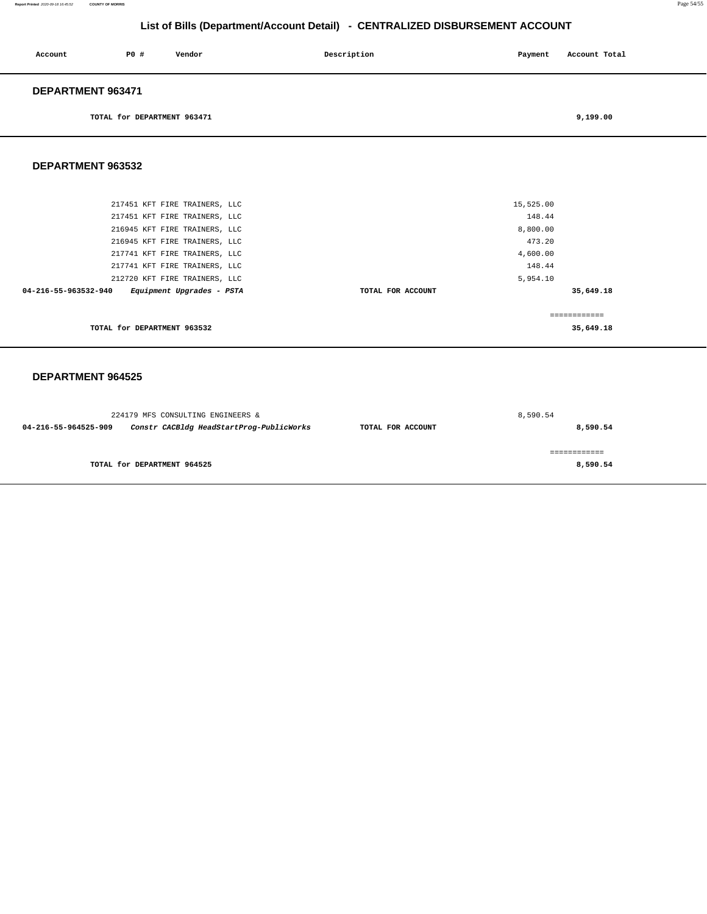| Account                  | PO#                         | Vendor | Description | Payment | Account Total |  |
|--------------------------|-----------------------------|--------|-------------|---------|---------------|--|
| <b>DEPARTMENT 963471</b> |                             |        |             |         |               |  |
|                          | TOTAL for DEPARTMENT 963471 |        |             |         | 9,199.00      |  |

#### **DEPARTMENT 963532**

| 216945 KFT FIRE TRAINERS, LLC<br>217741 KFT FIRE TRAINERS, LLC | 473.20<br>4,600.00 |           |
|----------------------------------------------------------------|--------------------|-----------|
| 217741 KFT FIRE TRAINERS, LLC<br>212720 KFT FIRE TRAINERS, LLC | 148.44<br>5,954.10 |           |
| Equipment Upgrades - PSTA<br>04-216-55-963532-940              | TOTAL FOR ACCOUNT  | 35,649.18 |
|                                                                |                    |           |
| TOTAL for DEPARTMENT 963532                                    |                    | 35,649.18 |

| 224179 MFS CONSULTING ENGINEERS & |                                          |                   | 8,590.54 |
|-----------------------------------|------------------------------------------|-------------------|----------|
| 04-216-55-964525-909              | Constr CACBldg HeadStartProg-PublicWorks | TOTAL FOR ACCOUNT | 8,590.54 |
|                                   |                                          |                   |          |
|                                   |                                          |                   |          |
|                                   | TOTAL for DEPARTMENT 964525              |                   | 8,590.54 |
|                                   |                                          |                   |          |